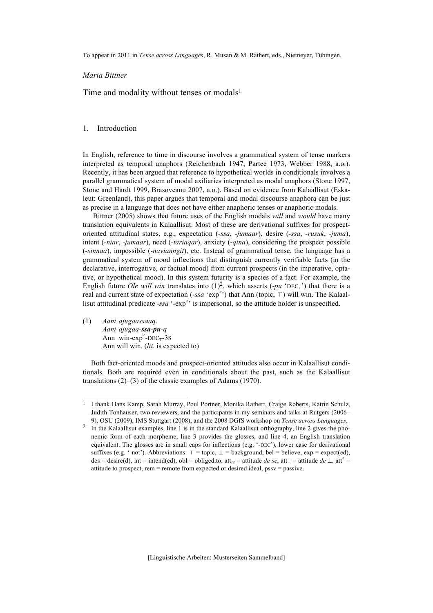To appear in 2011 in *Tense across Languages*, R. Musan & M. Rathert, eds., Niemeyer, Tübingen.

# *Maria Bittner*

Time and modality without tenses or modals<sup>1</sup>

## 1. Introduction

In English, reference to time in discourse involves a grammatical system of tense markers interpreted as temporal anaphors (Reichenbach 1947, Partee 1973, Webber 1988, a.o.). Recently, it has been argued that reference to hypothetical worlds in conditionals involves a parallel grammatical system of modal axiliaries interpreted as modal anaphors (Stone 1997, Stone and Hardt 1999, Brasoveanu 2007, a.o.). Based on evidence from Kalaallisut (Eskaleut: Greenland), this paper argues that temporal and modal discourse anaphora can be just as precise in a language that does not have either anaphoric tenses or anaphoric modals.

Bittner (2005) shows that future uses of the English modals *will* and *would* have many translation equivalents in Kalaallisut. Most of these are derivational suffixes for prospectoriented attitudinal states, e.g., expectation (*-ssa*, *-jumaar*), desire (*-ssa*, *-rusuk*, *-juma*), intent (*-niar*, *-jumaar*), need (*-tariaqar*), anxiety (-*qina*), considering the prospect possible (*-sinnaa*), impossible (-*navianngit*), etc. Instead of grammatical tense, the language has a grammatical system of mood inflections that distinguish currently verifiable facts (in the declarative, interrogative, or factual mood) from current prospects (in the imperative, optative, or hypothetical mood). In this system futurity is a species of a fact. For example, the English future *Ole will win* translates into  $(1)^2$ , which asserts  $(-pu \text{ 'DEC}_T)$  that there is a real and current state of expectation (-ssa 'exp<sup>></sup>') that Ann (topic,  $\top$ ) will win. The Kalaallisut attitudinal predicate *-ssa* '-exp<sup>></sup>' is impersonal, so the attitude holder is unspecified.

(1) *Aani ajugaassaaq*. *Aani ajugaa-ssa-pu-q* Ann win-exp<sup>></sup>-DEC<sub>T</sub>-3s Ann will win. (*lit.* is expected to)

Both fact-oriented moods and prospect-oriented attitudes also occur in Kalaallisut conditionals. Both are required even in conditionals about the past, such as the Kalaallisut translations (2)–(3) of the classic examples of Adams (1970).

 <sup>1</sup> I thank Hans Kamp, Sarah Murray, Poul Portner, Monika Rathert, Craige Roberts, Katrin Schulz, Judith Tonhauser, two reviewers, and the participants in my seminars and talks at Rutgers (2006–

<sup>9),</sup> OSU (2009), IMS Stuttgart (2008), and the 2008 DGfS workshop on *Tense across Languages*. <sup>2</sup> In the Kalaallisut examples, line 1 is in the standard Kalaallisut orthography, line 2 gives the phonemic form of each morpheme, line 3 provides the glosses, and line 4, an English translation equivalent. The glosses are in small caps for inflections (e.g. '-DEC'), lower case for derivational suffixes (e.g. '-not'). Abbreviations:  $\top = \text{topic}, \bot = \text{background}, \text{bel} = \text{believe}, \text{exp} = \text{expected}(ed)$ , des = desire(d), int = intend(ed), obl = obliged.to, att<sub>se</sub> = attitude *de se*, att<sub>⊥</sub> = attitude *de* ⊥, att<sup>></sup> = attitude to prospect, rem = remote from expected or desired ideal, pssv = passive.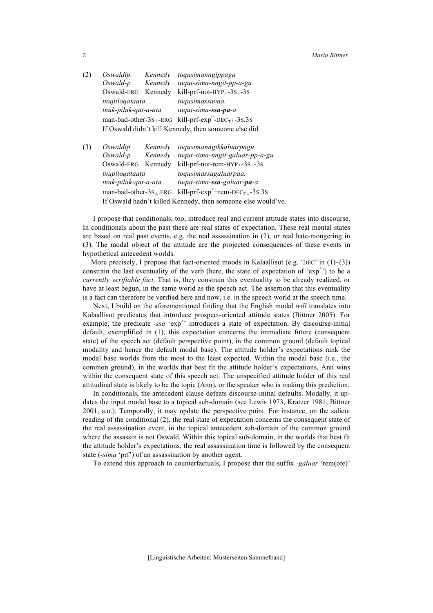- (2) *Oswaldip Kennedy toqusimanngippagu Oswald-p Kennedy tuqut-sima-nngit-pp-a-gu* Oswald-ERG Kennedy kill-prf-not-HYP⊥-3S⊥-3S *inupiloqataata toqusimassavaa. inuk-piluk-qat-a-ata tuqut-sima-ssa-pa-a* man-bad-other-3S<sub>⊥</sub>-ERG kill-prf-exp<sup>></sup>-DEC<sub>T⊥</sub>-3S.3S If Oswald didn't kill Kennedy, then someone else did.
- (3) *Oswaldip Kennedy toqusimanngikkaluarpagu Oswald-p Kennedy tuqut-sima-nngit-galuar-pp-a-gu* Oswald-ERG Kennedy kill-prf-not-rem-HYP⊥-3S⊥-3S *inupiloqataata toqusimassagaluarpaa. inuk-piluk-qat-a-ata tuqut-sima-ssa-galuar-pa-a.* man-bad-other-3S<sub>⊥</sub>.ERG kill-prf-exp<sup>></sup>+rem-DEC<sub>T⊥</sub>-3S.3S If Oswald hadn't killed Kennedy, then someone else would've.

I propose that conditionals, too, introduce real and current attitude states into discourse. In conditionals about the past these are real states of expectation. These real mental states are based on real past events, e.g. the real assassination in (2), or real hate-mongering in (3). The modal object of the attitude are the projected consequences of these events in hypothetical antecedent worlds.

More precisely, I propose that fact-oriented moods in Kalaallisut (e.g. 'DEC' in  $(1)$ – $(3)$ ) constrain the last eventuality of the verb (here, the state of expectation of ' $\exp$ ) to be a *currently verifiable fact*. That is, they constrain this eventuality to be already realized, or have at least begun, in the same world as the speech act. The assertion that this eventuality is a fact can therefore be verified here and now, i.e. in the speech world at the speech time.

Next, I build on the aforementioned finding that the English modal *will* translates into Kalaallisut predicates that introduce prospect-oriented attitude states (Bittner 2005). For example, the predicate *-ssa* 'exp<sup>></sup>' introduces a state of expectation. By discourse-initial default, exemplified in (1), this expectation concerns the immediate future (consequent state) of the speech act (default perspective point), in the common ground (default topical modality and hence the default modal base). The attitude holder's expectations rank the modal base worlds from the most to the least expected. Within the modal base (i.e., the common ground), in the worlds that best fit the attitude holder's expectations, Ann wins within the consequent state of this speech act. The unspecified attitude holder of this real attitudinal state is likely to be the topic (Ann), or the speaker who is making this prediction.

In conditionals, the antecedent clause defeats discourse-initial defaults. Modally, it updates the input modal base to a topical sub-domain (see Lewis 1973, Kratzer 1981, Bittner 2001, a.o.). Temporally, it may update the perspective point. For instance, on the salient reading of the conditional (2), the real state of expectation concerns the consequent state of the real assassination event, in the topical antecedent sub-domain of the common ground where the assassin is not Oswald. Within this topical sub-domain, in the worlds that best fit the attitude holder's expectations, the real assassination time is followed by the consequent state (*-sima* 'prf') of an assassination by another agent.

To extend this approach to counterfactuals, I propose that the suffix *-galuar* 'rem(ote)'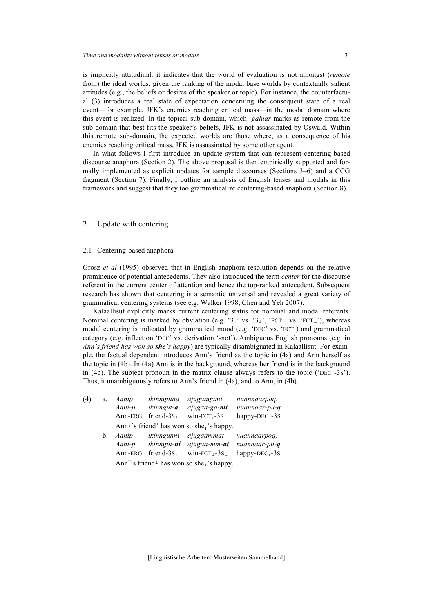#### *Time and modality without tenses or modals* 3

is implicitly attitudinal: it indicates that the world of evaluation is not amongst (*remote* from) the ideal worlds, given the ranking of the modal base worlds by contextually salient attitudes (e.g., the beliefs or desires of the speaker or topic). For instance, the counterfactual (3) introduces a real state of expectation concerning the consequent state of a real event—for example, JFK's enemies reaching critical mass—in the modal domain where this event is realized. In the topical sub-domain, which *-galuar* marks as remote from the sub-domain that best fits the speaker's beliefs, JFK is not assassinated by Oswald. Within this remote sub-domain, the expected worlds are those where, as a consequence of his enemies reaching critical mass, JFK is assassinated by some other agent.

In what follows I first introduce an update system that can represent centering-based discourse anaphora (Section 2). The above proposal is then empirically supported and formally implemented as explicit updates for sample discourses (Sections 3–6) and a CCG fragment (Section 7). Finally, I outline an analysis of English tenses and modals in this framework and suggest that they too grammaticalize centering-based anaphora (Section 8).

# 2 Update with centering

## 2.1 Centering-based anaphora

Grosz *et al* (1995) observed that in English anaphora resolution depends on the relative prominence of potential antecedents. They also introduced the term *center* for the discourse referent in the current center of attention and hence the top-ranked antecedent. Subsequent research has shown that centering is a semantic universal and revealed a great variety of grammatical centering systems (see e.g. Walker 1998, Chen and Yeh 2007).

Kalaallisut explicitly marks current centering status for nominal and modal referents. Nominal centering is marked by obviation (e.g. '3<sub>T</sub>' vs. '3⊥', 'FCT<sub>T</sub>' vs. 'FCT<sub>⊥</sub>'), whereas modal centering is indicated by grammatical mood (e.g. 'DEC' vs. 'FCT') and grammatical category (e.g. inflection 'DEC' vs. derivation '-not'). Ambiguous English pronouns (e.g. in *Ann's friend has won so she's happy*) are typically disambiguated in Kalaallisut. For example, the factual dependent introduces Ann's friend as the topic in (4a) and Ann herself as the topic in (4b). In (4a) Ann is in the background, whereas her friend is in the background in (4b). The subject pronoun in the matrix clause always refers to the topic ('DEC<sub>T</sub>-3S'). Thus, it unambiguously refers to Ann's friend in (4a), and to Ann, in (4b).

| (4) | a. <i>Aanip</i> | ikinngutaa                   | ajugaagami                                                                                                     | nuannaarpoq.          |
|-----|-----------------|------------------------------|----------------------------------------------------------------------------------------------------------------|-----------------------|
|     | Aani-p          | ikinngut- <b>a</b>           | ajugaa-ga- <b>mi</b>                                                                                           | nuannaar-pu- <b>a</b> |
|     |                 | Ann-ERG friend- $3s_{\perp}$ | $win-FCT\tau-3S\tau$                                                                                           | happy- $DEC_{T}$ -3s  |
|     |                 |                              | Ann <sup><math>\perp</math></sup> 's friend <sup>†</sup> has won so she <sub><math>\tau</math></sub> 's happy. |                       |

b. *Aanip ikinngunni ajugaammat nuannaarpoq. Aani-p ikinngut-ni ajugaa-mm-at nuannaar-pu-q* Ann-ERG friend- $3s<sub>T</sub>$  win-FCT<sub>⊥</sub>-3s<sub>⊥</sub> happy-DEC<sub>T</sub>-3s Ann<sup>™</sup>s friend<sup>⊥</sup> has won so she<sub>™</sub>'s happy.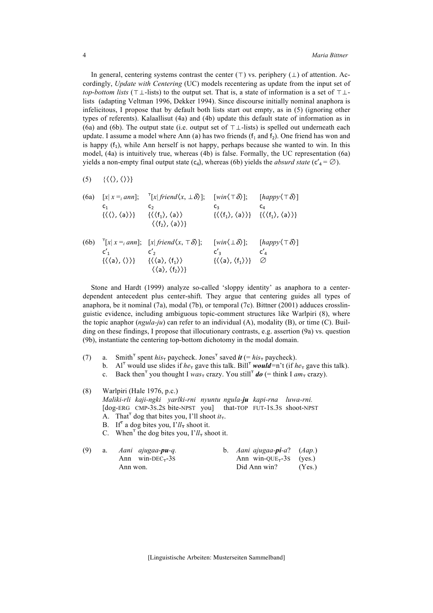In general, centering systems contrast the center  $(\top)$  vs. periphery  $(\bot)$  of attention. Accordingly, *Update with Centering* (UC) models recentering as update from the input set of *top-bottom lists* ( $T \perp$ -lists) to the output set. That is, a state of information is a set of  $T \perp$ lists (adapting Veltman 1996, Dekker 1994). Since discourse initially nominal anaphora is infelicitous, I propose that by default both lists start out empty, as in (5) (ignoring other types of referents). Kalaallisut (4a) and (4b) update this default state of information as in (6a) and (6b). The output state (i.e. output set of  $\top \bot$ -lists) is spelled out underneath each update. I assume a model where Ann (a) has two friends  $(f_1$  and  $f_2$ ). One friend has won and is happy  $(f_1)$ , while Ann herself is not happy, perhaps because she wanted to win. In this model, (4a) is intuitively true, whereas (4b) is false. Formally, the UC representation (6a) yields a non-empty final output state  $(c_4)$ , whereas (6b) yields the *absurd state*  $(c'_4 = \emptyset)$ .

$$
(5) \quad \{\langle\langle\rangle,\langle\rangle\rangle\}
$$

(6a) 
$$
[x | x =_i ann]
$$
;  $[x | friend(x, \perp \delta)]$ ;  $[win(\top \delta)]$ ;  $[happy(\top \delta)]$   
\n $c_1$   
\n $\{\langle \rangle, \langle a \rangle \}$   $\{\langle \langle f_1 \rangle, \langle a \rangle \rangle \}$   $\{\langle \langle f_1 \rangle, \langle a \rangle \rangle \}$   $\{\langle \langle f_1 \rangle, \langle a \rangle \rangle \}$   
\n $\langle \langle f_2 \rangle, \langle a \rangle \}$   $\{\langle \langle f_1 \rangle, \langle a \rangle \rangle \}$   $\{\langle \langle f_1 \rangle, \langle a \rangle \rangle \}$   
\n(6b)  $[x | x =_i ann]$ ;  $[x | friend(x, \top \delta)]$ ;  $[win(\bot \delta)]$ ;  $[happy(\top \delta)]$   
\n $c'_1$   
\n $\{\langle \langle a \rangle, \langle f_1 \rangle \rangle \}$   $\{\langle \langle a \rangle, \langle f_1 \rangle \rangle \}$   $\emptyset$   
\n $\langle \langle a \rangle, \langle f_2 \rangle \rangle \}$ 

Stone and Hardt (1999) analyze so-called 'sloppy identity' as anaphora to a centerdependent antecedent plus center-shift. They argue that centering guides all types of anaphora, be it nominal (7a), modal (7b), or temporal (7c). Bittner (2001) adduces crosslinguistic evidence, including ambiguous topic-comment structures like Warlpiri (8), where the topic anaphor (*ngula-ju*) can refer to an individual (A), modality (B), or time (C). Building on these findings, I propose that illocutionary contrasts, e.g. assertion (9a) vs. question (9b), instantiate the centering top-bottom dichotomy in the modal domain.

- (7) a. Smith<sup>T</sup> spent  $his<sub>T</sub>$  paycheck. Jones<sup>T</sup> saved  $it$  (=  $his<sub>T</sub>$  paycheck).
	- b. Al<sup>T</sup> would use slides if  $he_\tau$  gave this talk. Bill<sup>T</sup> *would*=n't (if  $he_\tau$  gave this talk).
		- c. Back then<sup>T</sup> you thought I *was*<sup>T</sup> crazy. You still<sup>T</sup>  $do$  (= think I  $am<sub>T</sub>$  crazy).

(8) Warlpiri (Hale 1976, p.c.) *Maliki-rli kaji-ngki yarlki-rni nyuntu ngula-ju kapi-rna luwa-rni.* [dog-ERG CMP-3S.2S bite-NPST you] that-TOP FUT-1S.3S shoot-NPST A. That<sup>T</sup> dog that bites you, I'll shoot  $it_{\tau}$ .

- B. If<sup>T</sup> a dog bites you,  $I'll_{\tau}$  shoot it.
- C. When<sup>T</sup> the dog bites you,  $I'll_{\tau}$  shoot it.

| (9) | a. <i>Aani ajugaa-pu-q</i> . | b. Aani ajugaa- $pi$ -a? (Aap.)     |        |
|-----|------------------------------|-------------------------------------|--------|
|     | Ann win- $DEC_{\tau}$ -3s    | Ann win-QUE <sub>T</sub> -3S (yes.) |        |
|     | Ann won.                     | Did Ann win?                        | (Yes.) |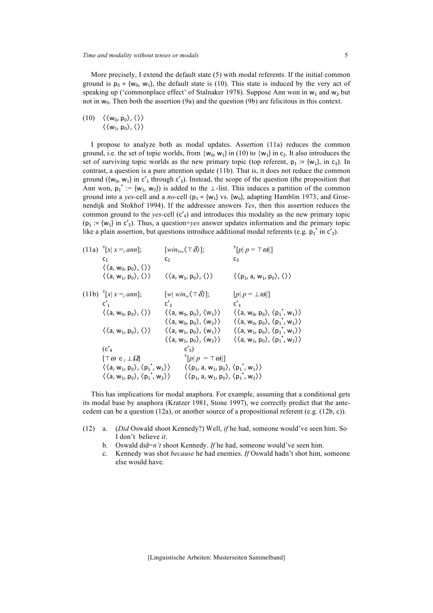More precisely, I extend the default state (5) with modal referents. If the initial common ground is  $p_0 = \{ w_0, w_1 \}$ , the default state is (10). This state is induced by the very act of speaking up ('commonplace effect' of Stalnaker 1978). Suppose Ann won in  $w_1$  and  $w_2$  but not in  $w_0$ . Then both the assertion (9a) and the question (9b) are felicitous in this context.

 $(10) \quad \langle \langle w_0, p_0 \rangle, \langle \rangle \rangle$  $\langle\langle w_1,p_0\rangle,\langle\rangle\rangle$ 

I propose to analyze both as modal updates. Assertion (11a) reduces the common ground, i.e. the set of topic worlds, from  $\{w_0, w_1\}$  in (10) to  $\{w_1\}$  in c<sub>2</sub>. It also introduces the set of surviving topic worlds as the new primary topic (top referent,  $p_1 := \{w_1\}$ , in c<sub>3</sub>). In contrast, a question is a pure attention update (11b). That is, it does not reduce the common ground ( $\{w_0, w_1\}$  in  $c'_1$  through  $c'_3$ ). Instead, the scope of the question (the proposition that Ann won,  $p_1^+ := \{w_1, w_2\}$  is added to the  $\perp$ -list. This induces a partition of the common ground into a *yes*-cell and a *no*-cell ( $p_1 = \{w_1\}$  vs.  $\{w_0\}$ , adapting Hamblin 1973, and Groenendijk and Stokhof 1994). If the addressee answers *Yes*, then this assertion reduces the common ground to the *yes*-cell  $(c')$  and introduces this modality as the new primary topic  $(p_1:=\{w_1\}$  in  $c'_5$ ). Thus, a question+*yes* answer updates information and the primary topic like a plain assertion, but questions introduce additional modal referents (e.g.  $p_1^{\dagger}$  in  $c'_3$ ).

| $(11a)$ $\sqrt{[x]}$ $x =$ <sub>i</sub> ann];                             | $\left[\text{win}_{\tau\omega}\langle\tau\delta\rangle\right]$ ;   |                                                                                | $\left\vert \left\lceil p\right\vert p=\top \omega \right\vert$           |
|---------------------------------------------------------------------------|--------------------------------------------------------------------|--------------------------------------------------------------------------------|---------------------------------------------------------------------------|
| C <sub>1</sub>                                                            | C <sub>2</sub>                                                     |                                                                                | $C_3$                                                                     |
| $\langle \langle a, w_0, p_0 \rangle, \langle \rangle \rangle$            |                                                                    |                                                                                |                                                                           |
| $\langle \langle a, w_1, p_0 \rangle, \langle \rangle \rangle$            | $\langle \langle a, w_1, p_0 \rangle, \langle \rangle \rangle$     |                                                                                | $\langle \langle p_1, a, w_1, p_0 \rangle, \langle \rangle \rangle$       |
| $(11b)$ $[x   x = i ann];$                                                | $[w win_w\langle \top \delta\rangle];$                             |                                                                                | $[p p = \pm \omega] $                                                     |
| $C_{1}^{\prime}$                                                          | $C'_{2}$                                                           |                                                                                | $C_3$                                                                     |
| $\langle \langle a, w_0, p_0 \rangle, \langle \rangle \rangle$            | $\langle \langle a, w_0, p_0 \rangle, \langle w_1 \rangle \rangle$ |                                                                                | $\langle \langle a, w_0, p_0 \rangle, \langle p_1^*, w_1 \rangle \rangle$ |
|                                                                           | $\langle \langle a, w_0, p_0 \rangle, \langle w_2 \rangle \rangle$ |                                                                                | $\langle \langle a, w_0, p_0 \rangle, \langle p_1^+, w_2 \rangle \rangle$ |
| $\langle \langle a, w_1, p_0 \rangle, \langle \rangle \rangle$            | $\langle \langle a, w_1, p_0 \rangle, \langle w_1 \rangle \rangle$ |                                                                                | $\langle \langle a, w_1, p_0 \rangle, \langle p_1^+, w_1 \rangle \rangle$ |
|                                                                           | $\langle \langle a, w_1, p_0 \rangle, \langle w_2 \rangle \rangle$ |                                                                                | $\langle \langle a, w_1, p_0 \rangle, \langle p_1^+, w_2 \rangle \rangle$ |
| (c' <sub>4</sub> )                                                        | $C'_{5}$                                                           |                                                                                |                                                                           |
| $[\top \omega \in \Delta]$                                                |                                                                    | $\lceil  p  p = \top \omega \rceil$                                            |                                                                           |
| $\langle \langle a, w_1, p_0 \rangle, \langle p_1^+, w_1 \rangle \rangle$ |                                                                    | $\langle \langle p_1, a, w_1, p_0 \rangle, \langle p_1^*, w_1 \rangle \rangle$ |                                                                           |
| $\langle \langle a, w_1, p_0 \rangle, \langle p_1^*, w_2 \rangle \rangle$ |                                                                    | $\langle \langle p_1, a, w_1, p_0 \rangle, \langle p_1^*, w_2 \rangle \rangle$ |                                                                           |

This has implications for modal anaphora. For example, assuming that a conditional gets its modal base by anaphora (Kratzer 1981, Stone 1997), we correctly predict that the antecedent can be a question (12a), or another source of a propositional referent (e.g. (12b, c)).

- (12) a. (*Did* Oswald shoot Kennedy?) Well, *if* he had, someone would've seen him. So I don't believe *it*.
	- b. Oswald did=*n't* shoot Kennedy. *If* he had, someone would've seen him.
	- c. Kennedy was shot *because* he had enemies. *If* Oswald hadn't shot him, someone else would have.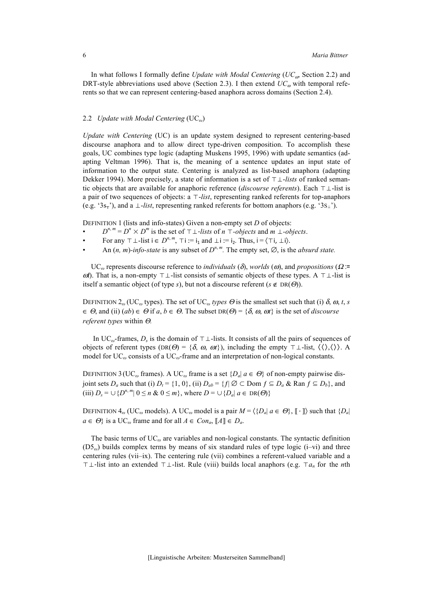In what follows I formally define *Update with Modal Centering* (*UC*<sub>ω</sub>, Section 2.2) and DRT-style abbreviations used above (Section 2.3). I then extend  $UC_{\omega}$  with temporal referents so that we can represent centering-based anaphora across domains (Section 2.4).

## 2.2 *Update with Modal Centering* (UC*ω*)

*Update with Centering* (UC) is an update system designed to represent centering-based discourse anaphora and to allow direct type-driven composition. To accomplish these goals, UC combines type logic (adapting Muskens 1995, 1996) with update semantics (adapting Veltman 1996). That is, the meaning of a sentence updates an input state of information to the output state. Centering is analyzed as list-based anaphora (adapting Dekker 1994). More precisely, a state of information is a set of  $\top \bot$ -lists of ranked semantic objects that are available for anaphoric reference *(discourse referents)*. Each  $T \perp$ -list is a pair of two sequences of objects:  $a \tau$ -list, representing ranked referents for top-anaphors (e.g. '3s<sub>T</sub>'), and a  $\perp$ *-list*, representing ranked referents for bottom anaphors (e.g. '3s<sub>⊥</sub>').

DEFINITION 1 (lists and info-states) Given a non-empty set *D* of objects:

- $D^{n,m} = D^n \times D^m$  is the set of  $\top \bot$ -lists of *n*  $\top$ -objects and *m*  $\bot$ -objects.
- For any  $\top \bot$ -list  $i \in D^{n, m}$ ,  $\top i := i_1$  and  $\bot i := i_2$ . Thus,  $i = \langle \top i, \bot i \rangle$ .
- An  $(n, m)$ -info-state is any subset of  $D^{n, m}$ . The empty set,  $\emptyset$ , is the *absurd state*.

UC<sub>ω</sub> represents discourse reference to *individuals* ( $\delta$ ), *worlds* ( $\omega$ ), and *propositions* ( $\Omega$  := ω*t*). That is, a non-empty  $\top$   $\bot$ -list consists of semantic objects of these types. A  $\top$   $\bot$ -list is itself a semantic object (of type *s*), but not a discourse referent ( $s \notin DR(\Theta)$ ).

DEFINITION  $2_{\omega}$  (UC<sub>ω</sub> types). The set of UC<sub>ω</sub> *types*  $\Theta$  is the smallest set such that (i)  $\delta$ ,  $\omega$ , *t*, *s*  $\in \Theta$ , and (ii) (*ab*)  $\in \Theta$  if *a*,  $b \in \Theta$ . The subset DR( $\Theta$ ) = { $\delta$ ,  $\omega$ ,  $\omega t$ } is the set of *discourse referent types* within Θ*.*

In UC<sub>ω</sub>-frames,  $D_s$  is the domain of  $\top \bot$ -lists. It consists of all the pairs of sequences of objects of referent types (DR( $\Theta$ ) = { $\delta$ ,  $\omega$ ,  $\omega t$ }), including the empty  $\top \bot$ -list,  $\langle \langle \rangle, \langle \rangle \rangle$ . A model for UC*ω* consists of a UC*ω*-frame and an interpretation of non-logical constants.

DEFINITION 3 (UC<sub>ω</sub> frames). A UC<sub>ω</sub> frame is a set  $\{D_a | a \in \Theta\}$  of non-empty pairwise disjoint sets  $D_a$  such that (i)  $D_t = \{1, 0\}$ , (ii)  $D_{ab} = \{f | \emptyset \subset \text{Dom } f \subseteq D_a \& \text{Ran } f \subseteq D_b\}$ , and (iii)  $D_s = \bigcup \{D^n, {^m} \mid 0 \leq n \& 0 \leq m\}$ , where  $D = \bigcup \{D_a \mid a \in \text{DR}(\Theta)\}$ 

DEFINITION  $4_{\omega}$  (UC<sub>ω</sub> models). A UC<sub>ω</sub> model is a pair  $M = \langle \{D_a | a \in \Theta \}, \llbracket \cdot \rrbracket \rangle$  such that  $\{D_a |$  $a \in \Theta$  is a UC<sub>ω</sub> frame and for all  $A \in Con_a$ ,  $\llbracket A \rrbracket \in D_a$ .

The basic terms of UC*ω* are variables and non-logical constants. The syntactic definition (D5*ω*) builds complex terms by means of six standard rules of type logic (i–vi) and three centering rules (vii–ix). The centering rule (vii) combines a referent-valued variable and a  $T \perp$ -list into an extended  $T \perp$ -list. Rule (viii) builds local anaphors (e.g.  $Ta_n$  for the *n*th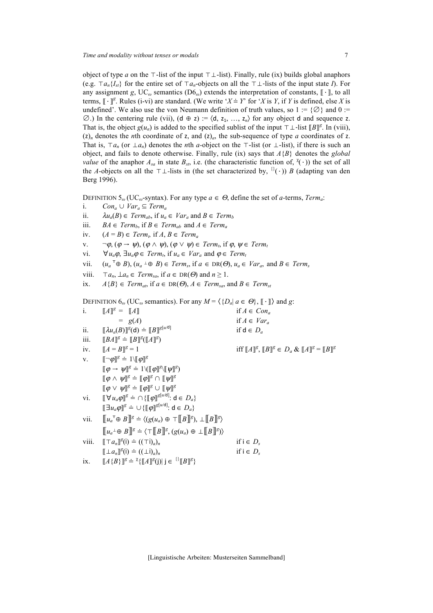object of type *a* on the  $\top$ -list of the input  $\top \bot$ -list). Finally, rule (ix) builds global anaphors (e.g.  $Ta_n\{I_{st}\}\$  for the entire set of  $Ta_n$ -objects on all the  $T\perp$ -lists of the input state *I*). For any assignment *g*, UC<sub>ω</sub> semantics (D6<sub>ω</sub>) extends the interpretation of constants,  $\|\cdot\|$ , to all terms,  $[\![\cdot]\!]^g$ . Rules (i-vi) are standard. (We write ' $X \doteq Y$ ' for '*X* is *Y*, if *Y* is defined, else *X* is undefined'. We also use the von Neumann definition of truth values, so  $1 := \{ \emptyset \}$  and  $0 :=$  $\emptyset$ .) In the centering rule (vii),  $(d \oplus z) := \langle d, z_1, ..., z_n \rangle$  for any object d and sequence z. That is, the object  $g(u_a)$  is added to the specified sublist of the input  $\top \bot$ -list  $[\![B]\!]^g$ . In (viii),  $(z)_n$  denotes the *n*th coordinate of z, and  $(z)_a$ , the sub-sequence of type *a* coordinates of z. That is,  $\tau a_n$  (or  $\perp a_n$ ) denotes the *n*th *a*-object on the  $\tau$ -list (or  $\perp$ -list), if there is such an object, and fails to denote otherwise. Finally, rule (ix) says that *A*{*B*} denotes the *global value* of the anaphor  $A_{sa}$  in state  $B_{st}$ , i.e. (the characteristic function of,  $\mathcal{X}(\cdot)$ ) the set of all the *A*-objects on all the  $\top \bot$ -lists in (the set characterized by,  $\{(\cdot)\}\$  *B* (adapting van den Berg 1996).

DEFINITION  $5_{\omega}$  (UC<sub>ω</sub>-syntax). For any type  $a \in \Theta$ , define the set of *a*-terms, *Term<sub>a</sub>*:

- i. *Con<sub>a</sub>*  $\cup$  *Var<sub>a</sub>*  $\subseteq$  *Term<sub>a</sub>*
- ii.  $\lambda u_a(B) \in \text{Term}_{ab}$ , if  $u_a \in \text{Var}_a$  and  $B \in \text{Term}_b$
- iii. *BA*  $\in$  *Term<sub>b</sub>*, if *B*  $\in$  *Term<sub>ab</sub>* and *A*  $\in$  *Term<sub>a</sub>*
- iv.  $(A = B) \in Term_b$  if  $A, B \in Term_a$
- v.  $\neg \varphi, (\varphi \rightarrow \psi), (\varphi \land \psi), (\varphi \lor \psi) \in \mathit{Term}_t$ , if  $\varphi, \psi \in \mathit{Term}_t$
- vi.  $\forall u_a \varphi, \exists u_a \varphi \in \mathit{Term}_t, \text{ if } u_a \in \mathit{Var}_a \text{ and } \varphi \in \mathit{Term}_t$
- vii.  $(u_a^{\top} \oplus B), (u_a^{\top} \oplus B) \in \text{Term}_s$ , if  $a \in DR(\Theta), u_a \in \text{Var}_a$ , and  $B \in \text{Term}_s$
- viii.  $\tau a_n$ ,  $\perp a_n \in \text{Term}_{sa}$ , if  $a \in DR(\Theta)$  and  $n \geq 1$ .
- ix. *A*{*B*}  $\in \text{Term}_{at}$ , if  $a \in \text{DR}(\Theta)$ ,  $A \in \text{Term}_{sa}$ , and  $B \in \text{Term}_{st}$

DEFINITION  $6<sub>\omega</sub>$  (UC<sub>ω</sub> semantics). For any  $M = \langle \{D_a | a \in \Theta \}, \|\cdot\|\rangle$  and *g*:

|      | i. $[[A]]^{g} = [[A]]$                                                                                                                             | if $A \in Con_a$                                         |
|------|----------------------------------------------------------------------------------------------------------------------------------------------------|----------------------------------------------------------|
|      | $= g(A)$                                                                                                                                           | if $A \in Var_a$                                         |
| ii.  | $\llbracket \lambda u_a(B) \rrbracket^g(\mathsf{d}) \doteq \llbracket B \rrbracket^{g[u/\mathsf{d}]}$                                              | if $d \in D_a$                                           |
| iii. | $[BA]^{g} \doteq [B]^{g}([A]^{g})$                                                                                                                 |                                                          |
| iv.  | $A = B^{8} = 1$                                                                                                                                    | iff $[A]^{g}$ , $[B]^{g} \in D_{a} \& [A]^{g} = [B]^{g}$ |
| V.   | $[\neg \varphi]$ <sup>g</sup> = $1 \setminus [\![ \varphi ]\!]$ <sup>g</sup>                                                                       |                                                          |
|      | $\llbracket \varphi \to \psi \rrbracket^g = 1 \setminus (\llbracket \varphi \rrbracket^g \setminus \llbracket \psi \rrbracket^g)$                  |                                                          |
|      | $\llbracket \varphi \wedge \psi \rrbracket^g \doteq \llbracket \varphi \rrbracket^g \cap \llbracket \psi \rrbracket^g$                             |                                                          |
|      | $\llbracket \varphi \vee \psi \rrbracket^g \doteq \llbracket \varphi \rrbracket^g \cup \llbracket \psi \rrbracket^g$                               |                                                          |
| vi.  | $\mathbb{T} \forall u_a \varphi \mathbb{T}^g \doteq \bigcap \{ \mathbb{T} \varphi \mathbb{T}^{g[u/\mathbf{d}]} : \mathbf{d} \in D_a \}$            |                                                          |
|      | $[\exists u_a \varphi]^{g} = \cup \{ [\![\varphi]\!]^{g[u/\mathsf{d}]} : \mathsf{d} \in D_a \}$                                                    |                                                          |
| vii. | $\llbracket u_a^\top \oplus B \rrbracket^g \doteq \langle (g(u_a) \oplus \top \llbracket B \rrbracket^g), \bot \llbracket B \rrbracket^g \rangle$  |                                                          |
|      | $\llbracket u_a \perp \oplus B \rrbracket^g \doteq \langle \top \llbracket B \rrbracket^g, (g(u_a) \oplus \bot \llbracket B \rrbracket^g) \rangle$ |                                                          |
|      | viii. $[\![\top a_n]\!]^g(i) \doteq ((\top i)_a)_n$                                                                                                | if $i \in D_s$                                           |
|      | $[\mathcal{L}a_n]^{g}$ (i) $\dot{=} ((\mathcal{L}i)_a)_n$                                                                                          | if $i \in D_s$                                           |
| ix.  | $[A{B}]^g = \mathcal{K}[\![A]\!]^g(i)   i \in {}^{13}[\![B]\!]^g$                                                                                  |                                                          |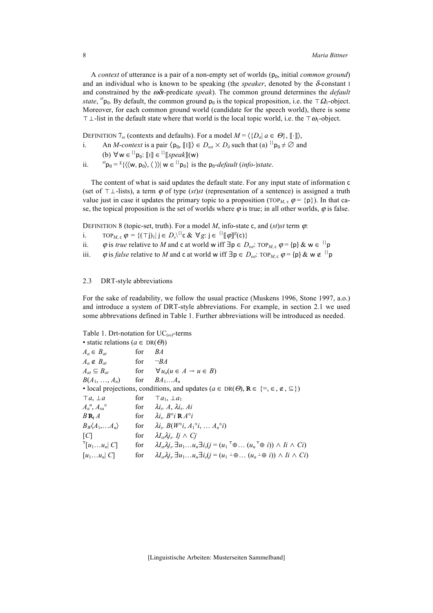A *context* of utterance is a pair of a non-empty set of worlds ( $p_0$ , initial *common ground*) and an individual who is known to be speaking (the *speaker*, denoted by the  $\delta$ -constant I and constrained by the ωδ*t-*predicate *speak*). The common ground determines the *default state*, <sup>*st*</sup>p<sub>0</sub>. By default, the common ground p<sub>0</sub> is the topical proposition, i.e. the  $\top \Omega_1$ -object. Moreover, for each common ground world (candidate for the speech world), there is some  $\top \bot$ -list in the default state where that world is the local topic world, i.e. the  $\top \omega_1$ -object.

DEFINITION 7<sub>ω</sub> (contexts and defaults). For a model  $M = \langle \{D_a | a \in \Theta \}, \llbracket \cdot \rrbracket \rangle$ ,

- i. An *M*-*context* is a pair  $\langle \mathbf{p}_0, \mathbf{I} \mathbf{I} \mathbf{I} \rangle \in D_{\omega t} \times D_{\delta}$  such that (a)  ${}^{\{ \}}\mathbf{p}_0 \neq \emptyset$  and (b)  $\forall w \in {}^{(i)}p_0$ :  $[1] \in {}^{(j)}[speak](w)$
- ii.  ${}^{st}p_0 = \chi(\langle w, p_0 \rangle, \langle \rangle) | w \in {}^{(3}p_0 \rangle$  is the  $p_0$ -*default (info-)state*.

The content of what is said updates the default state. For any input state of information c (set of  $\top \bot$ -lists), a term  $\varphi$  of type (*st*)*st* (representation of a sentence) is assigned a truth value just in case it updates the primary topic to a proposition (TOP<sub>M, c</sub>  $\varphi = \{p\}$ ). In that case, the topical proposition is the set of worlds where  $\varphi$  is true; in all other worlds,  $\varphi$  is false.

DEFINITION 8 (topic-set, truth). For a model *M*, info-state c, and  $(st)$ st term  $\varphi$ :

- i. TOP<sub>*M*, c</sub>  $\varphi = \{(\top j)_1 | j \in D_s \}^{\{ \}}$ **c** &  $\forall g: j \in {}^{^{f}\{g\}}[\varphi]$ <sup>g</sup>(**c**)}
- ii.  $\varphi$  is *true* relative to *M* and c at world w iff  $\exists p \in D_{\omega t}$ : TOP<sub>*M*, c  $\varphi = \{p\}$  & w  $\in$   $\{p\}$ </sub>
- iii.  $\varphi$  is *false* relative to *M* and c at world w iff  $\exists p \in D_{\omega}$ : TOP<sub>*M*, c  $\varphi = \{p\}$  & w  $\notin$  <sup>{}</sup>p</sub>

#### 2.3 DRT-style abbreviations

For the sake of readability, we follow the usual practice (Muskens 1996, Stone 1997, a.o.) and introduce a system of DRT-style abbreviations. For example, in section 2.1 we used some abbrevations defined in Table 1. Further abbreviations will be introduced as needed.

Table 1. Drt-notation for UC(*ω*)-terms

| • static relations ( $a \in DR(\Theta)$ )  |     |                                                                                                                                           |
|--------------------------------------------|-----|-------------------------------------------------------------------------------------------------------------------------------------------|
| $A_a \in B_{at}$                           | for | BА                                                                                                                                        |
| $A_a \notin B_{at}$                        | for | $\neg BA$                                                                                                                                 |
|                                            |     | $A_{at} \subseteq B_{at}$ for $\forall u_a (u \in A \rightarrow u \in B)$                                                                 |
| $B(A_1, , A_n)$ for                        |     | $BA_1A_n$                                                                                                                                 |
|                                            |     | • local projections, conditions, and updates ( $a \in DR(\Theta)$ , $\mathbf{R} \in \{=, \in, \notin, \subseteq\})$ )                     |
| $Ta, \perp a$                              | for | $Ta_1$ , $\perp a_1$                                                                                                                      |
| $A_a^{\circ}, A_{sa}^{\circ}$              |     | for $\lambda i_s$ , A, $\lambda i_s$ , Ai                                                                                                 |
| $B \mathbf{R}_i A$                         | for | $\lambda i_s$ , $B^\circ i \mathbf{R} A^\circ i$                                                                                          |
| $B_W\langle A_1,\ldots A_n\rangle$         | for | $\lambda i_s$ . $B(W^{\circ}i, A_1^{\circ}i, \ldots A_n^{\circ}i)$                                                                        |
| C                                          | for | $\lambda I_{st} \lambda j_s$ . Ij $\wedge$ Cj                                                                                             |
| $\left\lceil [u_1 \dots u_n] \right\rceil$ | for | $\lambda I_{st} \lambda j_s \exists u_1 \dots u_n \exists i_s (j = (u_1^\top \oplus \dots (u_n^\top \oplus i)) \land I_i \land C_i)$      |
| $[u_1u_n]$ $C$                             | for | $\lambda I_{st} \lambda j_s \exists u_1 \ldots u_n \exists i_s (j = (u_1 \perp \oplus \ldots (u_n \perp \oplus i)) \wedge I_i \wedge Ci)$ |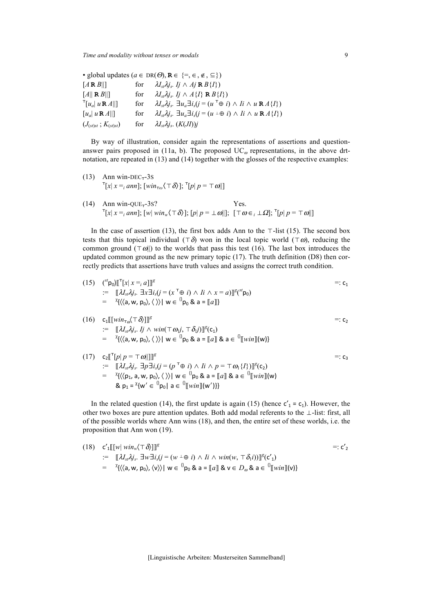• global updates  $(a \in DR(\Theta), \mathbf{R} \in \{\equiv, \in, \notin, \subseteq\})$  $[A \mathbf{R} B]]$  for  $\lambda I_{st} \lambda j_s$ .  $I_j \wedge A_j \mathbf{R} B \{I\}$  $[A \| \mathbf{R} B\|]$  for  $\lambda I_{st} \lambda j_s$ .  $Ij \wedge A \{I\} \mathbf{R} B \{I\})$  $\left\lceil u_a \right\vert u \mathbf{R} A \parallel \bigr]$  $[u_a | u \mathbf{R} A ||]$  for  $\lambda I_{st} \lambda j_s$ .  $\exists u_a \exists i_s (j = (u^\top \oplus i) \wedge I_i \wedge u \mathbf{R} A \{I\})$  $[u_a | u \mathbf{R} A$ ||] for  $\lambda I_{s} \lambda j_s$ .  $\exists u_a \exists i_s (j = (u \perp \oplus i) \wedge I_i \wedge u \mathbf{R} A$ {*I*})  $(J_{(s,t)st}$ ;  $K_{(s,t)st})$  for  $\lambda I_{s,t}\lambda j_s$ .  $(K(JI))j$ 

By way of illustration, consider again the representations of assertions and questionanswer pairs proposed in (11a, b). The proposed  $UC_{\omega}$  representations, in the above drtnotation, are repeated in (13) and (14) together with the glosses of the respective examples:

(13) Ann win-DEC<sub>T</sub>-3S  
<sup>T</sup>[
$$
x | x =_i ann
$$
]; [ $win_{\tau\omega}$  $\langle \top \delta \rangle$ ]; <sup>T</sup>[ $p | p = \top \omega$ ]]

(14) Ann win-QUE<sub>τ</sub>-3s? Yes.  
\n<sup>T</sup>[
$$
x | x =_i ann
$$
]; [ $w | win_w \langle \top \delta \rangle$ ]; [ $p | p = \bot \omega$ ]]; [ $\top \omega \in_i \bot \Omega$ ]; <sup>T</sup>[ $p | p = \top \omega$ ]]]

In the case of assertion (13), the first box adds Ann to the  $\top$ -list (15). The second box tests that this topical individual ( $\tau \delta$ ) won in the local topic world ( $\tau \omega$ ), reducing the common ground ( $\tau \omega$ ) to the worlds that pass this test (16). The last box introduces the updated common ground as the new primary topic  $(17)$ . The truth definition  $(D8)$  then correctly predicts that assertions have truth values and assigns the correct truth condition.

(15) 
$$
\begin{aligned}\n(^{s'}\mathsf{p}_0)[\![\top[\![x]\!|\,x =_i a]\!] \!]^g \\
&:= [\![\lambda J_{s'}\lambda j_s, \exists x \exists i_s (j = (x \top \oplus i) \land I i \land x = a)] \!]^g(^{s'}\mathsf{p}_0) \\
&= \mathcal{X}\{\langle \langle \mathsf{a}, \mathsf{w}, \mathsf{p}_0 \rangle, \langle \rangle \rangle | \mathsf{w} \in {}^{t^1}\mathsf{p}_0 \& \mathsf{a} = [\![a]\!]\}\n\end{aligned}
$$

(16) 
$$
c_1[[\psi in_{\tau\omega}(\tau\,\delta)]]^g = c_2
$$
  
:= 
$$
[\![\lambda J_{s1}\lambda j_s.\,Ij \wedge \psi in(\tau\,\omega_1 j, \tau\,\delta_1 j)]]^g(c_1)
$$
  
= 
$$
^{\chi}\{\langle a, w, p_0 \rangle, \langle \rangle\} \mid w \in {}^{(1)}p_0 \& a = [\![a]\!]\& a \in {}^{(1)}[\![\psi in]\!](w)\}
$$

(17) 
$$
c_2[\![\top[p] \ p = \top \omega\!]\!] \]^g
$$
  
\n
$$
:= [\![\lambda I_{s1} \lambda J_{s}.\ ]\!] = \mathbb{I} \alpha I_{s1} \lambda J_{s}.\ ] = \mathbb{I} \alpha I_{s2} \lambda J_{s}.\ ] = \mathbb{I} \alpha I_{s1} \lambda J_{s1} \lambda J_{s1} \lambda J_{s2} = \mathbb{I} \alpha I_{s1} \alpha I_{s2} \lambda J_{s3} \lambda J_{s3} = \mathbb{I} \alpha I_{s1} \alpha I_{s2} \alpha I_{s3} \alpha I_{s4} = \mathbb{I} \alpha I_{s1} \alpha I_{s2} \alpha I_{s3} \alpha I_{s4} = \mathbb{I} \alpha I_{s1} \alpha I_{s3} \alpha I_{s4} = \mathbb{I} \alpha I_{s1} \alpha I_{s3} \alpha I_{s4} = \mathbb{I} \alpha I_{s4} \alpha I_{s5} \alpha I_{s5} = \mathbb{I} \alpha I_{s4} \alpha I_{s5} \alpha I_{s5} = \mathbb{I} \alpha I_{s4} \alpha I_{s5} \alpha I_{s5} = \mathbb{I} \alpha I_{s4} \alpha I_{s5} \alpha I_{s5} = \mathbb{I} \alpha I_{s4} \alpha I_{s5} \alpha I_{s4} = \mathbb{I} \alpha I_{s4} \alpha I_{s5} \alpha I_{s4} = \mathbb{I} \alpha I_{s4} \alpha I_{s5} \alpha I_{s5} = \mathbb{I} \alpha I_{s4} \alpha I_{s5} \alpha I_{s5} = \mathbb{I} \alpha I_{s4} \alpha I_{s5} \alpha I_{s5} = \mathbb{I} \alpha I_{s4} \alpha I_{s5} \alpha I_{s5} = \mathbb{I} \alpha I_{s4} \alpha I_{s5} \alpha I_{s5} = \mathbb{I} \alpha I_{s4} \alpha I_{s5} \alpha I_{s5} = \mathbb{I} \alpha I_{s4} \alpha I_{s5} \alpha I_{s5} = \mathbb{I} \alpha I_{s4} \alpha I_{s5} \alpha I_{s5} = \mathbb{I} \alpha I_{s4} \alpha I_{s5} \alpha I_{s5} = \mathbb{I} \alpha I_{s4} \alpha I_{s5} \alpha I_{s5} = \mathbb{I} \alpha I_{s
$$

In the related question (14), the first update is again (15) (hence  $c'_1 = c_1$ ). However, the other two boxes are pure attention updates. Both add modal referents to the  $\perp$ -list: first, all of the possible worlds where Ann wins (18), and then, the entire set of these worlds, i.e. the proposition that Ann won (19).

(18) 
$$
\mathbf{c'}_1[[[w] \text{ win}_w \langle \top \delta \rangle]]^g =: \mathbf{c'}_2
$$
  
:= 
$$
[\![\lambda J_{st}\lambda j_s, \exists w \exists i_s (j = (w + \oplus i) \land Ii \land win(w, \top \delta_1 i))]^g(\mathbf{c'}_1)
$$
  
= 
$$
^x\{\langle \langle \mathbf{a}, \mathbf{w}, \mathbf{p}_0 \rangle, \langle \mathbf{v} \rangle \rangle | \mathbf{w} \in {}^0\mathbf{p}_0 \& \mathbf{a} = [\![a]\!] \& \mathbf{v} \in D_{\omega} \& \mathbf{a} \in {}^0[\![win]\!](\mathbf{v})\}
$$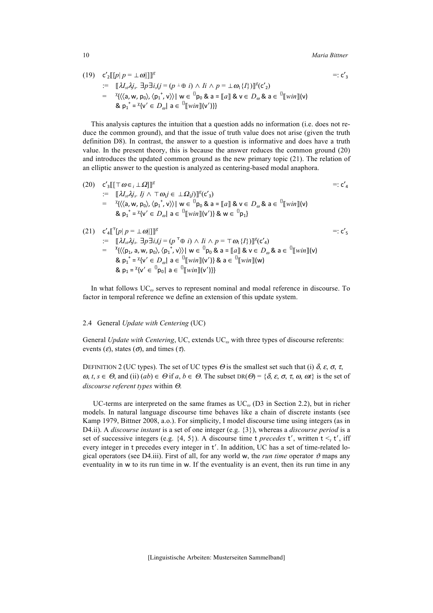10 *Maria Bittner*

(19) 
$$
\mathbf{c}'_2 \llbracket [p | p = \perp \omega] \rrbracket \rrbracket^g = \llbracket \mathcal{U}_{s'} \mathcal{U}_{s} \cdot \exists p \exists i_s (j = (p \perp \oplus i) \land Ii \land p = \perp \omega_1 \{I\}) \rrbracket^g(\mathbf{c}'_2)
$$
  
\n
$$
= \sqrt[2\lambda] \mathcal{U}_{s'} \mathcal{U}_{s} \cdot \exists p \exists i_s (j = (p \perp \oplus i) \land Ii \land p = \perp \omega_1 \{I\}) \rrbracket^g(\mathbf{c}'_2)
$$
  
\n
$$
= \sqrt[2\lambda] \mathcal{U}_{s'} \mathcal{U}_{s} \cdot \exists p \exists i_s (j = (p \perp \oplus i) \land Ii \land p = \perp \omega_1 \{I\}) \rrbracket^g(\mathbf{c}'_2)
$$
  
\n
$$
= \sqrt[2\lambda] \mathcal{U}_{s'} \mathcal{U}_{s} \cdot \exists p \exists i_s (j = (p \perp \oplus i) \land Ii \land p = \perp \omega_1 \{I\} \} \rrbracket^g(\mathbf{c}'_2)
$$
  
\n
$$
\approx p_1^+ = \sqrt[2\lambda] \mathcal{U}_{s'} \mathcal{U}_{s'} \cdot \mathcal{U}_{s'} \cdot \mathcal{U}_{s'} \cdot \mathcal{U}_{s'} \cdot \mathcal{U}_{s'} \cdot \mathcal{U}_{s'} \cdot \mathcal{U}_{s'} \cdot \mathcal{U}_{s'} \cdot \mathcal{U}_{s'} \cdot \mathcal{U}_{s'} \cdot \mathcal{U}_{s'} \cdot \mathcal{U}_{s'} \cdot \mathcal{U}_{s'} \cdot \mathcal{U}_{s'} \cdot \mathcal{U}_{s'} \cdot \mathcal{U}_{s'} \cdot \mathcal{U}_{s'} \cdot \mathcal{U}_{s'} \cdot \mathcal{U}_{s'} \cdot \mathcal{U}_{s'} \cdot \mathcal{U}_{s'} \cdot \mathcal{U}_{s'} \cdot \mathcal{U}_{s'} \cdot \mathcal{U}_{s'} \cdot \mathcal{U}_{s'} \cdot \mathcal{U}_{s'} \cdot \mathcal{U}_{s'} \cdot \mathcal{U}_{s'} \cdot \mathcal{U}_{s'} \cdot \mathcal{U}_{s'} \cdot \mathcal{U}_{s'} \cdot \mathcal{U}_{s'} \cdot \mathcal{U}_{s'} \cdot \mathcal{
$$

This analysis captures the intuition that a question adds no information (i.e. does not reduce the common ground), and that the issue of truth value does not arise (given the truth definition D8). In contrast, the answer to a question is informative and does have a truth value. In the present theory, this is because the answer reduces the common ground (20) and introduces the updated common ground as the new primary topic (21). The relation of an elliptic answer to the question is analyzed as centering-based modal anaphora.

(20) 
$$
\mathbf{c}'_3 \llbracket [\top \omega \in \mathbf{L} \Omega] \rrbracket^g \qquad \qquad =: \mathbf{c}'_4
$$
  
\n
$$
= \llbracket \lambda J_{st} \lambda j_s \cdot Ij \wedge \top \omega_j j \in \bot \Omega_j j \rrbracket^g(\mathbf{c}'_3)
$$
  
\n
$$
= \langle \langle \langle \mathbf{a}, \mathbf{w}, \mathbf{p}_0 \rangle, \langle \mathbf{p}_1^+, \mathbf{v} \rangle \rangle \mid \mathbf{w} \in {}^{0} \mathbf{p}_0 \& \mathbf{a} = \llbracket a \rrbracket \& \mathbf{v} \in D_{\omega} \& \mathbf{a} \in {}^{0} \llbracket \text{win} \rrbracket(\mathbf{v})
$$
  
\n
$$
\& \mathbf{p}_1^+ = \langle \mathbf{v}' \in D_{\omega} \mid \mathbf{a} \in {}^{0} \llbracket \text{win} \rrbracket(\mathbf{v}') \rbrace \& \mathbf{w} \in {}^{0} \mathbf{p}_1 \rangle
$$

(21) 
$$
\mathbf{c}'_4[\mathbf{T}[p|p = \perp \omega]]]]^g =: \mathbf{c}'_5
$$
  
\n
$$
= [\!\!\!\begin{array}{c} [\lambda J_{st}\lambda J_s, \exists p \exists i_s (j = (p \top \oplus i) \land Ii \land p = \top \omega_1 \{I\})]\!]^g(\mathbf{c}'_4) \\ = \lambda \{(\langle p_1, a, w, p_0 \rangle, \langle p_1^+, v \rangle) \mid w \in {}^{(1)}p_0 \& a = [\![a]\!] \& v \in D_{\omega} \& a \in {}^{(1)}[\![win]\!](v) \} \\ & \& p_1^+ = \lambda \{v' \in D_{\omega} | a \in {}^{(1)}[\![win]\!](v')\} \& a \in {}^{(1)}[\![win]\!](w) \\ & \& p_1 = \lambda \{v' \in {}^{(1)}p_0 | a \in {}^{(1)}[\![win]\!](v')\} \} \end{array}
$$

In what follows UC*<sup>ω</sup>* serves to represent nominal and modal reference in discourse. To factor in temporal reference we define an extension of this update system.

## 2.4 General *Update with Centering* (UC)

General *Update with Centering*, UC, extends UC*ω* with three types of discourse referents: events  $(\varepsilon)$ , states  $(\sigma)$ , and times  $(\tau)$ .

DEFINITION 2 (UC types). The set of UC types  $\Theta$  is the smallest set such that (i)  $\delta$ ,  $\varepsilon$ ,  $\sigma$ ,  $\tau$ ,  $\omega$ ,  $t, s \in \Theta$ , and (ii)  $(ab) \in \Theta$  if  $a, b \in \Theta$ . The subset DR( $\Theta$ ) = { $\delta$ ,  $\varepsilon$ ,  $\sigma$ ,  $\tau$ ,  $\omega$ ,  $\omega t$ } is the set of *discourse referent types* within Θ.

UC-terms are interpreted on the same frames as UC*ω* (D3 in Section 2.2), but in richer models. In natural language discourse time behaves like a chain of discrete instants (see Kamp 1979, Bittner 2008, a.o.). For simplicity, I model discourse time using integers (as in D4.ii). A *discourse instant* is a set of one integer (e.g. {3}), whereas a *discourse period* is a set of successive integers (e.g.  $\{4, 5\}$ ). A discourse time t *precedes* t', written t  $\leq_t t'$ , iff every integer in t precedes every integer in t'. In addition, UC has a set of time-related logical operators (see D4.iii). First of all, for any world w, the *run time* operator  $\vartheta$  maps any eventuality in w to its run time in w. If the eventuality is an event, then its run time in any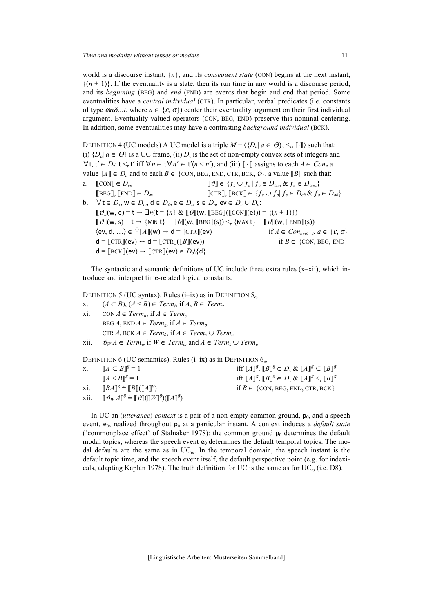world is a discourse instant,  $\{n\}$ , and its *consequent state* (CON) begins at the next instant,  ${(n+1)}$ . If the eventuality is a state, then its run time in any world is a discourse period, and its *beginning* (BEG) and *end* (END) are events that begin and end that period. Some eventualities have a *central individual* (CTR). In particular, verbal predicates (i.e. constants of type  $\omega a \delta_{n} t$ , where  $a \in {\{\epsilon, \sigma\}}$  center their eventuality argument on their first individual argument. Eventuality-valued operators (CON, BEG, END) preserve this nominal centering. In addition, some eventualities may have a contrasting *background individual* (BCK).

DEFINITION 4 (UC models) A UC model is a triple  $M = \langle \{D_a | a \in \Theta \}, \leq_{\tau} \llbracket \cdot \rrbracket \}$  such that: (i)  $\{D_a | a \in \Theta\}$  is a UC frame, (ii)  $D<sub>\tau</sub>$  is the set of non-empty convex sets of integers and  $\forall$  **t**, **t**<sup> $\leq$ </sup> *E* $\leq$  *t*<sub> $\leq$ </sub> **t**<sup> $\leq$ </sup> iff  $\forall$  *n*  $\in$  **t** $\forall$  *n*<sup> $\leq$ </sup> **e**  $t'$  $(n \leq n')$ , and (iii)  $\llbracket \cdot \rrbracket$  assigns to each  $A \in Con_a$  a value  $\llbracket A \rrbracket \in D_a$  and to each  $B \in \{\text{CON, BEG, END, CTR, BCK, } \vartheta\}$ , a value  $\llbracket B \rrbracket$  such that: a. CON ∈ *Dεσ* ϑ ∈ {ƒ*<sup>ε</sup>* ∪ ƒ*<sup>σ</sup>* | ƒ*<sup>ε</sup>* ∈ *Dωετ* & ƒ*<sup>σ</sup>* ∈ *Dωστ*}  $[\text{BEG}], [\text{END}]\in D_{\sigma \varepsilon}$   $[\text{CTR}], [\text{BCK}]\in \{f_{\varepsilon} \cup f_{\sigma} | f_{\varepsilon} \in D_{\varepsilon \delta} \& f_{\sigma} \in D_{\sigma \delta}\}\$ b.  $\forall t \in D_{\tau}, w \in D_{\omega}, d \in D_{\delta}, e \in D_{\epsilon}, s \in D_{\sigma}, ev \in D_{\epsilon} \cup D_{\sigma}$ .  $\llbracket \vartheta \rrbracket(\mathbf{w}, \mathbf{e}) = \mathbf{t} \rightarrow \exists n(\mathbf{t} = \{n\} \& \llbracket \vartheta \rrbracket(\mathbf{w}, \llbracket \text{BEG} \rrbracket(\llbracket \text{CON} \rrbracket(\mathbf{e}))) = \{(n + 1)\}\}\$  $[\![\vartheta]\!](w, s) = t \to \{m \in \mathbb{N} \mid t\} = [\![\vartheta]\!](w, [\![\text{BEG}]\!](s)) \leq t \{m \in \mathbb{N} \mid t\} = [\![\vartheta]\!](w, [\![\text{END}]\!](s))$  $\langle$ ev, d, ... $\rangle \in \{A\}$ <sup>(w)</sup>  $\rightarrow$  d = [CTR](ev) if  $A \in Con_{\omega a\delta...t}$ ,  $a \in \{\varepsilon, \sigma\}$  $d = [CTR](ev) \leftrightarrow d = [CTR]( [B](ev))$  if  $B \in \{CON, BEG, END\}$  $d = \text{Re }K \cdot \text{Re }V \rightarrow \text{Re }K \cdot \text{Re }D_{\delta} \setminus \{d\}$ 

The syntactic and semantic definitions of UC include three extra rules  $(x-xii)$ , which introduce and interpret time-related logical constants.

DEFINITION 5 (UC syntax). Rules (i–ix) as in DEFINITION 5*<sup>ω</sup>*

- x.  $(A \subset B), (A \le B) \in Term_t, \text{ if } A, B \in Term_t$ xi. CON  $A \in Term_{\sigma}$ , if  $A \in Term_{\varepsilon}$  $\text{BEG } A$ ,  $\text{END } A \in \text{Term}_\varepsilon$ , if  $A \in \text{Term}_\sigma$  $CTR A$ ,  $BCK A \in Term_{\delta}$ , if  $A \in Term_{\epsilon} \cup Term_{\sigma}$
- xii.  $\vartheta_W A \in \text{Term}_{\tau}$ , if  $W \in \text{Term}_{\omega}$  and  $A \in \text{Term}_{\epsilon} \cup \text{Term}_{\sigma}$

DEFINITION 6 (UC semantics). Rules (i–ix) as in DEFINITION 6*<sup>ω</sup>*

| X.   | $\mathbb{I}A \subset B\mathbb{I}^s = 1$                                                 | iff $[A]^g$ , $[B]^g \in D_{\tau} \& [A]^g \subset [B]^g$     |
|------|-----------------------------------------------------------------------------------------|---------------------------------------------------------------|
|      | $A < B\mathbb{I}^g = 1$                                                                 | iff $[A]^g$ , $[B]^g \in D_{\tau} \& [A]^g \leq_{\tau} [B]^g$ |
| xi.  | $[[BA]]^g \doteq [[B]]([A]]^g)$                                                         | if $B \in \{CON, BEG, END, CTR, BCK\}$                        |
| xii. | $[\![\,\mathcal{V}_W\,A]\!]^g \doteq [\![\,\mathcal{V}]\!] ([\![W]\!]^g) ([\![A]\!]^g)$ |                                                               |

In UC an *(utterance) context* is a pair of a non-empty common ground,  $p_0$ , and a speech event,  $e_0$ , realized throughout  $p_0$  at a particular instant. A context induces a *default state* ('commonplace effect' of Stalnaker 1978): the common ground  $p_0$  determines the default modal topics, whereas the speech event  $e_0$  determines the default temporal topics. The modal defaults are the same as in UC*ω*. In the temporal domain, the speech instant is the default topic time, and the speech event itself, the default perspective point (e.g. for indexicals, adapting Kaplan 1978). The truth definition for UC is the same as for UC*ω* (i.e. D8).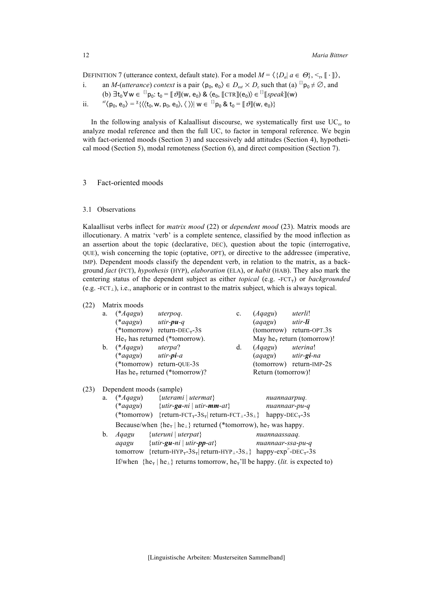DEFINITION 7 (utterance context, default state). For a model  $M = \langle D_a | a \in \Theta \rangle, \langle \xi, \psi \psi \rangle$ ,

i. an *M*-(*utterance*) *context* is a pair  $\langle \mathbf{p}_0, \mathbf{e}_0 \rangle \in D_{\omega t} \times D_{\varepsilon}$  such that (a)  ${}^{(1)}\mathbf{p}_0 \neq \emptyset$ , and

(b) 
$$
\exists t_0 \forall w \in \mathcal{H}_{p_0}: t_0 = [\![\![\vartheta]\!](w, e_0) \& \langle e_0, [\![\text{CTR}]\!](e_0) \rangle \in \mathcal{H}_{p_0}[\![\text{Spec } k]\!](w)
$$

ii.  $s' \langle p_0, e_0 \rangle = \chi \langle \langle t_0, w, p_0, e_0 \rangle, \langle \rangle | w \in {}^{(1)}p_0 \& t_0 = [{\mathcal C}^1] (w, e_0) \rangle$ 

In the following analysis of Kalaallisut discourse, we systematically first use UC*<sup>ω</sup>* to analyze modal reference and then the full UC, to factor in temporal reference. We begin with fact-oriented moods (Section 3) and successively add attitudes (Section 4), hypothetical mood (Section 5), modal remoteness (Section 6), and direct composition (Section 7).

## 3 Fact-oriented moods

#### 3.1 Observations

Kalaallisut verbs inflect for *matrix mood* (22) or *dependent mood* (23). Matrix moods are illocutionary. A matrix 'verb' is a complete sentence, classified by the mood inflection as an assertion about the topic (declarative, DEC), question about the topic (interrogative, QUE), wish concerning the topic (optative, OPT), or directive to the addressee (imperative, IMP). Dependent moods classify the dependent verb, in relation to the matrix, as a background *fact* (FCT), *hypothesis* (HYP), *elaboration* (ELA), or *habit* (HAB). They also mark the centering status of the dependent subject as either *topical* (e.g. -FCT<sub>T</sub>) or *backgrounded* (e.g. -FCT⊥), i.e., anaphoric or in contrast to the matrix subject, which is always topical.

### (22) Matrix moods

| a. | $(*Aqagu)$               | uterpoq.                                                  | c. | (Aqagu)            | uterli!                                                |
|----|--------------------------|-----------------------------------------------------------|----|--------------------|--------------------------------------------------------|
|    | $(*aqagu)$               | $utir$ -pu- $q$                                           |    | (aqagu)            | utir-li                                                |
|    |                          | (*tomorrow) return-DEC <sub>T</sub> -3S                   |    |                    | (tomorrow) return-OPT.3S                               |
|    |                          | $HeT$ has returned (*tomorrow).                           |    |                    | May he <sub><math>\tau</math></sub> return (tomorrow)! |
| b. | $(*Aqagu)$               | uterpa?                                                   | d. | (Aqagu)            | uterina!                                               |
|    | $(*aqaqu)$ utir-pi-a     |                                                           |    | (aqagu)            | utir-g <b>i</b> -na                                    |
|    |                          | (*tomorrow) return-QUE-3S                                 |    |                    | (tomorrow) return-IMP-2S                               |
|    |                          | Has he <sub><math>\tau</math></sub> returned (*tomorrow)? |    | Return (tomorrow)! |                                                        |
|    |                          |                                                           |    |                    |                                                        |
|    | Dependent moods (sample) |                                                           |    |                    |                                                        |

# $(23)$

| a. | $(*Aqagu)$  | ${uterami   utermat}$                                                                                                                  | nuannaarpuq.      |
|----|-------------|----------------------------------------------------------------------------------------------------------------------------------------|-------------------|
|    | $(*aqagu)$  | ${$ u t i r-ga-ni   utir-mm-at $}$                                                                                                     | nuannaar-pu-q     |
|    | (*tomorrow) | {return-FCT <sub>T</sub> -3S <sub>T</sub>   return-FCT <sub>1</sub> -3S <sub>1</sub> } happy-DEC <sub>T</sub> -3S                      |                   |
|    |             | Because/when ${he\tau}$   he <sub><math>\perp</math></sub> } returned (*tomorrow), he <sub><math>\tau</math></sub> was happy.          |                   |
| b. | Agagu       | $\{$ uteruni   uterpat $\}$                                                                                                            | nuannaassaaq.     |
|    | aqagu       | ${$ u t i r-gu-ni   utir-pp-at $}$                                                                                                     | nuannaar-ssa-pu-q |
|    | tomorrow    | {return-HYP <sub>T</sub> -3S <sub>T</sub>   return-HYP <sub>1</sub> -3S <sub>1</sub> } happy-exp <sup>&gt;</sup> -DEC <sub>T</sub> -3S |                   |
|    |             | If/when ${he_{\tau}   he_{\bot}}$ returns tomorrow, $he_{\tau}$ 'll be happy. ( <i>lit.</i> is expected to)                            |                   |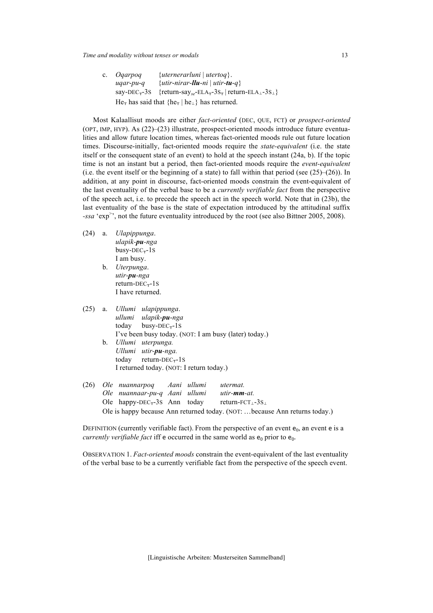*Time and modality without tenses or modals* 13

| c. <i>Ogarpog</i> | $\{$ uternerarluni   utertog $\}$ .                                                                                                |
|-------------------|------------------------------------------------------------------------------------------------------------------------------------|
| $uqar-pu-q$       | $\{utir-nirar-llu-ni \mid utir-tu-q\}$                                                                                             |
|                   | say-DEC <sub>T</sub> -3S {return-say <sub>se</sub> -ELA <sub>T</sub> -3S <sub>T</sub>   return-ELA <sub>1</sub> -3S <sub>1</sub> } |
|                   | $He_{\tau}$ has said that $\{he_{\tau} \mid he_{\bot}\}$ has returned.                                                             |

Most Kalaallisut moods are either *fact-oriented* (DEC, QUE, FCT) or *prospect-oriented*  (OPT, IMP, HYP). As  $(22)$ – $(23)$  illustrate, prospect-oriented moods introduce future eventualities and allow future location times, whereas fact-oriented moods rule out future location times. Discourse-initially, fact-oriented moods require the *state-equivalent* (i.e. the state itself or the consequent state of an event) to hold at the speech instant (24a, b). If the topic time is not an instant but a period, then fact-oriented moods require the *event-equivalent* (i.e. the event itself or the beginning of a state) to fall within that period (see  $(25)–(26)$ ). In addition, at any point in discourse, fact-oriented moods constrain the event-equivalent of the last eventuality of the verbal base to be a *currently verifiable fact* from the perspective of the speech act, i.e. to precede the speech act in the speech world. Note that in (23b), the last eventuality of the base is the state of expectation introduced by the attitudinal suffix -ssa 'exp<sup>></sup>', not the future eventuality introduced by the root (see also Bittner 2005, 2008).

- (24) a. *Ulapippunga*. *ulapik-pu-nga* busy- $DEC_{T}$ -1S I am busy.
	- b. *Uterpunga*. *utir-pu-nga* return-DEC<sub> $\tau$ </sub>-1S I have returned.
- (25) a. *Ullumi ulapippunga*. *ullumi ulapik*-*pu*-*nga* today busy- $DEC_T$ -1S I've been busy today. (NOT: I am busy (later) today.) b. *Ullumi uterpunga. Ullumi utir-pu-nga.* today return- $DEC_{T}$ -1S I returned today. (NOT: I return today.)
- (26) *Ole nuannarpoq Aani ullumi utermat. Ole nuannaar-pu-q Aani ullumi utir-mm-at.* Ole happy-DEC<sub>T</sub>-3S Ann today return-FCT<sub>⊥</sub>-3S<sub>⊥</sub> Ole is happy because Ann returned today. (NOT: …because Ann returns today.)

DEFINITION (currently verifiable fact). From the perspective of an event  $e_0$ , an event e is a *currently verifiable fact* iff e occurred in the same world as  $e_0$  prior to  $e_0$ .

OBSERVATION 1. *Fact-oriented moods* constrain the event-equivalent of the last eventuality of the verbal base to be a currently verifiable fact from the perspective of the speech event.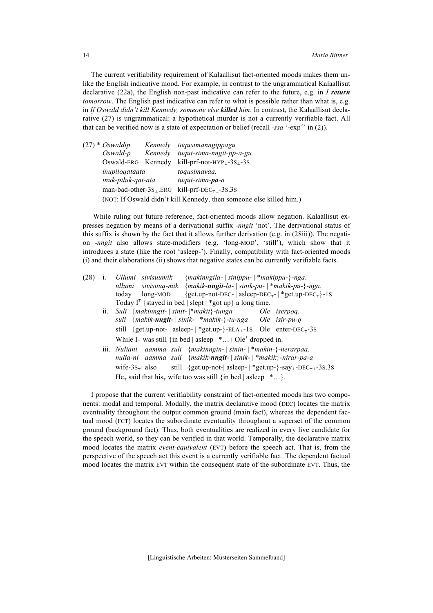The current verifiability requirement of Kalaallisut fact-oriented moods makes them unlike the English indicative mood. For example, in contrast to the ungrammatical Kalaallisut declarative (22a), the English non-past indicative can refer to the future, e.g. in *I return tomorrow*. The English past indicative can refer to what is possible rather than what is, e.g. in *If Oswald didn't kill Kennedy, someone else killed him*. In contrast, the Kalaallisut declarative (27) is ungrammatical: a hypothetical murder is not a currently verifiable fact. All that can be verified now is a state of expectation or belief (recall  $-ssa$   $-cxp$ <sup> $\ge$ ,</sup> in (2)).

|                                                                              | $(27) * Oswaldip$  |  | Kennedy toqusimanngippagu                                             |
|------------------------------------------------------------------------------|--------------------|--|-----------------------------------------------------------------------|
|                                                                              | $Oswald-p$         |  | Kennedy tuqut-sima-nngit-pp-a-gu                                      |
|                                                                              |                    |  | Oswald-ERG Kennedy kill-prf-not-HYP <sub>1</sub> -3S <sub>1</sub> -3S |
|                                                                              | inupiloqataata     |  | toqusimavaa.                                                          |
|                                                                              | inuk-piluk-qat-ata |  | tuqut-sima-pa-a                                                       |
| man-bad-other-3 $s_{\perp}$ .ERG kill-prf-DEC <sub>T</sub> $_{\perp}$ -3s.3s |                    |  |                                                                       |
|                                                                              |                    |  | (NOT: If Oswald didn't kill Kennedy, then someone else killed him.)   |

While ruling out future reference, fact-oriented moods allow negation. Kalaallisut expresses negation by means of a derivational suffix *-nngit* 'not'. The derivational status of this suffix is shown by the fact that it allows further derivation (e.g. in (28iii)). The negation *-nngit* also allows state-modifiers (e.g. 'long-MOD', 'still'), which show that it introduces a state (like the root 'asleep-'). Finally, compatibility with fact-oriented moods (i) and their elaborations (ii) shows that negative states can be currently verifiable facts.

| (28)                                                                 | 1. | ${mathingila -  sinippu -  *makippu - }-nga.$<br>Ullumi sivisuumik                                                 |  |  |  |
|----------------------------------------------------------------------|----|--------------------------------------------------------------------------------------------------------------------|--|--|--|
|                                                                      |    | ullumi sivisuuq-mik {makik- <b>nngit</b> -la-   sinik-pu-   *makik-pu-}-nga.                                       |  |  |  |
|                                                                      |    | $\{get.up-not-DEC-  asleep-DECT-  *get.up-DECT\}$ -1s<br>today<br>$long-MOD$                                       |  |  |  |
|                                                                      |    | Today $I^{\dagger}$ {stayed in bed   slept   *got up} a long time.                                                 |  |  |  |
|                                                                      |    |                                                                                                                    |  |  |  |
|                                                                      |    | suli {makik- <b>nngit</b> -   sinik-   *makik-}-tu-nga Ole isir-pu-q                                               |  |  |  |
|                                                                      |    | still {get.up-not-   asleep-   *get.up- }-ELA <sub>1</sub> -1S Ole enter- $DEC_T$ -3s                              |  |  |  |
|                                                                      |    | While I <sup><math>\perp</math></sup> was still {in bed   asleep   *} Ole <sup>T</sup> dropped in.                 |  |  |  |
|                                                                      |    | iii. Nuliani aamma suli {makinngin- sinin- *makin-}-nerarpaa.                                                      |  |  |  |
| nulia-ni aamma suli {makik- <b>nngit</b> - sinik- *makik}-nirar-pa-a |    |                                                                                                                    |  |  |  |
|                                                                      |    | still {get.up-not-  asleep-   *get.up-}-say <sub>1</sub> -DEC <sub>T</sub> <sub>1</sub> -3s.3s<br>wife- $3sT$ also |  |  |  |
|                                                                      |    | $He_{\tau}$ said that his <sub><math>\tau</math></sub> wife too was still {in bed   asleep   *}.                   |  |  |  |

I propose that the current verifiability constraint of fact-oriented moods has two components: modal and temporal. Modally, the matrix declarative mood (DEC) locates the matrix eventuality throughout the output common ground (main fact), whereas the dependent factual mood (FCT) locates the subordinate eventuality throughout a superset of the common ground (background fact). Thus, both eventualities are realized in every live candidate for the speech world, so they can be verified in that world. Temporally, the declarative matrix mood locates the matrix *event-equivalent* (EVT) before the speech act. That is, from the perspective of the speech act this event is a currently verifiable fact. The dependent factual mood locates the matrix EVT within the consequent state of the subordinate EVT. Thus, the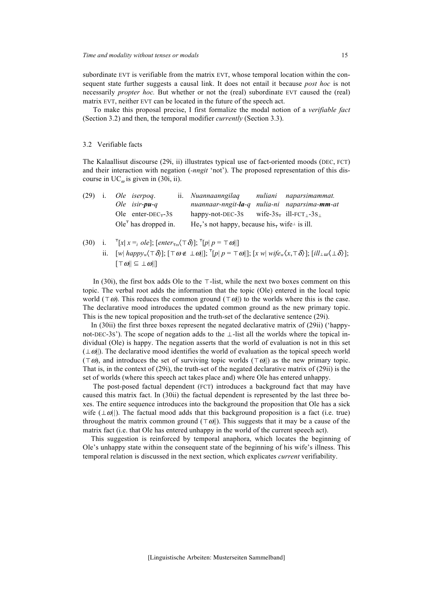subordinate EVT is verifiable from the matrix EVT, whose temporal location within the consequent state further suggests a causal link. It does not entail it because *post hoc* is not necessarily *propter hoc.* But whether or not the (real) subordinate EVT caused the (real) matrix EVT, neither EVT can be located in the future of the speech act.

To make this proposal precise, I first formalize the modal notion of a *verifiable fact*  (Section 3.2) and then, the temporal modifier *currently* (Section 3.3).

#### 3.2 Verifiable facts

The Kalaallisut discourse (29i, ii) illustrates typical use of fact-oriented moods (DEC, FCT) and their interaction with negation (*-nngit* 'not'). The proposed representation of this discourse in  $UC_{\omega}$  is given in (30i, ii).

|  | $(29)$ i. Ole iserpoq.<br>Ole isir-pu-q | ii. Nuannaanngilag<br>nuannaar-nngit-la-q nulia-ni naparsima-mm-at                                         | nuliani naparsimammat. |
|--|-----------------------------------------|------------------------------------------------------------------------------------------------------------|------------------------|
|  | Ole enter- $DEC_{T}$ -3s                | happy-not-DEC-3s wife- $3s_{\text{t}}$ ill-FCT <sub>+</sub> -3s <sub>+</sub>                               |                        |
|  | $OleT$ has dropped in.                  | $He\tau$ 's not happy, because his <sub><math>\tau</math></sub> wife <sup><math>\perp</math></sup> is ill. |                        |

(30) i. 
$$
T[x | x =_i \text{ ole}]
$$
;  $[enter_{\tau\omega}\langle \tau \delta\rangle]$ ;  $T[p | p = \tau \omega|]$ \nii.  $[w | \text{ happy}_w\langle \tau \delta\rangle]$ ;  $[\tau \omega \notin \bot \omega|]$ ;  $T[p | p = \tau \omega|]$ ;  $[x w | \text{ wife}_w\langle x, \tau \delta\rangle]$ ;  $[ill]_{\bot} \omega \langle \bot \delta\rangle]$ ;  $[\tau \omega| \subseteq \bot \omega|]$ 

In (30i), the first box adds Ole to the  $\top$ -list, while the next two boxes comment on this topic. The verbal root adds the information that the topic (Ole) entered in the local topic world ( $\tau \omega$ ). This reduces the common ground ( $\tau \omega$ ) to the worlds where this is the case. The declarative mood introduces the updated common ground as the new primary topic. This is the new topical proposition and the truth-set of the declarative sentence (29i).

In (30ii) the first three boxes represent the negated declarative matrix of (29ii) ('happynot-DEC-3S'). The scope of negation adds to the  $\perp$ -list all the worlds where the topical individual (Ole) is happy. The negation asserts that the world of evaluation is not in this set  $(\perp \omega)$ . The declarative mood identifies the world of evaluation as the topical speech world  $(\top \omega)$ , and introduces the set of surviving topic worlds  $(\top \omega)$  as the new primary topic. That is, in the context of  $(29i)$ , the truth-set of the negated declarative matrix of  $(29ii)$  is the set of worlds (where this speech act takes place and) where Ole has entered unhappy.

The post-posed factual dependent (FCT) introduces a background fact that may have caused this matrix fact. In (30ii) the factual dependent is represented by the last three boxes. The entire sequence introduces into the background the proposition that Ole has a sick wife  $(\pm \omega)|$ . The factual mood adds that this background proposition is a fact (i.e. true) throughout the matrix common ground  $(\top \omega||)$ . This suggests that it may be a cause of the matrix fact (i.e. that Ole has entered unhappy in the world of the current speech act).

This suggestion is reinforced by temporal anaphora, which locates the beginning of Ole's unhappy state within the consequent state of the beginning of his wife's illness. This temporal relation is discussed in the next section, which explicates *current* verifiability.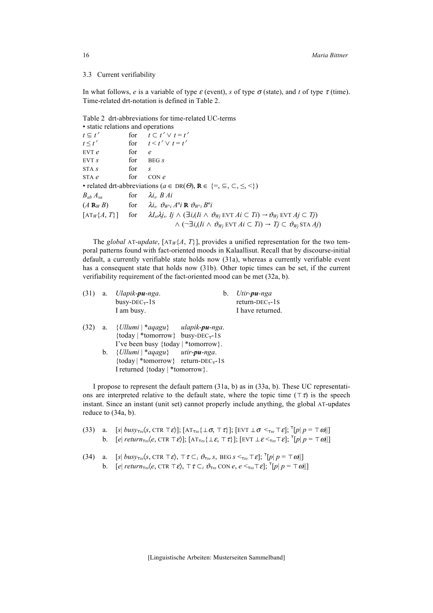### 3.3 Current verifiability

In what follows, *e* is a variable of type  $\varepsilon$  (event), *s* of type  $\sigma$  (state), and *t* of type  $\tau$  (time). Time-related drt-notation is defined in Table 2.

Table 2 drt-abbreviations for time-related UC-terms

| • static relations and operations |     |                                                                                                                                                                                                     |  |
|-----------------------------------|-----|-----------------------------------------------------------------------------------------------------------------------------------------------------------------------------------------------------|--|
| $t\subseteq t'$                   | for | $t \subset t' \vee t = t'$                                                                                                                                                                          |  |
| $t \leq t'$                       |     | for $t \leq t' \vee t = t'$                                                                                                                                                                         |  |
| EVT e                             | for | $\epsilon$                                                                                                                                                                                          |  |
| EVT S                             | for | BEGS                                                                                                                                                                                                |  |
| STA <i>s</i>                      | for | $\overline{S}$                                                                                                                                                                                      |  |
| STA e                             | for | CONe                                                                                                                                                                                                |  |
|                                   |     | • related drt-abbreviations ( $a \in DR(\Theta)$ , $\mathbf{R} \in \{=\} \subseteq, \subseteq, \leq, \leq\}$ )                                                                                      |  |
| $B_{ab}A_{sa}$                    | for | $\lambda i_s$ . B Ai                                                                                                                                                                                |  |
| $(A \mathbf{R}_W B)$              |     | for $\lambda i_s$ , $\vartheta_{W^{\circ}i} A^{\circ}i \mathbf{R} \vartheta_{W^{\circ}i} B^{\circ}i$                                                                                                |  |
|                                   |     | $[\text{AT}_W\{A, T\}]$ for $\lambda I_{st}\lambda j_s$ , $I_j \wedge (\exists i_s (I_i \wedge \vartheta_{W_i} \text{EVT } Ai \subset T_i) \rightarrow \vartheta_{W_i} \text{EVT } Aj \subset T_j)$ |  |
|                                   |     | $\wedge (\neg \exists i_s (I_i \wedge \vartheta_{W_i}$ EVT $Ai \subset Ti) \rightarrow T_j \subset \vartheta_{W_i}$ STA $Aj)$                                                                       |  |

The *global* AT-*update*,  $[AT_W{A, T}]$ , provides a unified representation for the two temporal patterns found with fact-oriented moods in Kalaallisut. Recall that by discourse-initial default, a currently verifiable state holds now (31a), whereas a currently verifiable event has a consequent state that holds now (31b). Other topic times can be set, if the current verifiability requirement of the fact-oriented mood can be met (32a, b).

| (31) |    | a. Ulapik- <b>pu</b> -nga.<br>b.<br>$busy-DEC_T-1S$<br>I am busy.                                                                      | Utir- $pu$ -nga<br>return- $DEC_T$ -1s<br>I have returned. |
|------|----|----------------------------------------------------------------------------------------------------------------------------------------|------------------------------------------------------------|
| (32) |    | a. {Ullumi *aqagu} ulapik- <b>pu</b> -nga.<br>{today   *tomorrow} busy- $DEC_{T}$ -1S<br>I've been busy {today   *tomorrow}.           |                                                            |
|      | b. | {Ullumi   * aqagu} utir- <b>pu</b> -nga.<br>{today   *tomorrow} return-DEC <sub>T</sub> -1S<br>I returned $\{today \mid *tomorrow\}$ . |                                                            |

I propose to represent the default pattern (31a, b) as in (33a, b). These UC representations are interpreted relative to the default state, where the topic time ( $\tau \tau$ ) is the speech instant. Since an instant (unit set) cannot properly include anything, the global AT-updates reduce to (34a, b).

- (33) a.  $[s] \text{ busy}_{\text{To}}(s, \text{CTR } \top \varepsilon)$ ];  $[\text{AT}_{\text{To}}\{\perp \sigma, \top \tau\}]$ ;  $[\text{EVT } \perp \sigma <_{\text{To}} \top \varepsilon]$ ;  $\ulcorner [p|p = \top \omega \urcorner]$ b.  $[e|return_{\tau\omega}\langle e, \text{CTR } \top \varepsilon \rangle]; [\text{AT}_{\tau\omega}\{\perp \varepsilon, \top \tau\}]; [\text{EVT } \perp \varepsilon \leq_{\tau\omega} \top \varepsilon]; \tau[p|p = \top \omega]]$
- (34) a.  $[s] \text{ busy}_{\text{To}}\langle s, \text{CTR } \top \varepsilon \rangle$ ,  $\top \tau \subset_i \vartheta_{\tau \omega} s$ , BEG  $s <_{\tau \omega} \top \varepsilon$ ;  $\tau[p | p = \top \omega]$ b.  $[e| return_{\tau\omega}\langle e, \text{CTR } \tau e \rangle, \tau \tau \subset_i \vartheta_{\tau\omega} \text{ CON } e, e <_{\tau\omega} \tau \varepsilon];$ <sup>T</sup> $[p|p = \tau \omega|]$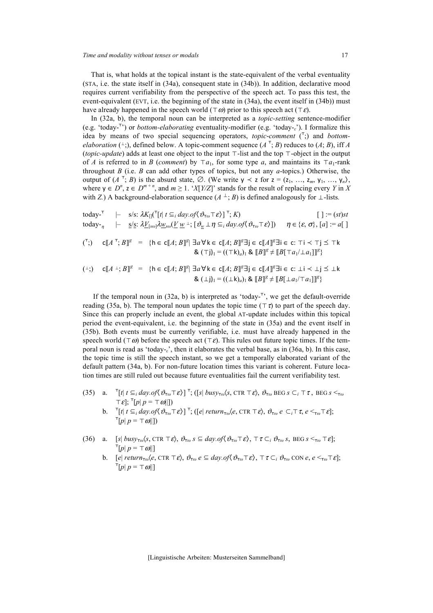That is, what holds at the topical instant is the state-equivalent of the verbal eventuality (STA, i.e. the state itself in (34a), consequent state in (34b)). In addition, declarative mood requires current verifiability from the perspective of the speech act. To pass this test, the event-equivalent (EVT, i.e. the beginning of the state in  $(34a)$ , the event itself in  $(34b)$ ) must have already happened in the speech world ( $\tau \omega$ ) prior to this speech act ( $\tau \epsilon$ ).

In (32a, b), the temporal noun can be interpreted as a *topic-setting* sentence-modifier (e.g. 'today-T ') or *bottom-elaborating* eventuality-modifier (e.g. 'today-*ε*'). I formalize this idea by means of two special sequencing operators, *topic-comment* (<sup>T</sup>;) and *bottomelaboration*  $(\perp)$ , defined below. A topic-comment sequence  $(A^{\top})$ ; *B*) reduces to  $(A; B)$ , iff *A* (*topic-update*) adds at least one object to the input  $\top$ -list and the top  $\top$ -object in the output of *A* is referred to in *B* (*comment*) by  $\tau a_1$ , for some type *a*, and maintains its  $\tau a_1$ -rank throughout *B* (i.e. *B* can add other types of topics, but not any *a*-topics.) Otherwise, the output of  $(A^{\top}; B)$  is the absurd state,  $\emptyset$ . (We write  $y \prec z$  for  $z = (z_1, ..., z_m, y_1, ..., y_n)$ , where  $y \in D^n$ ,  $z \in D^{m+n}$ , and  $m \ge 1$ . '*X*[*Y/Z*]' stands for the result of replacing every *Y* in *X* with *Z*.) A background-elaboration sequence  $(A^{\perp}; B)$  is defined analogously for  $\perp$ -lists.

today<sup>-τ</sup>   
\n
$$
+ \text{ s/s: } \lambda K_{[]}(\text{T}[t | t \subseteq_i day. of \langle \vartheta_{\tau\omega} \top \varepsilon \rangle]^\top; K)
$$
\n[ ] := (st)st  
\ntoday<sup>-</sup><sub>η</sub>   
\n
$$
+ \text{ s/s: } \lambda L_{[so]} \lambda \underline{w}_{so}(\underline{V} \underline{w} \bot; [\vartheta_{\underline{w}} \bot \eta \subseteq_i day. of \langle \vartheta_{\tau\omega} \top \varepsilon \rangle])
$$
\n
$$
\eta \in \{\varepsilon, \sigma\}, [a] := a[]
$$

$$
\begin{array}{lll}\n(\mathbf{r}); & \mathbf{c}[\![A^\top; B]\!]^g &=& \{\mathbf{h} \in \mathbf{c}[\![A; B]\!]^g \; \exists a \forall \, \mathbf{k} \in \mathbf{c}[\![A; B]\!]^g \exists \, \mathbf{j} \in \mathbf{c}[\![A]\!]^g \exists \, \mathbf{i} \in \mathbf{c}. \; \mathbf{T} \mathbf{i} \prec \mathbf{T} \mathbf{j} \preceq \mathbf{T} \mathbf{k} \\
& & \mathbf{A}(\mathbf{T})\}_1 = ((\mathbf{T} \mathbf{k})_a)_1 \otimes [\![B]\!]^g \neq [\![B[\mathbf{T} a_1/\bot a_1]\!]^g \}\n\end{array}
$$

$$
\begin{array}{lll}\n\text{(4:)} & \mathbf{c} \llbracket A^{\perp} \text{; } B \rrbracket^g & = & \{\mathbf{h} \in \mathbf{c} \llbracket A; B \rrbracket^g \; \exists a \forall \, \mathbf{k} \in \mathbf{c} \llbracket A; B \rrbracket^g \exists \mathbf{j} \in \mathbf{c} \llbracket A \rrbracket^g \exists \mathbf{i} \in \mathbf{c}: \; \bot \mathbf{i} \prec \bot \mathbf{j} \preceq \bot \mathbf{k} \\
& & \mathbf{A} \left( \bot \mathbf{j} \right) \mathbf{a} = ((\bot \mathbf{k})_a) \mathbf{a} \llbracket B \rrbracket^g \neq \llbracket B [\bot a_1 / \top a_1] \rrbracket^g \}\n\end{array}
$$

 $\alpha(\perp J)_1 - ((\perp \kappa)_{a})_1 \alpha \perp \beta \parallel \perp a_1 + a_1 \parallel \cdot \beta$ <br>If the temporal noun in (32a, b) is interpreted as 'today-<sup>T</sup>', we get the default-override reading (35a, b). The temporal noun updates the topic time ( $\tau \tau$ ) to part of the speech day. Since this can properly include an event, the global AT-update includes within this topical period the event-equivalent, i.e. the beginning of the state in (35a) and the event itself in (35b). Both events must be currently verifiable, i.e. must have already happened in the speech world ( $\tau \omega$ ) before the speech act ( $\tau \varepsilon$ ). This rules out future topic times. If the temporal noun is read as 'today-*ε*', then it elaborates the verbal base, as in (36a, b). In this case, the topic time is still the speech instant, so we get a temporally elaborated variant of the default pattern (34a, b). For non-future location times this variant is coherent. Future location times are still ruled out because future eventualities fail the current verifiability test.

- (35) a.  $\left[\int f(t) \, dt \right] = \int f(t) \, dt$   $\int f(t) \, dt$   $\int f(t) \, dt$   $\int f(t) \, dt$   $\int f(t) \, dt$   $\int f(t) \, dt$   $\int f(t) \, dt$   $\int f(t) \, dt$   $\int f(t) \, dt$   $\int f(t) \, dt$   $\int f(t) \, dt$   $\int f(t) \, dt$   $\int f(t) \, dt$   $\int f(t) \, dt$   $\int f(t) \, dt$   $\int f(t) \, dt$   $\int f(t) \, dt$   $\int f(t) \, dt$   $\top \varepsilon$ ;  $\ulcorner [p|p = \top \omega \Vert]$ )
	- b.  $^{T}[t]$   $t \subseteq_{i} day.of\langle \vartheta_{\tau\omega} \top \varepsilon \rangle ]^{T}$ ; ([e| return<sub>T $\omega$ </sub>'\electurn<sub>T $\omega$ </sub>'\electurn<sub>T $\omega$ </sub>'\electurn<sub>T $\omega$ </sub>'\electurn<sub>T $\omega$ </sub>'\electurn<sub>T $\omega$ </sub>'\electurn<sub>T $\omega$ </sub>'\electurn<sub>T $\omega$ </sub>'  $\tau[p|p = \tau \omega$ ||])
- (36) a. [*s*| *busy<sub>Tω</sub>* $\langle s, \text{CTR } \top \varepsilon \rangle$ ,  $\vartheta_{\tau \omega} s \subseteq \text{day.of} \langle \vartheta_{\tau \omega} \top \varepsilon \rangle$ ,  $\top \tau \subset_i \vartheta_{\tau \omega} s$ , BEG  $s \leq_{\tau \omega} \top \varepsilon$ ];  $\tau[p|p = \tau \omega$ 
	- b.  $[e|return_{\tau\omega}\langle e, \text{CTR } \top \varepsilon \rangle, \vartheta_{\tau\omega} e \subseteq day.of\langle \vartheta_{\tau\omega} \top \varepsilon \rangle, \top \tau \subset_i \vartheta_{\tau\omega} \text{CON } e, e \leq_{\tau\omega} \top \varepsilon$ :  $\tau[p|p = \tau \omega$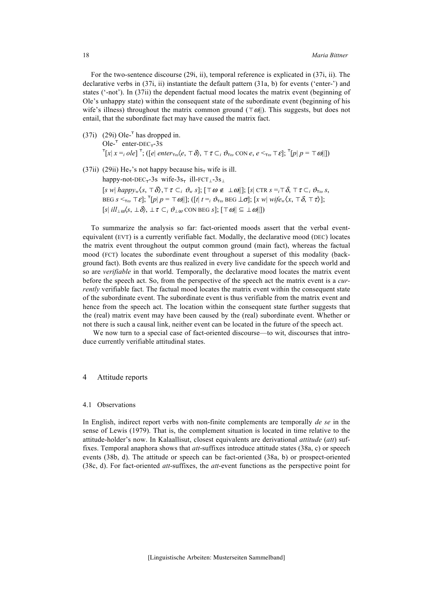For the two-sentence discourse (29i, ii), temporal reference is explicated in (37i, ii). The declarative verbs in (37i, ii) instantiate the default pattern (31a, b) for events ('enter-') and states ('-not'). In (37ii) the dependent factual mood locates the matrix event (beginning of Ole's unhappy state) within the consequent state of the subordinate event (beginning of his wife's illness) throughout the matrix common ground  $(\top \omega\|)$ . This suggests, but does not entail, that the subordinate fact may have caused the matrix fact.

- $(37i)$   $(29i)$  Ole-<sup>T</sup> has dropped in. Ole-<sup>T</sup> enter-DEC<sub>T</sub>-3S<br><sup>T</sup>[x] x = elel<sup>T</sup>: ([e] ex  $[x | x =_i o le]$ <sup>T</sup>; ([e| enter<sub>Tω</sub> $\langle e, \top \delta \rangle$ ,  $\top \tau \subset_i \vartheta_{\tau \omega}$  CON  $e, e \leq_{\tau \omega} \top \varepsilon$ ];  $\top [p | p = \top \omega \parallel]$ )
- (37ii) (29ii)  $He<sub>T</sub>$ 's not happy because his<sub>t</sub> wife is ill.

happy-not-DEC<sub>T</sub>-3s wife-3s<sub>T</sub> ill-FCT<sub>⊥</sub>-3s<sub>⊥</sub>  $[s \ w \mid \text{happy}_w \langle s, \top \delta \rangle, \top \tau \subset_i \vartheta_w s]; [\top \omega \notin \bot \omega]]; [s] \text{ CTR } s = \top \delta, \top \tau \subset_i \vartheta_{\tau \omega} s,$ BEG  $s <_{\tau_{\omega}} \tau \varepsilon$ ];  $\tau[p | p = \tau \omega$ ||]; ([t|  $t =_{i} \vartheta_{\tau_{\omega}}$  BEG  $\bot \sigma$ ]; [x w| wife<sub>w</sub> $\langle x, \tau \delta, \tau \tau \rangle$ ];  $[s|$  *ill*<sub>⊥ $\omega$ </sub>( $s, \perp \delta$ ),  $\perp \tau \subset_i \vartheta_{\perp \omega}$  CON BEG  $s|;$   $\lceil \top \omega \rceil \leq \perp \omega \rceil$ ])

To summarize the analysis so far: fact-oriented moods assert that the verbal eventequivalent (EVT) is a currently verifiable fact. Modally, the declarative mood (DEC) locates the matrix event throughout the output common ground (main fact), whereas the factual mood (FCT) locates the subordinate event throughout a superset of this modality (background fact). Both events are thus realized in every live candidate for the speech world and so are *verifiable* in that world. Temporally, the declarative mood locates the matrix event before the speech act. So, from the perspective of the speech act the matrix event is a *currently* verifiable fact. The factual mood locates the matrix event within the consequent state of the subordinate event. The subordinate event is thus verifiable from the matrix event and hence from the speech act. The location within the consequent state further suggests that the (real) matrix event may have been caused by the (real) subordinate event. Whether or not there is such a causal link, neither event can be located in the future of the speech act.

We now turn to a special case of fact-oriented discourse—to wit, discourses that introduce currently verifiable attitudinal states.

### 4 Attitude reports

#### 4.1 Observations

In English, indirect report verbs with non-finite complements are temporally *de se* in the sense of Lewis (1979). That is, the complement situation is located in time relative to the attitude-holder's now. In Kalaallisut, closest equivalents are derivational *attitude* (*att*) suffixes. Temporal anaphora shows that *att*-suffixes introduce attitude states (38a, c) or speech events (38b, d). The attitude or speech can be fact-oriented (38a, b) or prospect-oriented (38c, d). For fact-oriented *att*-suffixes, the *att*-event functions as the perspective point for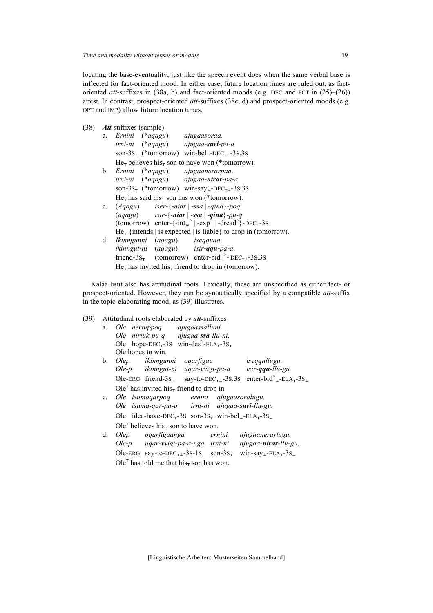locating the base-eventuality, just like the speech event does when the same verbal base is inflected for fact-oriented mood. In either case, future location times are ruled out, as factoriented *att*-suffixes in (38a, b) and fact-oriented moods (e.g. DEC and FCT in (25)–(26)) attest. In contrast, prospect-oriented *att*-suffixes (38c, d) and prospect-oriented moods (e.g. OPT and IMP) allow future location times.

(38) *Att*-suffixes (sample)

| Ernini (*aqagu)<br>ajugaasoraa.<br>a.                                                                               |
|---------------------------------------------------------------------------------------------------------------------|
| irni-ni (*aqagu) ajugaa-s <b>uri</b> -pa-a                                                                          |
| son-3s <sub>T</sub> (*tomorrow) win-bel <sub>+</sub> -DEC <sub>T+</sub> -3s.3s                                      |
| $HeT$ believes his <sub><math>T</math></sub> son to have won (*tomorrow).                                           |
| Ernini (*aqagu) ajugaanerarpaa.<br>b.                                                                               |
| irni-ni (*aqagu) ajugaa- <b>nirar</b> -pa-a                                                                         |
| son-3s <sub>T</sub> (*tomorrow) win-say <sub>1</sub> -DEC <sub>T</sub> <sub>1</sub> -3s.3s                          |
| $HeT$ has said his <sub>t</sub> son has won (*tomorrow).                                                            |
| c. $(Aqagu)$ iser-{-niar   -ssa   -qina}-poq.                                                                       |
| $(aqagu)$ isir-{-niar   -ssa   -qina}-pu-q                                                                          |
| (tomorrow) enter- $\{-int_{se}^{\infty}$ $ \text{-exp}^{\infty} $ -dread <sup>&gt;</sup> $\}-$ DEC <sub>T</sub> -3S |
| $HeT$ {intends   is expected   is liable} to drop in (tomorrow).                                                    |
| Ikinngunni (aqagu) isegquaa.<br>d.                                                                                  |
| ikinngut-ni (aqagu) isir- <b>qqu</b> -pa-a.                                                                         |
| friend-3s <sub>T</sub> (tomorrow) enter-bid <sub>1</sub> <sup>2</sup> -DEC <sub>T</sub> <sub>1</sub> -3s.3s         |
| $HeT$ has invited his <sub>t</sub> friend to drop in (tomorrow).                                                    |
|                                                                                                                     |

Kalaallisut also has attitudinal roots*.* Lexically, these are unspecified as either fact- or prospect-oriented. However, they can be syntactically specified by a compatible *att*-suffix in the topic-elaborating mood, as (39) illustrates.

## (39) Attitudinal roots elaborated by *att*-suffixes

| a.             | Ole neriuppoq ajugaassalluni.                                                                                                                                        |
|----------------|----------------------------------------------------------------------------------------------------------------------------------------------------------------------|
|                | Ole niriuk-pu-q ajugaa-ssa-llu-ni.                                                                                                                                   |
|                | Ole hope- $DEC_{T}$ -3s win-des <sup>&gt;</sup> - $ELA_{T}$ -3s <sub>T</sub>                                                                                         |
|                | Ole hopes to win.                                                                                                                                                    |
| $\mathbf{b}$ . | Olep ikinngunni oqarfigaa<br><i>iseggullugu.</i>                                                                                                                     |
|                | Ole-p ikinngut-ni uqar-vvigi-pa-a<br>isir-qqu-llu-gu.                                                                                                                |
|                | say-to-DEC <sub>T</sub> + 3s.3s enter-bid <sup>&gt;</sup> + -ELA <sub>T</sub> -3s <sub>+</sub><br>Ole-ERG friend- $3s_{\tau}$                                        |
|                | $Ole\top$ has invited his <sub><math>T</math></sub> friend to drop in.                                                                                               |
| $c_{\cdot}$    | Ole isumaqarpoq ernini ajugaasoralugu.                                                                                                                               |
|                | Ole isuma-qar-pu-q irni-ni ajugaa-s <b>uri</b> -llu-gu.                                                                                                              |
|                | Ole idea-have-DEC <sub>T</sub> -3S son-3S <sub>T</sub> win-bel <sub>1</sub> -ELA <sub>T</sub> -3S <sub>1</sub>                                                       |
|                | $Ole\top$ believes his <sub><math>\tau</math></sub> son to have won.                                                                                                 |
| $d_{\cdot}$    | Olep ogarfigaanga<br>ajugaanerarlugu.<br>ernini                                                                                                                      |
|                | ajugaa-nirar-llu-gu.<br>Ole-p uqar-vvigi-pa-a-nga irni-ni                                                                                                            |
|                | Ole-ERG say-to-DEC <sub>T</sub> <sub>1</sub> -3S-1S son-3S <sub>T</sub><br>win-say <sub><math>\perp</math></sub> -ELA <sub>T</sub> -3S <sub><math>\perp</math></sub> |

 $Ole^{T}$  has told me that his<sub>T</sub> son has won.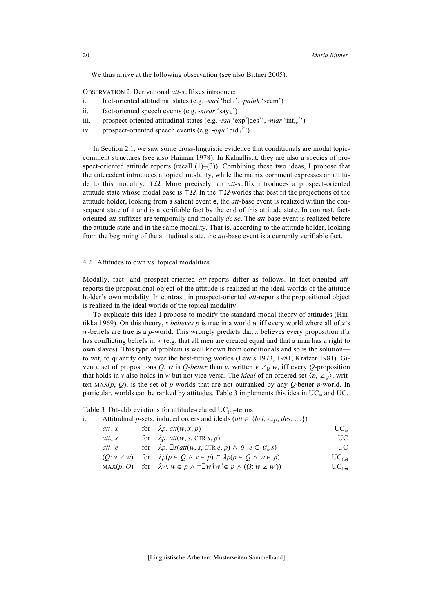We thus arrive at the following observation (see also Bittner 2005):

OBSERVATION 2. Derivational *att*-suffixes introduce:

- i. fact-oriented attitudinal states (e.g. *-suri* 'bel⊥', *-paluk* 'seem')
- ii. fact-oriented speech events (e.g. *-nirar* 'say⊥')
- iii. prospect-oriented attitudinal states (e.g. *-ssa* 'exp<sup>></sup>|des<sup>></sup>', *-niar* 'int<sub>s</sub><sup>></sup>')
- iv. prospect-oriented speech events (e.g. *-qqu* 'bid<sub>⊥</sub><sup>></sup>')

In Section 2.1, we saw some cross-linguistic evidence that conditionals are modal topiccomment structures (see also Haiman 1978). In Kalaallisut, they are also a species of prospect-oriented attitude reports (recall  $(1)$ – $(3)$ ). Combining these two ideas, I propose that the antecedent introduces a topical modality, while the matrix comment expresses an attitude to this modality, Ω. More precisely, an *att-*suffix introduces a prospect-oriented attitude state whose modal base is  $\top \Omega$ . In the  $\top \Omega$ -worlds that best fit the projections of the attitude holder, looking from a salient event e, the *att*-base event is realized within the consequent state of e and is a verifiable fact by the end of this attitude state. In contrast, factoriented *att*-suffixes are temporally and modally *de se*. The *att*-base event is realized before the attitude state and in the same modality. That is, according to the attitude holder, looking from the beginning of the attitudinal state, the *att*-base event is a currently verifiable fact.

### 4.2 Attitudes to own vs. topical modalities

Modally, fact- and prospect-oriented *att*-reports differ as follows. In fact-oriented *att*reports the propositional object of the attitude is realized in the ideal worlds of the attitude holder's own modality. In contrast, in prospect-oriented *att*-reports the propositional object is realized in the ideal worlds of the topical modality.

To explicate this idea I propose to modify the standard modal theory of attitudes (Hintikka 1969). On this theory, *x believes p* is true in a world *w* iff every world where all of *x*'s *w-*beliefs are true is a *p-*world. This wrongly predicts that *x* believes every proposition if *x* has conflicting beliefs in *w* (e.g. that all men are created equal and that a man has a right to own slaves). This type of problem is well known from conditionals and so is the solution to wit, to quantify only over the best-fitting worlds (Lewis 1973, 1981, Kratzer 1981). Given a set of propositions *Q*, *w* is *Q-better* than *v*, written  $v \, \angle \, \partial \, w$ , iff every *Q*-proposition that holds in *v* also holds in *w* but not vice versa. The *ideal* of an ordered set  $\langle p, \angle_{Q} \rangle$ , written MAX(*p*, *Q*), is the set of *p*-worlds that are not outranked by any *Q*-better *p*-world. In particular, worlds can be ranked by attitudes. Table 3 implements this idea in UC*ω* and UC.

Table 3 Drt-abbreviations for attitude-related UC(*ω*)-terms

| 1. |                   | Attitudinal <i>p</i> -sets, induced orders and ideals ( $att \in \{bel, exp, des, \}$ )        |               |
|----|-------------------|------------------------------------------------------------------------------------------------|---------------|
|    | $att_{w} x$       | for $\lambda p.$ att $(w, x, p)$                                                               | $UC_{\omega}$ |
|    | $att_w s$         | for $\lambda p.$ att(w, s, CTR s, p)                                                           | UC            |
|    | $att_w e$         | for $\lambda p. \exists s (att(w, s, CTR e, p) \wedge \vartheta_w e \subset \vartheta_w s)$    | UC            |
|    | $(O: v \angle w)$ | for $\lambda p(p \in Q \land v \in p) \subset \lambda p(p \in Q \land w \in p)$                | $UC_{(m)}$    |
|    |                   | MAX $(p, Q)$ for $\lambda w. w \in p \wedge \neg \exists w (w' \in p \wedge (Q: w \angle w'))$ | $UC_{(o)}$    |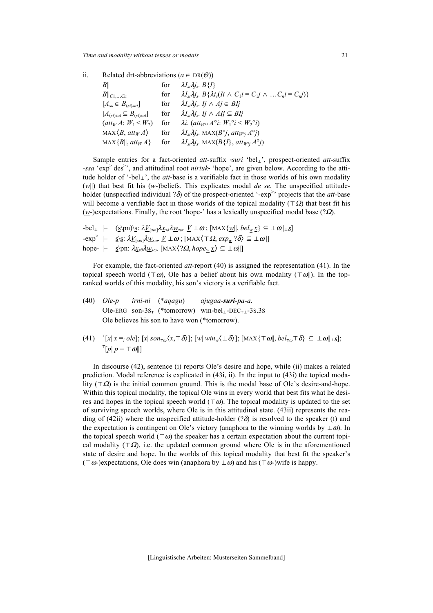ii. Related drt-abbreviations ( $a \in DR(\Theta)$ )

| $B\ $                                 | for | $\lambda I_{st} \lambda j_s$ , $B\{I\}$                                                                   |
|---------------------------------------|-----|-----------------------------------------------------------------------------------------------------------|
| $B  _{C1,\ldots Cn}$                  | for | $\lambda I_{st} \lambda j_s$ . $B \{ \lambda i_s (I_i \wedge C_1 i = C_1 j \wedge  C_n i = C_n j) \}$     |
| $[A_{sa} \in B_{(st) sat}]$           | for | $\lambda I_{st} \lambda j_s$ . Ij $\wedge$ Aj $\in$ BIj                                                   |
| $[A_{(st)sat} \subseteq B_{(st)sat}]$ | for | $\lambda I_{st} \lambda j_s$ . Ij $\wedge$ AIj $\subseteq$ BIj                                            |
| $(at_{W} A: W_{1} \leq W_{2})$        | for | $\lambda i.$ (att <sub>W°i</sub> $A^{\circ}$ <i>i</i> : $W_1^{\circ}$ <i>i</i> < $W_2^{\circ}$ <i>i</i> ) |
| $MAX\langle B, att_W A\rangle$        | for | $\lambda I_{st} \lambda j_s$ . MAX $(B^{\circ}j, att_{W^{\circ}i} A^{\circ}j)$                            |
| $MAX\{B\}, att_W A\}$                 | for | $\lambda I_{st} \lambda j_s$ . MAX $(B\{I\}, att_{W^o} A^o j)$                                            |
|                                       |     |                                                                                                           |

Sample entries for a fact-oriented *att*-suffix -*suri* 'bel⊥', prospect-oriented *att*-suffix -*ssa* 'exp<sup>></sup>|des<sup>></sup>', and attitudinal root *niriuk*- 'hope', are given below. According to the attitude holder of '-bel⊥', the *att*-base is a verifiable fact in those worlds of his own modality  $(w||)$  that best fit his  $(w-)$  beliefs. This explicates modal *de se*. The unspecified attitudeholder (unspecified individual  $2\delta$ ) of the prospect-oriented '-exp<sup>></sup>' projects that the *att*-base will become a verifiable fact in those worlds of the topical modality ( $\tau \Omega$ ) that best fit his (*w*-)expectations. Finally, the root 'hope-' has a lexically unspecified modal base (?Ω).

 $-\text{bel}_{\perp}$  |– (s\pn)\s:  $\lambda V_{[s\omega]} \lambda x_{s\delta} \lambda w_{s\omega}$ .  $V \perp \omega$ ; [MAX{w||,  $\text{bel}_w x$ }  $\subseteq \perp \omega |_{\perp \delta}$ ]  $-\exp^{\geq} \left| - \underline{s} \underline{s} : \lambda \underline{V}_{[s\omega]} \lambda \underline{w}_{s\omega} \underline{V} \perp \omega; [\text{MAX} \langle \top \Omega, \exp_{\underline{w}} ? \delta \rangle \subseteq \bot \omega \right| ]$ hope-  $|-\underline{s}\nabla \cdot \lambda \cdot \underline{x}_{s\delta} \lambda \underline{w}_{s\omega}$ . [MAX $\langle ?\Omega, \text{hope}_w \underline{x} \rangle \subseteq \underline{\mu} \omega$ ]]

For example, the fact-oriented *att*-report (40) is assigned the representation (41). In the topical speech world ( $\tau \omega$ ), Ole has a belief about his own modality ( $\tau \omega$ )). In the topranked worlds of this modality, his son's victory is a verifiable fact.

- (40) *Ole*-*p irni*-*ni* (\**aqagu*) *ajugaa*-*suri*-*pa*-*a*. Ole-ERG son- $3s<sub>T</sub>$  (\*tomorrow) win-bel<sub>⊥</sub>-DEC<sub>T⊥</sub>-3s.3s Ole believes his son to have won (\*tomorrow).
- $(41)$   $\text{I}[x | x = i \text{ ole}]; [x | \text{son}_{\tau \omega} \langle x, \tau \delta \rangle]; [w | \text{win}_w \langle \bot \delta \rangle]; [MAX \{ \tau \omega |, \text{bel}_{\tau \omega} \tau \delta \} \subseteq \bot \omega |_{\bot} \delta];$  $\tau$ [*p*| *p* =  $\tau \omega$ ||

In discourse (42), sentence (i) reports Ole's desire and hope, while (ii) makes a related prediction. Modal reference is explicated in (43i, ii). In the input to (43i) the topical modality ( $\tau \Omega$ ) is the initial common ground. This is the modal base of Ole's desire-and-hope. Within this topical modality, the topical Ole wins in every world that best fits what he desires and hopes in the topical speech world  $(\tau \omega)$ . The topical modality is updated to the set of surviving speech worlds, where Ole is in this attitudinal state. (43ii) represents the reading of (42ii) where the unspecified attitude-holder (? $\delta$ ) is resolved to the speaker (I) and the expectation is contingent on Ole's victory (anaphora to the winning worlds by  $\pm \omega$ ). In the topical speech world ( $\tau \omega$ ) the speaker has a certain expectation about the current topical modality ( $\tau \Omega$ ), i.e. the updated common ground where Ole is in the aforementioned state of desire and hope. In the worlds of this topical modality that best fit the speaker's ( $\tau \omega$ -)expectations, Ole does win (anaphora by  $\pm \omega$ ) and his ( $\tau \omega$ -)wife is happy.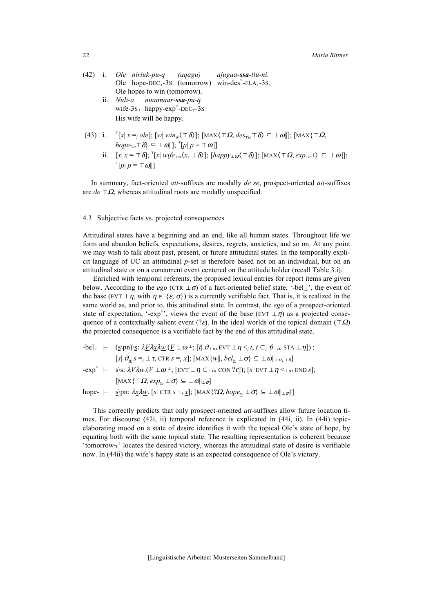| (42) i. | Ole niriuk-pu-q (aqagu)<br>ajugaa-ssa-llu-ni.                                                                                                                                                                                                                       |
|---------|---------------------------------------------------------------------------------------------------------------------------------------------------------------------------------------------------------------------------------------------------------------------|
|         | Ole hope- $DEC_{T}$ -3s (tomorrow) win-des <sup>&gt;</sup> - $ELA_{T}$ -3s <sub>τ</sub>                                                                                                                                                                             |
|         | Ole hopes to win (tomorrow).                                                                                                                                                                                                                                        |
|         | ii. Nuli-a nuannaar-ssa-pu-q.                                                                                                                                                                                                                                       |
|         | wife-3s <sub>+</sub> happy-exp <sup>2</sup> -DEC <sub>T</sub> -3s                                                                                                                                                                                                   |
|         | His wife will be happy.                                                                                                                                                                                                                                             |
|         | (43) i. $\mathbb{T}[x   x =_i \text{ole}]$ ; $[w   \text{win}_w \langle \top \delta \rangle]$ ; $[\text{MAX} \langle \top \Omega, \text{des}_{\tau \omega} \top \delta \rangle \subseteq \bot \omega]]$ ; $[\text{MAX} \{ \top \Omega,$                             |
|         | $hope_{\tau\omega} \top \delta \subseteq \bot \omega   ; \top [p   p = \top \omega   ]$                                                                                                                                                                             |
|         | ii. $[x   x = \top \delta];$ $\tau[x  \text{ wife}_{\tau\omega}\langle x, \bot \delta \rangle];$ [happy <sub><math>\bot \omega\langle \top \delta \rangle]</math>; [MAX<math>\langle \top \Omega, \exp_{\tau\omega} I \rangle \subseteq \bot \omega  ;</math></sub> |

In summary, fact-oriented *att*-suffixes are modally *de se*, prospect-oriented *att*-suffixes are  $de \tau \Omega$ , whereas attitudinal roots are modally unspecified.

### 4.3 Subjective facts vs. projected consequences

 $\tau[p|p = \tau \omega$ 

Attitudinal states have a beginning and an end, like all human states. Throughout life we form and abandon beliefs, expectations, desires, regrets, anxieties, and so on. At any point we may wish to talk about past, present, or future attitudinal states. In the temporally explicit language of UC an attitudinal *p*-set is therefore based not on an individual, but on an attitudinal state or on a concurrent event centered on the attitude holder (recall Table 3.i).

Enriched with temporal referents, the proposed lexical entries for report items are given below. According to the *ego* (CTR  $\perp \sigma$ ) of a fact-oriented belief state, '-bel<sub>⊥</sub>', the event of the base (EVT  $\perp \eta$ , with  $\eta \in \{ \varepsilon, \sigma \}$ ) is a currently verifiable fact. That is, it is realized in the same world as, and prior to, this attitudinal state. In contrast, the *ego* of a prospect-oriented state of expectation, '-exp'', views the event of the base (EVT  $\perp \eta$ ) as a projected consequence of a contextually salient event (? $\varepsilon$ ). In the ideal worlds of the topical domain ( $\tau \Omega$ ) the projected consequence is a verifiable fact by the end of this attitudinal state.

| $-\text{bel}_{\perp}$ $\left  - \left( \frac{\text{s}}{\text{pn}} \right) \text{s} : \lambda Y \lambda x \lambda w \left( \frac{V}{L} \pm \omega \right) : \left[ t \right] \vartheta_{\perp \omega} \text{EVT} \pm \eta \leq_i t, t \in_i \vartheta_{\perp \omega} \text{STA} \pm \eta \right] \right)$ |
|----------------------------------------------------------------------------------------------------------------------------------------------------------------------------------------------------------------------------------------------------------------------------------------------------------|
| $[s] \partial_w s =_i \bot \tau$ , CTR $s =_i \underline{x}$ ; [MAX $\{\underline{w}\}\,$ , $bel_w \bot \sigma \} \subseteq \bot \omega _{\bot \sigma, \bot \delta}$ ]                                                                                                                                   |
| $-\exp^{\geq}$ $\left -\frac{s\searrow}{s}\right \mathcal{X}_{\mathcal{W}}(V\perp\omega^{\perp})$ ; [EVT $\perp\eta\subset_{\perp\omega}$ CON $? \varepsilon$ ]); [s  EVT $\perp\eta\leq_{\perp\omega}$ END s];                                                                                          |
| $[\text{MAX} \{ \top \Omega, \exp_w \bot \sigma \} \subseteq \bot \omega \Vert_{\bot} \sigma]$                                                                                                                                                                                                           |
| hope- $\left -\right  \leq \pmb{\ln} \lambda \mathbf{x} \lambda \mathbf{w}$ . [s] CTR $s =_i x$ ]; [MAX {? $\Omega$ , hope <sub>w</sub> $\perp \sigma$ } $\subseteq \perp \omega \parallel_{\perp} \sigma$ }]                                                                                            |

This correctly predicts that only prospect-oriented *att*-suffixes allow future location times. For discourse (42i, ii) temporal reference is explicated in (44i, ii). In (44i) topicelaborating mood on a state of desire identifies it with the topical Ole's state of hope, by equating both with the same topical state. The resulting representation is coherent because 'tomorrow-<sub>ε</sub>'' locates the desired victory, whereas the attitudinal state of desire is verifiable ' now. In (44ii) the wife's happy state is an expected consequence of Ole's victory.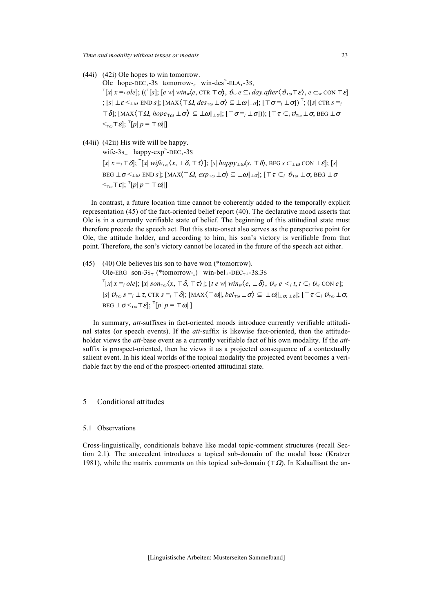(44i) (42i) Ole hopes to win tomorrow.

Ole hope- $\overline{DEC_T}$ -3S tomorrow-<sub>*ε*</sub> win-des<sup>></sup>-ELA<sub>T</sub>-3S<sub>T</sub>  $\mathcal{F}[x \mid x =_i \text{ole}];$   $((\mathcal{F}[s]; [e \mid w] \mid win_w\langle e, \text{CTR } \top \sigma \rangle, \vartheta_w e \subseteq_i \text{day}.\text{after}\langle \vartheta_{\tau \omega} \top \varepsilon \rangle, e \subset_w \text{CON } \top \varepsilon].$ ;  $[s] \perp \varepsilon <sub>⊥ω</sub>$  END *s*];  $[MAX \langle \top \Omega, des_{\top \omega} \perp \sigma \rangle \subseteq \perp \omega ||_{\perp \sigma}]$ ;  $[\top \sigma =_i \perp \sigma])^{\top}$ ;  $([s]$  CTR  $s =_i$  $\lceil \sigma \delta \rceil$ ;  $\lceil \max \langle \top \Omega, \text{hoper}_{\sigma \omega} \bot \sigma \rangle \subseteq \lceil \omega \rceil \bot \sigma \rceil$ ;  $\lceil \top \sigma =_i \bot \sigma \rceil$ ));  $\lceil \top \tau \subset_i \vartheta_{\tau \omega} \bot \sigma$ , BEG  $\bot \sigma$  $\lt_{\tau\omega}\top\varepsilon$ ];  $\ulcorner[p|p=\top\omega\Vert]$ 

(44ii) (42ii) His wife will be happy.

wife-3s<sub>⊥</sub> happy-exp<sup>></sup>-DEC<sub>T</sub>-3S  $[x | x = i \tau \delta]$ ;  $\tau[x | \text{wife}_{\tau\omega} \langle x, \bot \delta, \top \tau \rangle]$ ;  $[s | \text{happy}_{\bot} \omega \langle s, \top \delta \rangle$ , BEG  $s \subset_{\bot} \omega$  CON  $\bot \varepsilon]$ ;  $[s |$  $BEG ⊥ σ<sub>⊥ω</sub> ENDs]; [MAX $\langle TΩ, exp_{Tω} ⊥ σ \rangle ⊆ ⊥ω|_{⊥σ}]; [T τ ⊂<sub>i</sub> ∅<sub>Tω</sub> ⊥ σ, BEG ⊥ σ$$  $\lt_{\tau\omega}\top\varepsilon$ ];  $\ulcorner[p|p=\top\omega\Vert]$ 

In contrast, a future location time cannot be coherently added to the temporally explicit representation (45) of the fact-oriented belief report (40). The declarative mood asserts that Ole is in a currently verifiable state of belief. The beginning of this attitudinal state must therefore precede the speech act. But this state-onset also serves as the perspective point for Ole, the attitude holder, and according to him, his son's victory is verifiable from that point. Therefore, the son's victory cannot be located in the future of the speech act either.

(45) (40) Ole believes his son to have won (\*tomorrow). Ole-ERG son-3S<sub>T</sub> (\*tomorrow-<sub>ε</sub>) win-bel<sub>⊥</sub>-DEC<sub>T</sub>⊥-3S.3S  $\int_{0}^{T} [x | x =_{i} \text{ole}]; [x | \text{son}_{T\omega} \langle x, \top \delta, \top \tau \rangle];$  [*t e w*| *win*<sub>*w*</sub>  $\langle e, \bot \delta \rangle$ ,  $\vartheta_{w} e \langle e, t, t \subset_{i} \vartheta_{w}$  CON  $e$ ];  $[s| \vartheta_{\tau_{\omega}} s =_{i} \bot \tau$ , CTR  $s =_{i} \top \delta$ ;  $\left[\text{MAX}\langle \top \omega | \text{, } bel_{\tau_{\omega}} \bot \sigma \rangle \subseteq \bot \omega | \text{, } \tau_{\omega} \bot \delta\right]$ ;  $\left[\top \tau \subset_{i} \vartheta_{\tau_{\omega}} \bot \sigma \right]$  $\text{BEG} \perp \sigma \leq_{\tau\omega} \tau \varepsilon$ ];  $\tau[p|p = \tau \omega$ ||]

In summary, *att*-suffixes in fact-oriented moods introduce currently verifiable attitudinal states (or speech events). If the *att*-suffix is likewise fact-oriented, then the attitudeholder views the *att*-base event as a currently verifiable fact of his own modality. If the *att*suffix is prospect-oriented, then he views it as a projected consequence of a contextually salient event. In his ideal worlds of the topical modality the projected event becomes a verifiable fact by the end of the prospect-oriented attitudinal state.

# 5 Conditional attitudes

#### 5.1 Observations

Cross-linguistically, conditionals behave like modal topic-comment structures (recall Section 2.1). The antecedent introduces a topical sub-domain of the modal base (Kratzer 1981), while the matrix comments on this topical sub-domain ( $\tau \Omega$ ). In Kalaallisut the an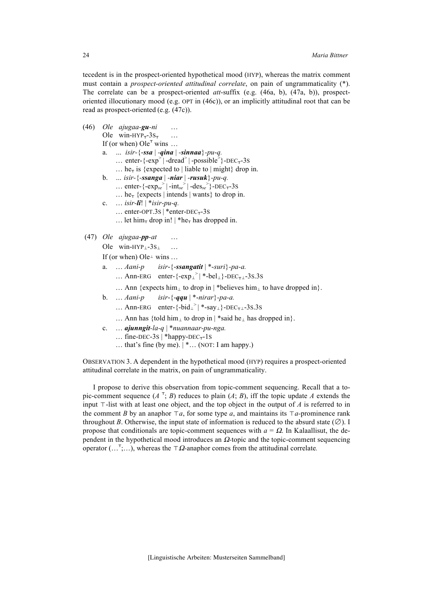tecedent is in the prospect-oriented hypothetical mood (HYP), whereas the matrix comment must contain a *prospect-oriented attitudinal correlate*, on pain of ungrammaticality (\*). The correlate can be a prospect-oriented *att*-suffix (e.g. (46a, b), (47a, b)), prospectoriented illocutionary mood (e.g. OPT in (46c)), or an implicitly attitudinal root that can be read as prospect-oriented (e.g. (47c)).

- (46) *Ole ajugaa-gu-ni* … Ole win- $HYP_{\tau}$ -3S<sub>T</sub> ... If (or when)  $Ole<sup>T</sup>$  wins ... a. *… isir-*{-*ssa* | *-qina* | *-sinnaa*}*-pu*-*q.* ... enter- $\{-exp^{\geq}|$  -dread<sup>></sup> | -possible<sup>></sup>} -DEC<sub>T</sub>-3S
	- $\ldots$  he<sub>r</sub> is {expected to | liable to | might} drop in. b. *… isir-*{*-ssanga* | *-niar* | *-rusuk*}*-pu-q.* ... enter- $\{-exp_{se} > |-int_{se} > |-des_{se} > |-DEC_T-3s$ ... he<sub> $\tau$ </sub> {expects | intends | wants} to drop in.
	- c. … *isir-li*! | \**isir-pu-q.*  $\ldots$  enter-OPT.3S | \*enter-DEC<sub>T</sub>-3S
		- $\ldots$  let him<sub> $\tau$ </sub> drop in! | \*he<sub> $\tau$ </sub> has dropped in.

# (47) *Ole ajugaa-pp-at* …

Ole win- $HYP_1 - 3S_1$  …

If (or when) Ole⊥ wins ...

- a. … *Aani-p isir*-{-*ssangatit* | \*-*suri*}*-pa-a.*
	- ... Ann-ERG enter- $\{-exp_\perp^{\geq}\}$  \*-bel<sub>⊥</sub>}-DEC<sub>T⊥</sub>-3S.3S
	- … Ann {expects him⊥ to drop in | \*believes him⊥ to have dropped in}.
- b. … *Aani-p isir*-{-*qqu* | \*-*nirar*}*-pa-a.*
	- ... Ann-ERG enter-{-bid⊥<sup>></sup> | \*-say⊥}-DEC<sub>T</sub>⊥-3S.3S
	- … Ann has {told him⊥ to drop in | \*said he⊥ has dropped in}.
- c. … *ajunngit-la-q* | \**nuannaar-pu-nga.*
	- ... fine-DEC-3S | \*happy-DEC<sub>T</sub>-1S
	- $\ldots$  that's fine (by me).  $| * \ldots$  (NOT: I am happy.)

OBSERVATION 3. A dependent in the hypothetical mood (HYP) requires a prospect-oriented attitudinal correlate in the matrix, on pain of ungrammaticality.

I propose to derive this observation from topic-comment sequencing. Recall that a topic-comment sequence  $(A^T; B)$  reduces to plain  $(A; B)$ , iff the topic update A extends the input  $\top$ -list with at least one object, and the top object in the output of *A* is referred to in the comment *B* by an anaphor  $\tau a$ , for some type *a*, and maintains its  $\tau a$ -prominence rank throughout *B*. Otherwise, the input state of information is reduced to the absurd state  $(\emptyset)$ . I propose that conditionals are topic-comment sequences with  $a = \Omega$ . In Kalaallisut, the dependent in the hypothetical mood introduces an Ω*-*topic and the topic-comment sequencing operator (...<sup>T</sup>;...), whereas the  $\top \Omega$ -anaphor comes from the attitudinal correlate.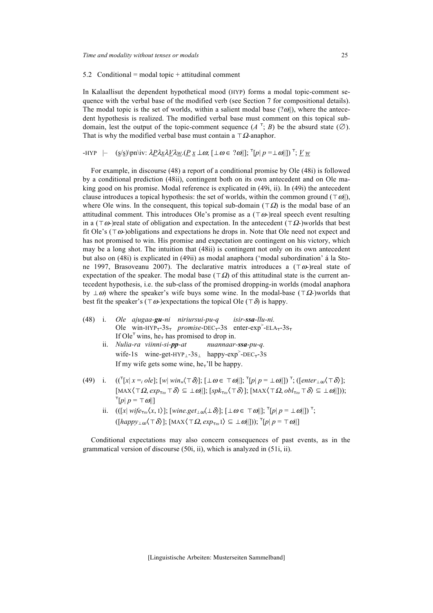### 5.2 Conditional = modal topic + attitudinal comment

In Kalaallisut the dependent hypothetical mood (HYP) forms a modal topic-comment sequence with the verbal base of the modified verb (see Section 7 for compositional details). The modal topic is the set of worlds, within a salient modal base  $(2\omega\mathbf{I})$ , where the antecedent hypothesis is realized. The modified verbal base must comment on this topical subdomain, lest the output of the topic-comment sequence  $(A^{\top}; B)$  be the absurd state  $(\emptyset)$ . That is why the modified verbal base must contain a  $\top \Omega$ -anaphor.

# $-FHYP$   $\vdash$   $(\underline{s/s})\phi_n\dot{x} \cdot \lambda P \lambda x \cdot \lambda P \lambda w \cdot (P \times \bot \omega; [\bot \omega \in ?\omega]];$ <sup>T</sup> $[p | p = \bot \omega]]$ <sup>T</sup>;  $\underline{V} w$

For example, in discourse (48) a report of a conditional promise by Ole (48i) is followed by a conditional prediction (48ii), contingent both on its own antecedent and on Ole making good on his promise. Modal reference is explicated in (49i, ii). In (49i) the antecedent clause introduces a topical hypothesis: the set of worlds, within the common ground  $(\top \omega ||)$ , where Ole wins. In the consequent, this topical sub-domain ( $\tau \Omega$ ) is the modal base of an attitudinal comment. This introduces Ole's promise as a  $(\tau \omega)$ -real speech event resulting in a ( $\tau \omega$ -)real state of obligation and expectation. In the antecedent ( $\tau \Omega$ -)worlds that best fit Ole's ( $\tau \omega$ -)obligations and expectations he drops in. Note that Ole need not expect and has not promised to win. His promise and expectation are contingent on his victory, which may be a long shot. The intuition that (48ii) is contingent not only on its own antecedent but also on (48i) is explicated in (49ii) as modal anaphora ('modal subordination' á la Stone 1997, Brasoveanu 2007). The declarative matrix introduces a  $(\tau \omega)$ real state of expectation of the speaker. The modal base ( $\tau \Omega$ ) of this attitudinal state is the current antecedent hypothesis, i.e. the sub-class of the promised dropping-in worlds (modal anaphora by  $\perp \omega$ ) where the speaker's wife buys some wine. In the modal-base ( $\top \Omega$ -)worlds that best fit the speaker's ( $\tau \omega$ -)expectations the topical Ole ( $\tau \delta$ ) is happy.

- (48) i. *Ole ajugaa-gu-ni niriursui-pu-q isir-ssa-llu-ni.* Ole win-HYP<sub>T</sub>-3S<sub>T</sub> *promise*-DEC<sub>T</sub>-3S enter-exp<sup>></sup>-ELA<sub>T</sub>-3S<sub>T</sub> If Ole<sup>T</sup> wins, he<sub>T</sub> has promised to drop in.
	- ii. *Nulia-ra viinni-si-pp-at nuannaar-ssa-pu-q.* wife-1S wine-get-HYP<sub>⊥</sub>-3S<sub>⊥</sub> happy-exp<sup>></sup>-DEC<sub>T</sub>-3S If my wife gets some wine,  $he<sub>T</sub>$ 'll be happy.
- (49) i.  $((\text{Tr}[x \mid x = i \text{ ole}]; [w \mid \text{win}_w \langle \top \delta \rangle]; [\bot \omega \in \top \omega]]; \text{Tr}[p \mid p = \bot \omega]]]$ <sup>T</sup>; ([enter<sub>⊥ω</sub> $\langle \top \delta \rangle$ ];  $[\text{MAX}\langle \top \Omega, \exp_{\tau \omega} \top \delta \rangle \subseteq \bot \omega$ ||];  $[\text{spk}_{\tau \omega} \langle \top \delta \rangle]$ ;  $[\text{MAX}\langle \top \Omega, \text{obl}_{\tau \omega} \top \delta \rangle \subseteq \bot \omega$ ||]));  $\tau$ [*p*| *p* =  $\tau \omega$ ||
	- ii.  $(([x] \text{ wife}_{\tau\omega}\langle x, 1\rangle]; [wine.get_{\perp}\omega\langle \perp \delta \rangle]; [\perp \omega \in \top \omega]]; \ulcorner [p|p = \perp \omega]]] \ulcorner;$  $([happy_{\perp \omega}\langle \top \delta \rangle]; [MAX\langle \top \Omega, exp_{\tau \omega} I \rangle \subseteq \bot \omega \Vert]); [\top [p | p = \top \omega \Vert]$

Conditional expectations may also concern consequences of past events, as in the grammatical version of discourse (50i, ii), which is analyzed in (51i, ii).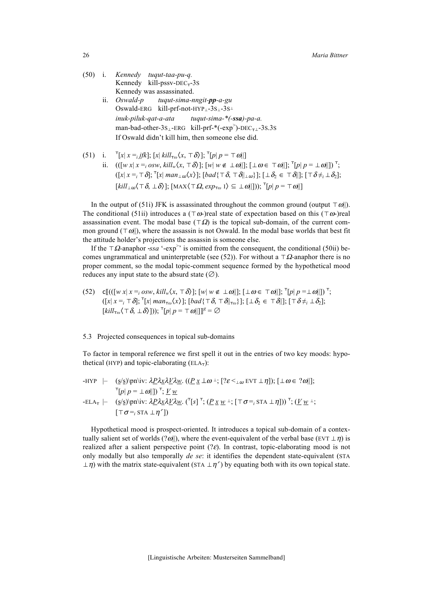- (50) i. *Kennedy tuqut-taa-pu-q.* Kennedy kill-pssv-DEC $_T$ -3s Kennedy was assassinated.
	- ii. *Oswald-p tuqut-sima-nngit-pp-a-gu* Oswald-ERG kill-prf-not-HYP⊥-3S⊥-3S<sup>⊥</sup> *inuk-piluk-qat-a-ata tuqut-sima-\*(-ssa)-pa-a.* man-bad-other-3S<sub>⊥</sub>-ERG kill-prf-\*(-exp<sup>></sup>)-DEC<sub>T⊥</sub>-3S.3S If Oswald didn't kill him, then someone else did.

(51) i. 
$$
{}^{T}[x | x =_{i} jfk]; [x | kill_{\tau\omega} \langle x, \tau \delta \rangle]; {}^{T}[p | p = \tau \omega]]
$$
  
ii. 
$$
(([w x | x =_{i} \cos w, kill_{w} \langle x, \tau \delta \rangle]; [w | w \notin \bot \omega]]; [\bot \omega \in \top \omega]]; {}^{T}[p | p = \bot \omega]]]^{T};
$$

$$
([x | x =_{i} \top \delta]; {}^{T}[x | man_{\bot} \omega \langle x \rangle]; [bad{\top \delta, \top \delta |_{\bot \omega}}]; [\bot \delta_{\Sigma} \in \top \delta]]; [\top \delta \neq_{i} \bot \delta_{\Sigma}];
$$

$$
[kill_{\bot} \omega \langle \tau \delta, \bot \delta \rangle]; [MAX(\top \Omega, exp_{\tau\omega} I) \subseteq \bot \omega]]); {}^{T}[p | p = \top \omega]]
$$

In the output of (51i) JFK is assassinated throughout the common ground (output  $\tau \omega$ ). The conditional (51ii) introduces a ( $\tau \omega$ -)real state of expectation based on this ( $\tau \omega$ -)real assassination event. The modal base ( $\tau \Omega$ ) is the topical sub-domain, of the current common ground ( $\tau \omega$ )), where the assassin is not Oswald. In the modal base worlds that best fit the attitude holder's projections the assassin is someone else.

If the  $\top \Omega$ -anaphor *-ssa* '-exp<sup>></sup>' is omitted from the consequent, the conditional (50ii) becomes ungrammatical and uninterpretable (see (52)). For without a  $\tau \Omega$ -anaphor there is no proper comment, so the modal topic-comment sequence formed by the hypothetical mood reduces any input state to the absurd state  $(\emptyset)$ .

(52) 
$$
c\left[\left(\left([w \; x \mid x =_{i} \text{os} w, \text{ kill}_{w} \langle x, \top \delta \rangle\right]; [w \mid w \notin \bot \omega]|\right]; \left[\bot \omega \in \top \omega\right]\right]; \left[\tau[p \mid p = \bot \omega]|\right] \right)^{\tau};
$$

$$
([x \mid x =_{i} \top \delta]; \left[\tau[x \mid \text{man}_{\tau\omega} \langle x \rangle]\right]; [bad\{\top \delta, \top \delta\}_{\tau\omega}\}; [\bot \delta_{2} \in \top \delta]]; [\top \delta \neq_{i} \bot \delta_{2}];
$$

$$
[kil\tau_{\omega} \langle \top \delta, \bot \delta \rangle\right]); \left[\tau[p \mid p = \top \omega]|\right]^{\varepsilon} = \emptyset
$$

#### 5.3 Projected consequences in topical sub-domains

To factor in temporal reference we first spell it out in the entries of two key moods: hypothetical (HYP) and topic-elaborating ( $ELA<sub>T</sub>$ ):

-*HYP* 
$$
\vdash
$$
 (s/s) $\phi$ )*n* $\forall$ *v*:  $\lambda P \lambda x \lambda V \lambda w$ . ((*P x*  $\bot \omega \bot$ ; [ $2\varepsilon <_{\bot \omega} EVT \bot \eta$ ]); [ $\bot \omega \in 2\omega$ ]];  
\n<sup>T</sup>[*p*|*p* =  $\bot \omega$ ||])<sup>T</sup>; V w  
\n-*ELA*<sub>T</sub>  $\vdash$  (s/s) $\phi$ *n* $\forall$ *v*:  $\lambda P \lambda x \lambda V \lambda w$ . (<sup>T</sup>[*s*]<sup>T</sup>; (*P x w*<sup>T</sup>; [ $\tau \sigma =$ *<sub>i</sub> STA  $\bot \eta$ ])<sup>T</sup>; (V w<sup>T</sup>;  
\n[ $\tau \sigma =$ *<sub>i</sub> STA  $\bot \eta$ ']*)*

Hypothetical mood is prospect-oriented. It introduces a topical sub-domain of a contextually salient set of worlds (?ω||), where the event-equivalent of the verbal base (EVT  $\perp \eta$ ) is realized after a salient perspective point  $(2\varepsilon)$ . In contrast, topic-elaborating mood is not only modally but also temporally *de se*: it identifies the dependent state-equivalent (STA  $\perp \eta$ ) with the matrix state-equivalent (STA  $\perp \eta'$ ) by equating both with its own topical state.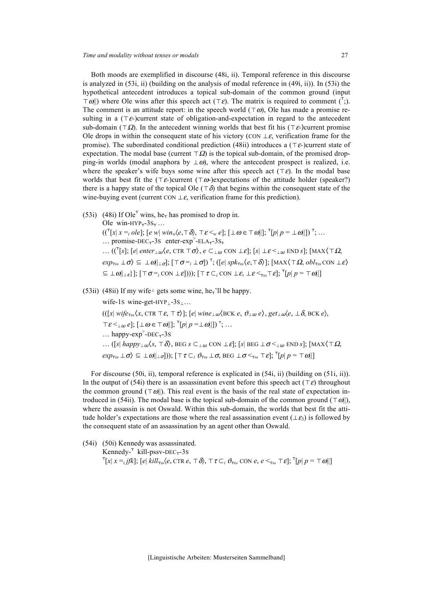Both moods are exemplified in discourse (48i, ii). Temporal reference in this discourse is analyzed in  $(53i, ii)$  (building on the analysis of modal reference in  $(49i, ii)$ ). In  $(53i)$  the hypothetical antecedent introduces a topical sub-domain of the common ground (input  $\tau \omega$  where Ole wins after this speech act ( $\tau \varepsilon$ ). The matrix is required to comment ( $\tau$ ). The comment is an attitude report: in the speech world ( $\tau \omega$ ), Ole has made a promise resulting in a  $(\top \varepsilon)$ -current state of obligation-and-expectation in regard to the antecedent sub-domain ( $\tau \Omega$ ). In the antecedent winning worlds that best fit his ( $\tau \varepsilon$ -)current promise Ole drops in within the consequent state of his victory (CON  $\perp \varepsilon$ , verification frame for the promise). The subordinated conditional prediction (48ii) introduces a  $(\tau \varepsilon)$ -current state of expectation. The modal base (current  $\tau \Omega$ ) is the topical sub-domain, of the promised dropping-in worlds (modal anaphora by  $\perp \omega$ ), where the antecedent prospect is realized, i.e. where the speaker's wife buys some wine after this speech act ( $\tau \varepsilon$ ). In the modal base worlds that best fit the  $(\top \varepsilon)$ current  $(\top \omega)$ expectations of the attitude holder (speaker?) there is a happy state of the topical Ole ( $\tau \delta$ ) that begins within the consequent state of the wine-buying event (current CON  $\perp \varepsilon$ , verification frame for this prediction).

- (53i) (48i) If Ole<sup>T</sup> wins, he<sub>T</sub> has promised to drop in. Ole win-HYP $_{T}$ -3S $_{T}$  ...  $((\ulcorner [x \mid x =_i ole]; [e \mid w \mid win_w \langle e, \top \delta \rangle, \top \varepsilon \leq_w e]; [\bot \omega \in \top \omega \mid ]]$ ;  $\ulcorner [p \mid p = \bot \omega \mid]) \urcorner; ...$ ... promise-DEC<sub>T</sub>-3S enter-exp<sup>></sup>-ELA<sub>T</sub>-3S<sub>T</sub> ... ((<sup>T</sup>[s]; [e| enter<sub>⊥ω</sub> $\langle e, \text{CTR } \top \sigma \rangle, e \subset_{\bot \omega} \text{CON } \bot \varepsilon$ ]; [ $s$ |  $\bot \varepsilon \leq_{\bot \omega} \text{END } s$ ]; [MAX $\langle \top \Omega,$  $\exp_{\tau_{\omega}} \perp \sigma \rangle \subseteq \perp \omega \Vert_{\perp \sigma}];$   $[\top \sigma =_{i} \perp \sigma]$ )<sup> $\top$ </sup>; ([e|  $spk_{\tau_{\omega}} \langle e, \top \delta \rangle]$ ; [MAX $\langle \top \Omega, \text{obl}_{\tau_{\omega}} \text{CON } \perp \varepsilon \rangle$  $\subseteq \bot \omega \Vert_{\bot \epsilon}$ }  $]; [\top \sigma = i \text{CON} \bot \epsilon$ ])));  $[\top \tau \subset i \text{CON} \bot \epsilon, \bot \epsilon <_{\tau \omega} \top \epsilon]$ ;  $\tau [p | p = \top \omega]$
- (53ii) (48ii) If my wife<sup>⊥</sup> gets some wine, he<sub>T</sub>'ll be happy.

wife-1S wine-get-HYP $_1$ -3S $_1$ ...  $((\lceil x \rceil w) \ell_{\tau \omega} \langle x, \text{CTR } \top \varepsilon, \top \tau) \rangle; [\lceil e \rceil w \text{ in} \varepsilon_{\bot \omega} \langle \text{BCK } e, \vartheta_{\bot \omega} \vartheta, \text{ get } \varepsilon_{\bot \omega} \langle e, \bot \delta, \text{BCK } e \rangle]$  $\tau \varepsilon <_{\perp \omega} e$ ];  $[\bot \omega \in \tau \omega$ ||];  $\tau[p|p = \bot \omega|]$ ])  $\tau$ ; ...  $\ldots$  happy-exp<sup>></sup>-DEC<sub>T</sub>-3S ... ([*s*| happy<sub>⊥ω</sub> $\langle$ *s*, ⊤δ $\rangle$ , BEG *s* ⊂<sub>⊥ω</sub> CON ⊥ε]; [*s*| BEG ⊥σ<<sub>⊥ω</sub> END *s*]; [MAX $\langle$ ⊤Ω,  $exp_{\tau\omega} \perp \sigma\rangle \subseteq \perp \omega||_{\perp \sigma}])$ ;  $[\top \tau \subset_i \vartheta_{\tau\omega} \perp \sigma$ , BEG  $\perp \sigma \leq_{\tau\omega} \top \varepsilon]$ ;  $\tau[p|p = \top \omega]|$ 

For discourse (50i, ii), temporal reference is explicated in (54i, ii) (building on (51i, ii)). In the output of (54i) there is an assassination event before this speech act ( $\tau \varepsilon$ ) throughout the common ground ( $\tau \omega$ ). This real event is the basis of the real state of expectation introduced in (54ii). The modal base is the topical sub-domain of the common ground ( $\tau \omega$ )), where the assassin is not Oswald. Within this sub-domain, the worlds that best fit the attitude holder's expectations are those where the real assassination event ( $\perp \varepsilon_3$ ) is followed by the consequent state of an assassination by an agent other than Oswald.

(54i) (50i) Kennedy was assassinated.  $Kennedy-<sup>T</sup>$  kill-pssv-DEC<sub>T</sub>-3S  $\int_{0}^{T} [x | x = i j f k]; [e | k i l l_{\tau \omega} \langle e, CTR e, \tau \delta \rangle, \tau \tau \subset_{i} \vartheta_{\tau \omega}$  CON  $e, e <_{\tau \omega} \tau \epsilon]$ ;  $\int_{0}^{T} [p | p = \tau \omega]$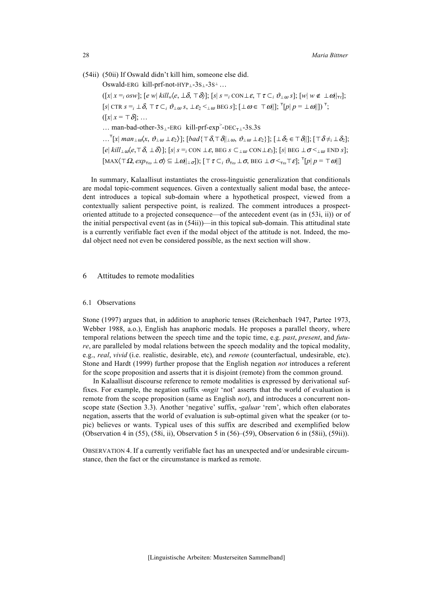(54ii) (50ii) If Oswald didn't kill him, someone else did.

Oswald-ERG kill-prf-not-HYP⊥-3S⊥-3S⊥…

 $([x | x = i \text{ os} w]; [e w | \text{kill}_w\langle e, \perp \delta, \perp \delta \rangle]; [s | s = i \text{CONLE}, \perp \tau \subset_i \vartheta_{\perp \omega} s]; [w | w \notin \perp \omega|_{\perp \tau}];$  $[s] \text{CTR } s =_i \perp \delta, \ \top \tau \subset_i \vartheta_{\perp \omega} s, \ \perp \varepsilon_2 \leq_{\perp \omega} \text{BEG } s]; \ [\perp \omega \in \top \omega \mid ]; \ \top [p | p = \perp \omega \mid ]) \ \top;$  $([x \mid x = \top \delta]; \dots$ ... man-bad-other-3S<sub>⊥</sub>-ERG kill-prf-exp<sup>></sup>-DEC<sub>T</sub><sub>⊥</sub>-3S.3S  $\ldots$ <sup>T</sup>[x| man<sub>⊥ω</sub> $\langle x, \vartheta_{\perp \omega} \perp \varepsilon_2 \rangle$ ]; [bad{⊤δ,⊤δ||⊥ω,  $\vartheta_{\perp \omega} \perp \varepsilon_2$ }]; [⊥δ<sub>2</sub> ∈ ⊤δ||]; [⊤δ≠<sub>*i*</sub> ⊥δ<sub>2</sub>];  $[e| \text{kill}_\perp \omega\langle e, \top \delta, \bot \delta \rangle]$ ;  $[s| s = i \text{CON} \bot \varepsilon, \text{BEG } s \subset \bot \omega \text{ CON} \bot \varepsilon_3]$ ;  $[s| \text{ BEG } \bot \sigma \leq \bot \omega \text{ END } s]$ ;  $[\text{MAX} \langle \top \Omega, \exp_{\top \omega} \bot \sigma \rangle \subseteq \bot \omega \Vert_{\bot \sigma}]; [\top \tau \subset_i \vartheta_{\tau \omega} \bot \sigma, \text{BEG } \bot \sigma \leq_{\tau \omega} \top \varepsilon]; [\top p | p = \top \omega]]$ 

In summary, Kalaallisut instantiates the cross-linguistic generalization that conditionals are modal topic-comment sequences. Given a contextually salient modal base, the antecedent introduces a topical sub-domain where a hypothetical prospect, viewed from a contextually salient perspective point, is realized. The comment introduces a prospectoriented attitude to a projected consequence—of the antecedent event (as in (53i, ii)) or of the initial perspectival event (as in (54ii))—in this topical sub-domain. This attitudinal state is a currently verifiable fact even if the modal object of the attitude is not. Indeed, the modal object need not even be considered possible, as the next section will show.

# 6 Attitudes to remote modalities

### 6.1 Observations

Stone (1997) argues that, in addition to anaphoric tenses (Reichenbach 1947, Partee 1973, Webber 1988, a.o.), English has anaphoric modals. He proposes a parallel theory, where temporal relations between the speech time and the topic time, e.g. *past*, *present*, and *future*, are paralleled by modal relations between the speech modality and the topical modality, e.g., *real*, *vivid* (i.e. realistic, desirable, etc), and *remote* (counterfactual, undesirable, etc). Stone and Hardt (1999) further propose that the English negation *not* introduces a referent for the scope proposition and asserts that it is disjoint (remote) from the common ground.

In Kalaallisut discourse reference to remote modalities is expressed by derivational suffixes. For example, the negation suffix *-nngit* 'not' asserts that the world of evaluation is remote from the scope proposition (same as English *not*), and introduces a concurrent nonscope state (Section 3.3). Another 'negative' suffix, *-galuar* 'rem', which often elaborates negation, asserts that the world of evaluation is sub-optimal given what the speaker (or topic) believes or wants. Typical uses of this suffix are described and exemplified below (Observation 4 in (55), (58i, ii), Observation 5 in (56)–(59), Observation 6 in (58ii), (59ii)).

OBSERVATION 4. If a currently verifiable fact has an unexpected and/or undesirable circumstance, then the fact or the circumstance is marked as remote.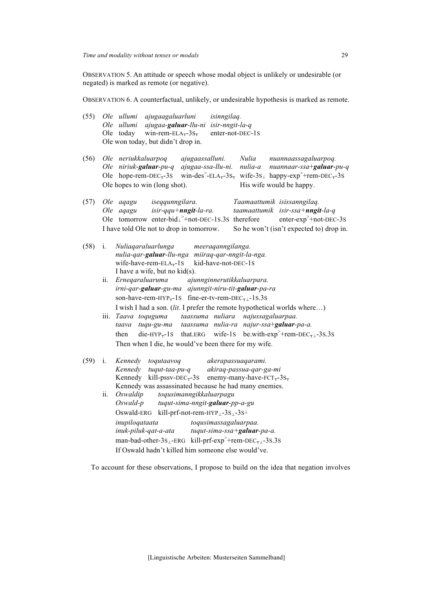OBSERVATION 5. An attitude or speech whose modal object is unlikely or undesirable (or negated) is marked as remote (or negative).

OBSERVATION 6. A counterfactual, unlikely, or undesirable hypothesis is marked as remote.

- (55) *Ole ullumi ajugaagaluarluni isinngilaq. Ole ullumi ajugaa-galuar-llu-ni isir-nngit-la-q* Ole today win-rem- $ELA<sub>T</sub>-3S<sub>T</sub>$  enter-not-DEC-1S Ole won today, but didn't drop in.
- (56) *Ole neriukkaluarpoq ajugaassalluni. Nulia nuannaassagaluarpoq. Ole niriuk*-*galuar-pu-q ajugaa-ssa-llu-ni. nulia-a nuannaar-ssa*+*galuar*-*pu-q* Ole hope-rem- $DEC_{\tau}$ -3s  $-ELA_{T} - 3S_{T}$  wife-3S<sub>⊥</sub> happy-exp<sup>></sup>+rem-DEC<sub>T</sub>-3S Ole hopes to win (long shot). His wife would be happy.
- (57) *Ole aqagu iseqqunngilara. Taamaattumik isissanngilaq. Ole aqagu isir-qqu+nngit-la-ra. taamaattumik isir-ssa+nngit-la-q* Ole tomorrow enter-bid⊥ $\rightarrow$ +not-DEC-1S.3S therefore enter-exp  $enter-exp^2+not-DEC-3s$ I have told Ole not to drop in tomorrow. So he won't (isn't expected to) drop in.
- (58) i. *Nuliaqaraluarlunga meeraqanngilanga. nulia-qar-galuar-llu-nga miiraq-qar-nngit-la-nga.* wife-have-rem- $ELA<sub>τ</sub>$ -1S kid-have-not-DEC-1S I have a wife, but no kid(s).
	- ii. *Erneqaraluaruma ajunnginnerutikkaluarpara. irni-qar-galuar-gu-ma ajunngit-niru-tit-galuar-pa-ra*  son-have-rem-HYP<sub>T</sub>-1S fine-er-tv-rem-DEC<sub>T⊥</sub>-1S.3S I wish I had a son. (*lit*. I prefer the remote hypothetical worlds where…)
	- iii. *Taava toquguma taassuma nuliara najussagaluarpaa. taava tuqu-gu-ma taassuma nulia-ra najur-ssa*+*galuar-pa-a.* then die-HYP<sub>T</sub>-1S that.ERG wife-1S be.with-exp<sup>></sup>+rem-DEC<sub>T⊥</sub>-3S.3S Then when I die, he would've been there for my wife.
- (59) i. *Kennedy toqutaavoq akerapassuaqarami. Kennedy tuqut-taa-pu-q akiraq-passua-qar-ga-mi* Kennedy kill-pssv-DEC<sub>T</sub>-3S enemy-many-have-FCT<sub>T</sub>-3S<sub>T</sub> Kennedy was assassinated because he had many enemies. ii. *Oswaldip toqusimanngikkaluarpagu Oswald-p tuqut-sima-nngit-galuar-pp-a-gu* Oswald-ERG kill-prf-not-rem-HYP⊥-3S⊥-3S<sup>⊥</sup> *inupiloqataata toqusimassagaluarpaa. inuk-piluk-qat-a-ata tuqut-sima-ssa+galuar-pa-a.* man-bad-other-3S<sub>⊥</sub>-ERG kill-prf-exp<sup>></sup>+rem-DEC<sub>T</sub><sub>⊥</sub>-3S.3S If Oswald hadn't killed him someone else would've.

To account for these observations, I propose to build on the idea that negation involves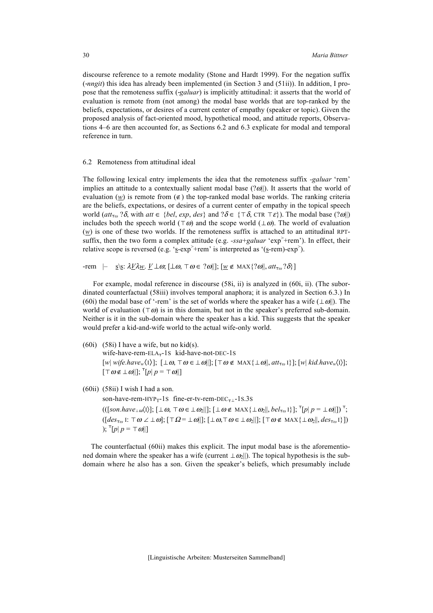discourse reference to a remote modality (Stone and Hardt 1999). For the negation suffix (*-nngit*) this idea has already been implemented (in Section 3 and (51ii)). In addition, I propose that the remoteness suffix (*-galuar*) is implicitly attitudinal: it asserts that the world of evaluation is remote from (not among) the modal base worlds that are top-ranked by the beliefs, expectations, or desires of a current center of empathy (speaker or topic). Given the proposed analysis of fact-oriented mood, hypothetical mood, and attitude reports, Observations 4–6 are then accounted for, as Sections 6.2 and 6.3 explicate for modal and temporal reference in turn.

### 6.2 Remoteness from attitudinal ideal

The following lexical entry implements the idea that the remoteness suffix *-galuar* 'rem' implies an attitude to a contextually salient modal base  $(2\omega)$ ). It asserts that the world of evaluation  $(\underline{w})$  is remote from  $(\epsilon)$  the top-ranked modal base worlds. The ranking criteria are the beliefs, expectations, or desires of a current center of empathy in the topical speech world  $(att_{\tau\omega}$  ? $\delta$ , with *att*  $\epsilon$  {*bel, exp, des*} and  $2\delta \epsilon$  { $\tau \delta$ , CTR  $\tau \epsilon$ }). The modal base (2ω||) includes both the speech world ( $\tau \omega$ ) and the scope world ( $\bot \omega$ ). The world of evaluation  $(w)$  is one of these two worlds. If the remoteness suffix is attached to an attitudinal RPTsuffix, then the two form a complex attitude (e.g.  $\text{-}ssa+\text{g}aluar \text{ }\text{ }`exp^{\text{}}+\text{rem}$ ). In effect, their relative scope is reversed (e.g. 's- $\exp^{\geq}$ +rem' is interpreted as '(s-rem)-exp<sup>></sup>).

 $-\text{rem}$   $\left|-\frac{s\text{s}}{s}\mathcal{X} \mathcal{X} \mathcal{X} \mathcal{X} \mathcal{Y} \mathcal{X} \mathcal{Y} \mathcal{Y} \mathcal{Y} \mathcal{Y}\right|$   $\left|-\frac{s\text{s}}{s}\mathcal{X} \mathcal{Y} \mathcal{X} \mathcal{Y} \mathcal{Y} \mathcal{Y}\right|$ 

For example, modal reference in discourse (58i, ii) is analyzed in (60i, ii). (The subordinated counterfactual (58iii) involves temporal anaphora; it is analyzed in Section 6.3.) In (60i) the modal base of '-rem' is the set of worlds where the speaker has a wife  $(\pm \omega\|)$ . The world of evaluation ( $\tau \omega$ ) is in this domain, but not in the speaker's preferred sub-domain. Neither is it in the sub-domain where the speaker has a kid. This suggests that the speaker would prefer a kid-and-wife world to the actual wife-only world.

- $(60i)$   $(58i)$  I have a wife, but no kid $(s)$ . wife-have-rem- $ELA<sub>T</sub>$ -1S kid-have-not-DEC-1S  $[w| \text{ wife.} have_w\langle I \rangle]; [\perp \omega, \top \omega \in \perp \omega]]; [\top \omega \notin \text{MAX} \{ \perp \omega |, att_{\top \omega} I \}]; [w| \text{ kid.} have_w\langle I \rangle];$  $\left[\top \omega \notin \bot \omega\right]$ ;  $\left[\gamma \middle| p = \top \omega\right]$
- (60ii) (58ii) I wish I had a son.

son-have-rem-HYP $_T$ -1S fine-er-tv-rem-DEC<sub>T⊥</sub>-1S.3S  $(([\text{son}.\text{have} \pm \omega\langle 1 \rangle]; [\pm \omega, \mp \omega \in \pm \omega_2]]]; [\pm \omega \notin \text{MAX} {\pm \omega_2}, \text{else} \pm \omega_1]]; [\mp [p | p = \pm \omega]]]^\top;$  $([des_{\tau\omega} \text{ I: } \top \omega \angle \bot \omega]; [\top \Omega = \bot \omega]]; [\bot \omega, \top \omega \in \bot \omega_2]]; [\top \omega \notin \text{MAX} \{\bot \omega_2 ||, des_{\tau\omega} I\}])$ );  $\lceil p \rfloor p = \lceil \omega \rceil$ 

The counterfactual (60ii) makes this explicit. The input modal base is the aforementioned domain where the speaker has a wife (current  $\perp \omega_2$ )). The topical hypothesis is the subdomain where he also has a son. Given the speaker's beliefs, which presumably include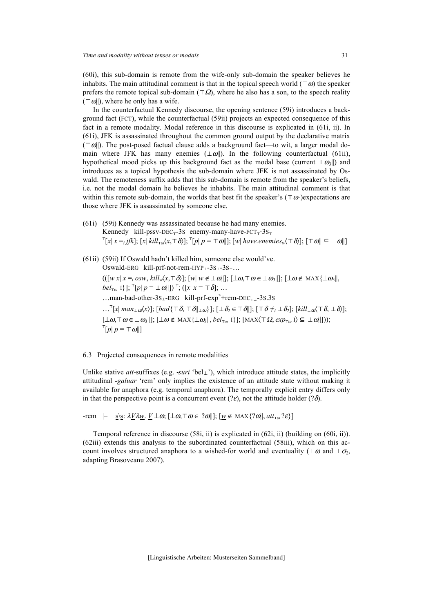(60i), this sub-domain is remote from the wife-only sub-domain the speaker believes he inhabits. The main attitudinal comment is that in the topical speech world ( $\tau \omega$ ) the speaker prefers the remote topical sub-domain ( $\tau \Omega$ ), where he also has a son, to the speech reality  $(T\omega\|)$ , where he only has a wife.

In the counterfactual Kennedy discourse, the opening sentence (59i) introduces a background fact (FCT), while the counterfactual (59ii) projects an expected consequence of this fact in a remote modality. Modal reference in this discourse is explicated in (61i, ii). In (61i), JFK is assassinated throughout the common ground output by the declarative matrix  $(T\omega\|)$ . The post-posed factual clause adds a background fact—to wit, a larger modal domain where JFK has many enemies  $(\perp \omega \|)$ . In the following counterfactual (61ii), hypothetical mood picks up this background fact as the modal base (current  $\pm \omega_3$ )) and introduces as a topical hypothesis the sub-domain where JFK is not assassinated by Oswald. The remoteness suffix adds that this sub-domain is remote from the speaker's beliefs, i.e. not the modal domain he believes he inhabits. The main attitudinal comment is that within this remote sub-domain, the worlds that best fit the speaker's ( $\tau \omega$ -)expectations are those where JFK is assassinated by someone else.

- (61i) (59i) Kennedy was assassinated because he had many enemies. Kennedy kill-pssv-DEC<sub>T</sub>-3s enemy-many-have-FCT<sub>T</sub>-3s<sub>T</sub>  $\int_{0}^{T} [x | x = i j f k]; [x | k i l l_{\tau \omega} \langle x, \tau \partial \rangle];$   $\int_{0}^{T} [p | p = \tau \omega] | ]$ ; [w| have.enemies<sub>w</sub> $\langle \tau \partial \rangle$ ]; [ $\tau \omega | \leq \pm \omega$ ]
- (61ii) (59ii) If Oswald hadn't killed him, someone else would've. Oswald-ERG kill-prf-not-rem-HYP⊥-3S⊥-3S⊥…  $((\lceil w \, x \rceil x = i \, \text{os}w, \, \text{kill}_w\langle x, \top \, \delta \rangle); \, [w \rceil w \notin \bot \, \omega \rceil]; \, [\bot \omega, \top \omega \in \bot \omega_3 \rceil]; \, [\bot \omega \notin \text{MAX} \{ \bot \omega_3 \rceil],$  $bel_{\tau\omega}$  i}];  $\tau[p|p = \pm \omega||]$ )  $\tau$ ; ([x|  $x = \tau \delta$ ]; ... …man-bad-other-3S⊥-ERG kill-prf-exp<sup>></sup>+rem-DEC<sub>T</sub>⊥-3S.3S ...<sup>T</sup>[x|  $man \perp \omega \langle x \rangle$ ]; [ $bad$ {  $\top \delta$ ,  $\top \delta$ || $\perp \omega$ }]; [ $\bot \delta_2 \in \top \delta$ ||]; [ $\top \delta \neq i \bot \delta_2$ ]; [ $kill \perp \omega \langle \top \delta, \bot \delta \rangle$ ];  $[\bot \omega, \top \omega \in \bot \omega_3||]; [\bot \omega \notin \text{MAX} \{\bot \omega_3||, bel_{\top \omega} I\}]; [\text{MAX} \langle \top \Omega, exp_{\top \omega} I \rangle \subseteq \bot \omega||]),$  $\tau[p|p = \tau \omega$

## 6.3 Projected consequences in remote modalities

Unlike stative *att*-suffixes (e.g. *-suri* 'bel⊥'), which introduce attitude states, the implicitly attitudinal *-galuar* 'rem' only implies the existence of an attitude state without making it available for anaphora (e.g. temporal anaphora). The temporally explicit entry differs only in that the perspective point is a concurrent event (?ε), not the attitude holder (?δ).

 $-\text{rem}$   $\left[-\frac{s\cdot s}{s}:\lambda Y\lambda w.\ \underline{V}\bot\omega;\ [\bot\omega,\top\omega\in ?\omega\|];\ [\underline{w}\notin \text{MAX}\{|w|, att_{\top\omega}|\}\]$ 

Temporal reference in discourse (58i, ii) is explicated in (62i, ii) (building on (60i, ii)). (62iii) extends this analysis to the subordinated counterfactual (58iii), which on this account involves structured anaphora to a wished-for world and eventuality ( $\perp \omega$  and  $\perp \sigma$ ). adapting Brasoveanu 2007).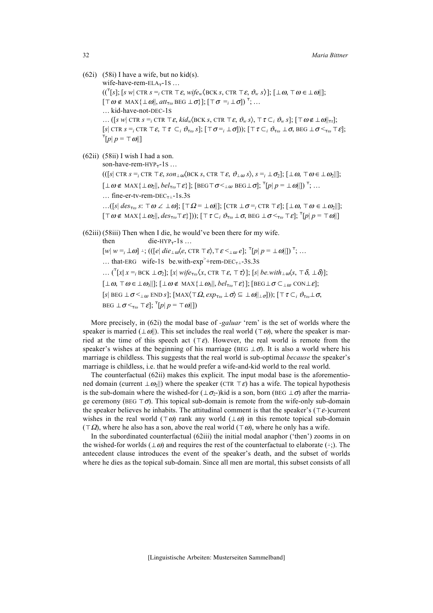$(62i)$   $(58i)$  I have a wife, but no kid(s). wife-have-rem- $ELA<sub>T</sub>$ -1S ...  $((\ulcorner [s]; [s w] \text{ CTR } s =_i \text{ CTR } \top \varepsilon, w j \ell e_w \langle \text{BCK } s, \text{ CTR } \top \varepsilon, \vartheta_w s \rangle]; [\bot \omega, \top \omega \in \bot \omega \Vert];$  $[\top \omega \notin \text{MAX} \{\bot \omega \mid, att_{\tau\omega} \text{ BEG } \bot \sigma\}]; [\top \sigma =_i \bot \sigma])^{\top}; \dots$ … kid-have-not-DEC-1S ... ([*s w*| CTR *s* =*<sub>i</sub>* CTR  $\top \varepsilon$ , *kid<sub>w</sub>*(BCK *s*, CTR  $\top \varepsilon$ ,  $\vartheta_w$  *s*),  $\top \tau \subset_i \vartheta_w$  *s*];  $[\top \omega \notin \bot \omega]_{\tau_{\tau}}$ ;  $[s] \text{ CTR } s = i \text{ CTR } \top \varepsilon, \ \top \tau \subset_i \vartheta_{\tau \omega} s]; \ [\top \sigma = i \bot \sigma]); \ [\top \tau \subset_i \vartheta_{\tau \omega} \bot \sigma, \text{BEG } \bot \sigma \leq_{\tau \omega} \top \varepsilon];$  $\tau$ [*p*| *p* =  $\tau \omega$ ||

(62ii) (58ii) I wish I had a son.

son-have-rem-HYP $<sub>τ</sub>$ -1S ...</sub>

(([*s*| CTR *s* =*<sup>i</sup>* CTR ε, *son*<sup>⊥</sup>ω〈BCK *s*, CTR ε, ϑ⊥<sup>ω</sup> *s*〉, *s* =*<sup>i</sup>* σ2]; [ω, <sup>ω</sup> ∈ω2||];  $[\bot \omega \notin \text{MAX}\{\bot \omega_2 \mid, \text{bel}_{\tau \omega} \top \varepsilon\}];$  [BEG $\top \sigma \leq_{\bot \omega}$  BEG $\bot \sigma$ ];  $\top [p | p = \bot \omega \|]$ ) $\top$ ; ... … fine-er-tv-rem-DEC<sub>T⊥</sub>-1s.3S  $\ldots$  ([*s*| *des*<sub>τω</sub>*s*: ⊤ω∠ ⊥ω]; [⊤Ω= ⊥ω||]; [CTR ⊥σ=<sub>*i*</sub> CTR ⊤ε]; [⊥ω, ⊤ω ∈ ⊥ω<sub>2</sub>||];  $[\top \omega \notin \text{MAX} \{\bot \omega_2 \mid \mid, des_{\tau\omega} \top \varepsilon\}])$ );  $[\top \tau \subset_i \vartheta_{\tau\omega} \bot \sigma, \text{BEG } \bot \sigma \leq_{\tau\omega} \top \varepsilon]$ ;  $\tau[p | p = \top \omega]$ 

(62iii) (58iii) Then when I die, he would've been there for my wife.

then  $\text{die-HYP}_{\tau}\text{-}1\text{s} \dots$ 

 $[w \mid w = i \text{ to } ] \perp; (([e \mid die \perp \omega \langle e, \text{CTR } \top e \rangle, \top e \leq \perp \omega e]; \top [p \mid p = \perp \omega \parallel])^{\top}; ...$ ... that-ERG wife-1S be.with- $exp^2+rem-DEC_{T^{\perp}}-3s.3s$ ...  $({}^{T}[x | x =_{i} BCK \perp \sigma_{2}]; [x | \text{wife}_{\tau\omega}\langle x, \text{CTR } \top \varepsilon, \top \tau \rangle]; [s | \text{be}.\text{with}_{\perp \omega}\langle s, \top \delta, \perp \delta \rangle];$  $[\bot \omega, \top \omega \in \bot \omega_3]]$ ;  $[\bot \omega \notin \text{MAX}\{\bot \omega_3||, \text{bel}_{\tau \omega} \top \varepsilon\}]$ ; [BEG $\bot \sigma \subset \bot \omega$  CON $\bot \varepsilon]$ ;  $[s]$  BEG  $\perp \sigma \leq_{\perp \omega}$  END *s*];  $[\text{MAX}(\top \Omega, \exp_{\top \omega} \perp \sigma) \subseteq \perp \omega \Vert_{\perp \sigma}])$ ;  $[\top \tau \subset_i \vartheta_{\tau \omega} \perp \sigma,$ BEG  $\perp \sigma \lt_{\tau\omega} \top \varepsilon$ ;  $\ulcorner [p|p = \top \omega \Vert]$ )

More precisely, in (62i) the modal base of *-galuar* 'rem' is the set of worlds where the speaker is married ( $\perp \omega$ ). This set includes the real world ( $\top \omega$ ), where the speaker is married at the time of this speech act ( $\tau \varepsilon$ ). However, the real world is remote from the speaker's wishes at the beginning of his marriage (BEG  $\perp \sigma$ ). It is also a world where his marriage is childless. This suggests that the real world is sub-optimal *because* the speaker's marriage is childless, i.e. that he would prefer a wife-and-kid world to the real world.

The counterfactual (62ii) makes this explicit. The input modal base is the aforementioned domain (current  $\perp \omega_2$ )) where the speaker (CTR  $\perp \epsilon$ ) has a wife. The topical hypothesis is the sub-domain where the wished-for  $(\perp \sigma_2)$ kid is a son, born (BEG  $\perp \sigma$ ) after the marriage ceremony (BEG  $\top \sigma$ ). This topical sub-domain is remote from the wife-only sub-domain the speaker believes he inhabits. The attitudinal comment is that the speaker's ( $\tau \varepsilon$ -)current wishes in the real world ( $\tau \omega$ ) rank any world ( $\tau \omega$ ) in this remote topical sub-domain  $(T\Omega)$ , where he also has a son, above the real world  $(T\omega)$ , where he only has a wife.

In the subordinated counterfactual (62iii) the initial modal anaphor ('then') zooms in on the wished-for worlds ( $\perp \omega$ ) and requires the rest of the counterfactual to elaborate ( $\perp$ ;). The antecedent clause introduces the event of the speaker's death, and the subset of worlds where he dies as the topical sub-domain. Since all men are mortal, this subset consists of all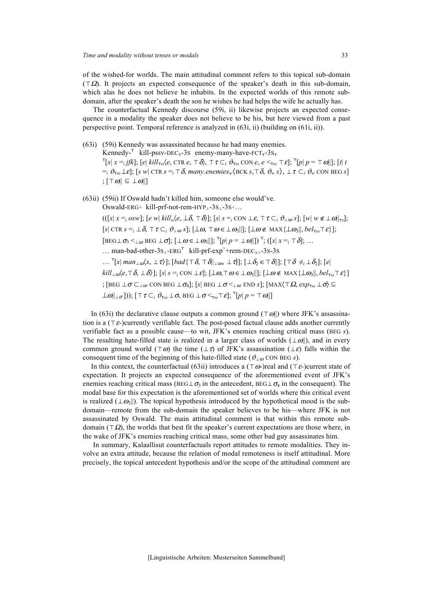of the wished-for worlds. The main attitudinal comment refers to this topical sub-domain  $(\top \Omega)$ . It projects an expected consequence of the speaker's death in this sub-domain, which alas he does not believe he inhabits. In the expected worlds of this remote subdomain, after the speaker's death the son he wishes he had helps the wife he actually has.

The counterfactual Kennedy discourse (59i, ii) likewise projects an expected consequence in a modality the speaker does not believe to be his, but here viewed from a past perspective point. Temporal reference is analyzed in (63i, ii) (building on (61i, ii)).

- (63i) (59i) Kennedy was assassinated because he had many enemies.  $Kennedy$ <sup>-T</sup> kill-pssv-DEC<sub>T</sub>-3S enemy-many-have-FCT<sub>T</sub>-3S<sub>T</sub>  $\int_{0}^{T} [x | x = i j f k];$  [e|  $k i l l_{\tau \omega} \langle e, CTR e, T \delta \rangle$ ,  $T \tau \subset_{i} \partial_{\tau \omega} CON e, e <_{\tau \omega} T \epsilon]$ ;  $\int_{0}^{T} [p | p = T \omega] | ]$ ; [t| t  $=$ *i*  $\vartheta_{\tau\omega} \perp \varepsilon$ ]; [*s* w| CTR  $s =$ *i*  $\top \delta$ , *many.enemiesw* $\langle BCK \, s, \top \delta, \vartheta_w s \rangle$ ,  $\bot \tau \subset_i \vartheta_w$  CON BEG *s*] ;  $|\top \omega| \subseteq \bot \omega$
- (63ii) (59ii) If Oswald hadn't killed him, someone else would've.

Oswald-ERG<sup>⊥</sup> kill-prf-not-rem-HYP⊥-3S⊥-3S⊥…

 $((\lceil x \rceil x \equiv i \text{os} w) ; [\varepsilon w \rceil k i l l w \langle e, \perp \delta, \top \delta \rangle]; [\lceil s \rceil s \equiv i \text{CON} \perp \varepsilon, \top \tau \subset_i \vartheta_{\perp \omega} s]; [\lceil w \rceil w \notin \perp \omega \rceil_{\tau \tau}];$  $[s] \text{ CTR } s = i \text{ to } \hat{\mathcal{O}}_1 \cup \hat{\mathcal{O}}_2 \cup s]; [\bot \omega, \top \omega \in \bot \omega_3]]; [\bot \omega \notin \text{MAX} \{\bot \omega_3 \}, \text{bel}_{\tau \omega} \top \varepsilon\}];$  $[{\text{BEG}} \perp \sigma_3 \leq_{\perp \omega} {\text{BEG}} \perp \sigma]; [\perp \omega \in \perp \omega_3||]; \text{ }^{\top} [p | p = \perp \omega||] ) \text{ }^{\top}; ([x | x =_i \top \delta]; ...$ … man-bad-other-3S<sub>⊥</sub>-ERG<sup>T</sup> kill-prf-exp<sup>></sup>+rem-DEC<sub>T⊥</sub>-3S-3S ... <sup>T</sup>[x|  $man_{\perp}\omega\langle x, \perp\tau\rangle$ ]; [bad{ $\top\delta$ ,  $\top\delta$ ||<sub>⊥ω</sub>,  $\perp\tau$ **]**; [ $\perp\delta_2 \in \top\delta$ ||]; [ $\top\delta \neq i \perp \delta_2$ ]; [e|  $kill_{\perp \omega} \langle e, \pm \delta, \pm \delta \rangle$ ];  $[s | s = i \text{CON} \pm \varepsilon]$ ;  $[\pm \omega, \pm \omega \in \pm \omega_3$ ||];  $[\pm \omega \notin \text{MAX} \{ \pm \omega_3 \}, \text{bel}_{\pm \omega} \pm \varepsilon \}]$ ;  $[{\text{BEG}} \perp \sigma \subset_{\perp \omega} {\text{CON BEG}} \perp \sigma_4]$ ;  $[s] {\text{ BEG}} \perp \sigma \leq_{\perp \omega} {\text{END}} s]$ ;  $[{\text{MAX}} \langle \top \Omega, \exp_{\top \omega} \perp \sigma \rangle \subseteq$  $\perp \omega \parallel_{\perp \sigma}$ ])); [  $\top \tau \subset_i \vartheta_{\tau \omega} \perp \sigma$ , BEG  $\perp \sigma \leq_{\tau \omega} \top \varepsilon$ ];  $\top [p | p = \top \omega \|]$ 

In (63i) the declarative clause outputs a common ground ( $\tau \omega$ ) where JFK's assassination is a  $(\top \varepsilon)$ -currently verifiable fact. The post-posed factual clause adds another currently verifiable fact as a possible cause—to wit, JFK's enemies reaching critical mass (BEG *s*). The resulting hate-filled state is realized in a larger class of worlds  $(\pm \omega||)$ , and in every common ground world ( $\tau \omega$ ) the time ( $\pm \tau$ ) of JFK's assassination ( $\pm \epsilon$ ) falls within the consequent time of the beginning of this hate-filled state ( $\vartheta_{\perp \omega}$  CON BEG *s*).

In this context, the counterfactual (63ii) introduces a ( $\tau$  $\omega$ -)real and ( $\tau \varepsilon$ -)current state of expectation. It projects an expected consequence of the aforementioned event of JFK's enemies reaching critical mass (BEG $\perp \sigma_3$  in the antecedent, BEG $\perp \sigma_4$  in the consequent). The modal base for this expectation is the aforementioned set of worlds where this critical event is realized  $(\pm \omega_3||)$ . The topical hypothesis introduced by the hypothetical mood is the subdomain—remote from the sub-domain the speaker believes to be his—where JFK is not assassinated by Oswald. The main attitudinal comment is that within this remote subdomain ( $\tau \Omega$ ), the worlds that best fit the speaker's current expectations are those where, in the wake of JFK's enemies reaching critical mass, some other bad guy assassinates him.

In summary, Kalaallisut counterfactuals report attitudes to remote modalities. They involve an extra attitude, because the relation of modal remoteness is itself attitudinal. More precisely, the topical antecedent hypothesis and/or the scope of the attitudinal comment are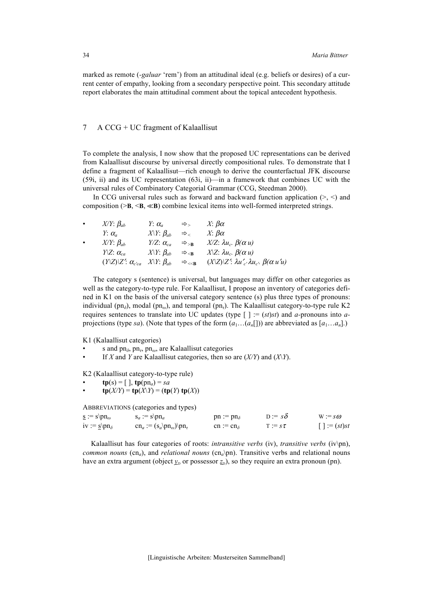marked as remote (*-galuar* 'rem') from an attitudinal ideal (e.g. beliefs or desires) of a current center of empathy, looking from a secondary perspective point. This secondary attitude report elaborates the main attitudinal comment about the topical antecedent hypothesis.

# 7 A CCG + UC fragment of Kalaallisut

To complete the analysis, I now show that the proposed UC representations can be derived from Kalaallisut discourse by universal directly compositional rules. To demonstrate that I define a fragment of Kalaallisut—rich enough to derive the counterfactual JFK discourse (59i, ii) and its UC representation (63i, ii)—in a framework that combines UC with the universal rules of Combinatory Categorial Grammar (CCG, Steedman 2000).

In CCG universal rules such as forward and backward function application  $(>, <)$  and composition ( $>\mathbf{B}, \leq \mathbf{B}, \leq \mathbf{B}$ ) combine lexical items into well-formed interpreted strings.

| $\bullet$ | $X/Y$ : $\beta_{ab}$                              | Y: $\alpha_a$                 | ⇒√                                                                                                                                        | $X: \mathcal{B}\alpha$                                             |
|-----------|---------------------------------------------------|-------------------------------|-------------------------------------------------------------------------------------------------------------------------------------------|--------------------------------------------------------------------|
|           | Y: $\alpha_a$                                     | $X\Y$ : $\beta_{ab}$          | $\Rightarrow$                                                                                                                             | X: $\beta\alpha$                                                   |
| $\bullet$ | $X/Y$ : $\beta_{ab}$                              | $Y/Z$ : $\alpha_{ca}$         | $\Rightarrow$ <sub>&gt;R</sub>                                                                                                            | $X/Z$ : $\lambda u_c$ , $\beta(\alpha u)$                          |
|           | $Y\mathbin{\perp}:\alpha_{ca}$                    | $X\mathcal{Y}$ : $\beta_{ab}$ | $\Rightarrow$ $\lt$ B                                                                                                                     | $X\mathbb{Z}$ : $\lambda u_c$ , $\beta(\alpha u)$                  |
|           | $(Y Z) Z'$ : $\alpha_{c'ca}$ $X Y$ : $\beta_{ab}$ |                               | $\Rightarrow$ < <b< th=""><th><math>(X Z) Z'</math>: <math>\lambda u'_{c'}\lambda u_{c'}</math>. <math>\beta(\alpha u'u)</math></th></b<> | $(X Z) Z'$ : $\lambda u'_{c'}\lambda u_{c'}$ . $\beta(\alpha u'u)$ |

The category s (sentence) is universal, but languages may differ on other categories as well as the category-to-type rule. For Kalaallisut, I propose an inventory of categories defined in K1 on the basis of the universal category sentence (s) plus three types of pronouns: individual (pn*δ*), modal (pn*ω*), and temporal (pn*τ*). The Kalaallisut category-to-type rule K2 requires sentences to translate into UC updates (type  $\lceil$   $\rceil := (st)st$ ) and *a*-pronouns into *a*projections (type *sa*). (Note that types of the form  $(a_1...a_n)$ ) are abbreviated as  $[a_1...a_n]$ .)

K1 (Kalaallisut categories)

- s and pn*δ*, pn*τ*, pn*ω*, are Kalaallisut categories
- If *X* and *Y* are Kalaallisut categories, then so are  $(X/Y)$  and  $(X\Y)$ .

K2 (Kalaallisut category-to-type rule)

- $$
- $\mathbf{tp}(X/Y) = \mathbf{tp}(X \setminus Y) = (\mathbf{tp}(Y) \mathbf{tp}(X))$

|                                       | ABBREVIATIONS (categories and types)                                   |                     |                |                                 |
|---------------------------------------|------------------------------------------------------------------------|---------------------|----------------|---------------------------------|
| $\underline{s} := s \cdot p_{\omega}$ | $s_a := s \pmb{\rho}$                                                  | $pn := pn_{\delta}$ | $D := s\delta$ | $W := s\omega$                  |
| iv := $\sin \delta$                   | $cn_a := (s_a \pmb{\triangleright} n_o) \pmb{\triangleright} n_{\tau}$ | $cn := cn_{\delta}$ | $T := s\tau$   | $\lceil \cdot \rceil := (st)st$ |

Kalaallisut has four categories of roots: *intransitive verbs* (iv), *transitive verbs* (iv\pn), *common nouns*  $(cn_a)$ , and *relational nouns*  $(cn_a \, \phi)$ . Transitive verbs and relational nouns have an extra argument (object  $y<sub>D</sub>$  or possessor  $z<sub>D</sub>$ ), so they require an extra pronoun (pn).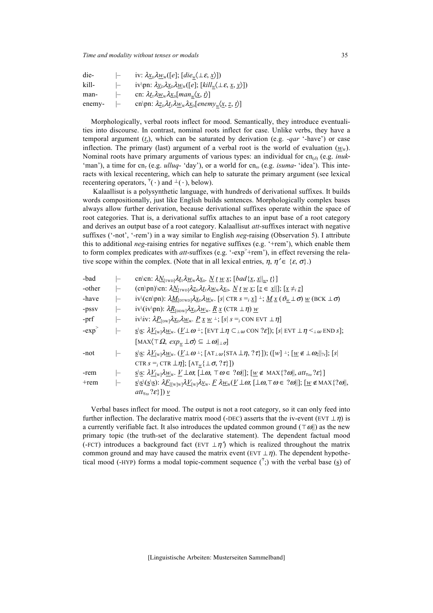*Time and modality without tenses or modals* 35

| die-   | ⊢        | iv: $\lambda x_{\rm p} \lambda w_{\rm w}([e]; [die_{\rm w}(\perp \varepsilon, x)])$                                                                                                                  |
|--------|----------|------------------------------------------------------------------------------------------------------------------------------------------------------------------------------------------------------|
| kill-  | ⊢        | iv\pn: $\lambda y_{\rm p} \lambda x_{\rm p} \lambda w_{\rm w}([e]; [kill_{w} \langle \perp \varepsilon, \underline{x}, \underline{y} \rangle])$                                                      |
| man-   | $\vdash$ | cn: $\lambda t_{\rm T} \lambda w_{\rm w} \lambda x_{\rm D}$ [ <i>man</i> <sub>w</sub> $\langle x, t \rangle$ ]                                                                                       |
| enemy- |          | cn\pn: $\lambda_{\underline{z}_D} \lambda_{\underline{t}_T} \lambda_{\underline{w}_W} \lambda_{\underline{x}_D}$ [enemy <sub>w</sub> $\langle \underline{x}, \underline{z}, \underline{t} \rangle$ ] |

Morphologically, verbal roots inflect for mood. Semantically, they introduce eventualities into discourse. In contrast, nominal roots inflect for case. Unlike verbs, they have a temporal argument  $(t_t)$ , which can be saturated by derivation (e.g. *-qar* '-have') or case inflection. The primary (last) argument of a verbal root is the world of evaluation  $(\underline{w}_w)$ . Nominal roots have primary arguments of various types: an individual for cn(*δ*) (e.g. *inuk*- 'man'), a time for cn*τ* (e.g. *ulluq*- 'day'), or a world for cn*ω* (e.g. *isuma-* 'idea'). This interacts with lexical recentering, which can help to saturate the primary argument (see lexical recentering operators,  $\mathbf{I}(\cdot)$  and  $\mathbf{I}(\cdot)$ , below).

Kalaallisut is a polysynthetic language, with hundreds of derivational suffixes. It builds words compositionally, just like English builds sentences. Morphologically complex bases always allow further derivation, because derivational suffixes operate within the space of root categories. That is, a derivational suffix attaches to an input base of a root category and derives an output base of a root category. Kalaallisut *att*-suffixes interact with negative suffixes ('-not', '-rem') in a way similar to English *neg*-raising (Observation 5). I attribute this to additional *neg-*raising entries for negative suffixes (e.g. '+rem'), which enable them to form complex predicates with *att*-suffixes (e.g. '-exp<sup>></sup>+rem'), in effect reversing the relative scope within the complex. (Note that in all lexical entries,  $\eta$ ,  $\eta' \in {\{\epsilon, \sigma\}}$ .)

| -bad    |          | cn\cn: $\lambda \underline{N}_{TWD} \lambda t_{T} \lambda \underline{w}_{W} \lambda \underline{x}_{D}$ . $\underline{N} \underline{t} \underline{w} \underline{x}$ ; $[bad\{\underline{x}, \underline{x} \vert_{w}, \underline{t}\}]$                                                             |
|---------|----------|---------------------------------------------------------------------------------------------------------------------------------------------------------------------------------------------------------------------------------------------------------------------------------------------------|
| -other  | ⊢        | (cn\pn)\cn: $\lambda \underline{N}_{\text{[rwn]}}\lambda \underline{z}_0 \lambda \underline{t}_T \lambda \underline{w}_w \lambda \underline{x}_0$ . $\underline{N} \underline{t} \underline{w} \underline{x}$ ; [ $\underline{z} \in \underline{x}$   ]; [ $\underline{x} \neq i \underline{z}$ ] |
| -have   | ⊢        | iv\(cn\pn): $\lambda \underline{M}_{\text{DTWD}} \lambda \underline{x}_{\text{D}} \lambda \underline{w}_{\text{w}}$ . [s  CTR $s =_i \underline{x}$ ] $\pm$ ; $\underline{M} \underline{x}$ ( $\vartheta_{\text{w}} \perp \sigma$ ) <u>w</u> (BCK $\perp \sigma$ )                                |
| -pssy   | ⊢        | iv\(iv\pn): $\lambda R_{\text{[DDW]}} \lambda x_{\text{D}} \lambda w_{\text{W}}$ . $R \underline{x}$ (CTR $\perp \eta$ ) <u>w</u>                                                                                                                                                                 |
| -prf    | ⊢        | iv\iv: $\lambda P_{\text{low}} \lambda x_{\text{D}} \lambda w_{\text{w}}$ . $P x w \rightarrow [s   s = i \text{CON} \text{EVT} \perp \eta]$                                                                                                                                                      |
| $-exp>$ | $\vdash$ | <u>s\s:</u> $\lambda V_{\text{Iw}}\lambda w_{\text{w}}$ . ( $V\perp \omega \perp$ ; [EVT $\perp \eta \subset \perp \omega$ CON ? $\varepsilon$ ]); [s  EVT $\perp \eta \leq \perp \omega$ END s];                                                                                                 |
|         |          | $[\text{MAX} \langle \top \Omega, \exp_w \bot \sigma \rangle \subseteq \bot \omega \Vert_{\bot} \sigma]$                                                                                                                                                                                          |
| -not    | ⊢        | <u>s\s:</u> $\lambda V_{\text{IW}}\lambda w_{\text{w}}$ . ( $V \perp \omega$ +; [AT <sub>+<math>\omega</math></sub> {STA $\perp \eta$ , ? $\tau$ }]); ([w] +; [ $w \notin \perp \omega$ <sub>2</sub>    <sub>?<i>t</i></sub> ]; [s                                                                |
|         |          | CTR $s = i$ CTR $\perp \eta$ ]; [AT <sub>w</sub> { $\perp \sigma$ , ? $\tau$ }])                                                                                                                                                                                                                  |
| -rem    | ⊢        | <u>s\s:</u> $\lambda V_{\text{Iw}}\lambda w_{\text{w}}$ . $V \perp \omega$ ; $[\perp \omega, \top \omega \in ?\omega]]$ ; $[w \notin \text{MAX}\{? \omega\}, att_{\tau\omega}.2\epsilon\}]$                                                                                                       |
| $+rem$  | $\vdash$ | $\underline{s}\succeq(\underline{s}\succeq):\lambda E_{[\![w]\!]w\!]} \lambda \underline{V}_{[\![w]\!]} \lambda \underline{v}_w.$ $\underline{F}\lambda \underline{w}_w(\underline{V}\bot \omega; [\bot \omega, \top \omega \in ?\omega]]$ ; $[\underline{w} \notin \text{MAX}\{?\omega\}],$      |
|         |          | $att_{\tau\omega}$ ? $\varepsilon$ }]) <u>v</u>                                                                                                                                                                                                                                                   |

Verbal bases inflect for mood. The output is not a root category, so it can only feed into further inflection. The declarative matrix mood (-DEC) asserts that the iv-event (EVT  $\perp \eta$ ) is a currently verifiable fact. It also introduces the updated common ground ( $\tau \omega$ )) as the new primary topic (the truth-set of the declarative statement). The dependent factual mood (-FCT) introduces a background fact (EVT  $\perp \eta$ ) which is realized throughout the matrix common ground and may have caused the matrix event  $(EVT \perp \eta)$ . The dependent hypothetical mood (-HYP) forms a modal topic-comment sequence  $(\bar{f})$  with the verbal base (s) of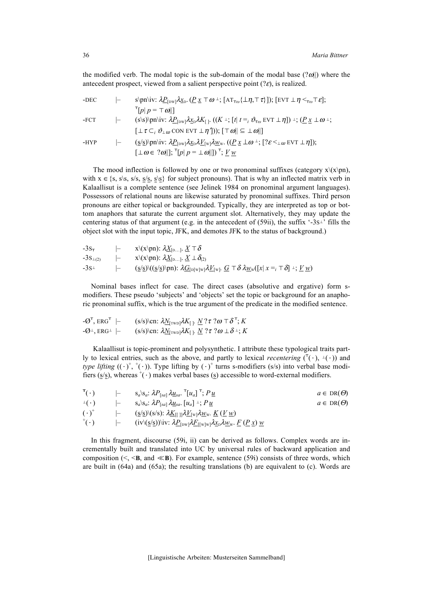the modified verb. The modal topic is the sub-domain of the modal base  $(2\omega\mu)$  where the antecedent prospect, viewed from a salient perspective point  $(2\varepsilon)$ , is realized.

-DEC   
\n
$$
\begin{array}{ll}\n & \mid \text{supp} \quad \text{supp} \quad \text{supp} \quad \text{supp} \quad \text{supp} \quad \text{supp} \quad \text{supp} \quad \text{supp} \quad \text{supp} \quad \text{supp} \quad \text{supp} \quad \text{supp} \quad \text{supp} \quad \text{supp} \quad \text{supp} \quad \text{supp} \quad \text{supp} \quad \text{supp} \quad \text{supp} \quad \text{supp} \quad \text{supp} \quad \text{supp} \quad \text{supp} \quad \text{supp} \quad \text{supp} \quad \text{supp} \quad \text{supp} \quad \text{supp} \quad \text{supp} \quad \text{supp} \quad \text{supp} \quad \text{supp} \quad \text{supp} \quad \text{supp} \quad \text{supp} \quad \text{supp} \quad \text{supp} \quad \text{supp} \quad \text{supp} \quad \text{supp} \quad \text{supp} \quad \text{supp} \quad \text{supp} \quad \text{supp} \quad \text{supp} \quad \text{supp} \quad \text{supp} \quad \text{supp} \quad \text{supp} \quad \text{supp} \quad \text{supp} \quad \text{supp} \quad \text{supp} \quad \text{supp} \quad \text{supp} \quad \text{supp} \quad \text{supp} \quad \text{supp} \quad \text{supp} \quad \text{supp} \quad \text{supp} \quad \text{supp} \quad \text{supp} \quad \text{supp} \quad \text{supp} \quad \text{supp} \quad \text{supp} \quad \text{supp} \quad \text{supp} \quad \text{supp} \quad \text{supp} \quad \text{supp} \quad \text{supp} \quad \text{supp} \quad \text{supp} \quad \text{supp} \quad \text{supp} \quad \text{supp} \quad \text{supp} \quad \text{supp} \quad \text{supp} \quad \text{supp} \quad \text{supp} \quad \text{supp} \quad \text{supp} \quad \text{supp} \quad \text{supp} \quad \text{supp} \quad \text{supp} \quad \text{supp} \quad \text{supp} \quad \text{supp} \quad \text{supp
$$

$$
\text{HYP} \qquad \qquad \left| - \quad \frac{\left( \underline{s} / \underline{s} \right) \mathrm{p} \underline{n} \mathrm{v} \cdot \lambda \underline{P}_{\left[ \underline{n} \underline{w} \right]} \lambda \underline{v}_D \lambda \underline{V}_{\left[ \underline{w} \right]} \lambda \underline{w}_w \cdot \left( \left( \underline{P} \underline{x} \perp \omega \perp ; \left[ ? \varepsilon <_{\perp} \omega \mathrm{E} \mathrm{V} \mathrm{T} \perp \eta \right] \right) \right) \right|}{\left[ \perp \omega \in ? \omega \middle| \right]; \left[ \nabla \rho = \perp \omega \middle| \right] \right)^{\top}; \underline{V} \underline{w}}
$$

The mood inflection is followed by one or two pronominal suffixes (category  $x\(x\pn)$ , with  $x \in \{s, s\ s, s\ s, s\ s, s\ s\}$  for subject pronouns). That is why an inflected matrix verb in Kalaallisut is a complete sentence (see Jelinek 1984 on pronominal argument languages). Possessors of relational nouns are likewise saturated by pronominal suffixes. Third person pronouns are either topical or backgrounded. Typically, they are interpreted as top or bottom anaphors that saturate the current argument slot. Alternatively, they may update the centering status of that argument (e.g. in the antecedent of  $(59ii)$ , the suffix '-3s<sup>⊥</sup>' fills the object slot with the input topic, JFK, and demotes JFK to the status of background.)

-3s<sub>+</sub> 
$$
\qquad \qquad \vdash
$$
  $x \setminus (x \setminus pn): \lambda \underline{X}_{[D...]} \cdot \underline{X} \top \delta$   
\n-3s<sub>+(2)</sub>  $\qquad \vdash$   $x \setminus (x \setminus pn): \lambda \underline{X}_{[D...]} \cdot \underline{X} \bot \delta_{(2)}$   
\n-3s<sup>-1</sup>  $\qquad \vdash$   $(\underline{s}/\underline{s}) \setminus ((\underline{s}/\underline{s}) \setminus pn): \lambda \underline{G}_{[p[w]w]} \lambda \underline{V}_{[w]} \cdot \underline{G} \top \delta \lambda \underline{w}_w([x | x =_i \top \delta] \bot; \underline{V} \underline{w})$ 

Nominal bases inflect for case. The direct cases (absolutive and ergative) form smodifiers. These pseudo 'subjects' and 'objects' set the topic or background for an anaphoric pronominal suffix, which is the true argument of the predicate in the modified sentence.

$$
\begin{array}{lll}\n-\mathcal{O}^{\top}, \text{ERG}^{\top} & | & (s/s) \text{cn: } \lambda \underline{N}_{\text{TrWD}} \lambda K_{\text{I}}. \underline{N} ? \tau ? \omega \top \delta^{\top}; K \\
-\mathcal{O}^{\perp}, \text{ERG}^{\perp} & | & (s/s) \text{cn: } \lambda \underline{N}_{\text{TrWD}} \lambda K_{\text{I}}. \underline{N} ? \tau ? \omega \bot \delta^{\perp}; K\n\end{array}
$$

Kalaallisut is topic-prominent and polysynthetic. I attribute these typological traits partly to lexical entries, such as the above, and partly to lexical *recentering*  $(T(\cdot), \perp(\cdot))$  and *type lifting*  $((\cdot)^\dagger, \ulcorner(\cdot))$ . Type lifting by  $(\cdot)^\dagger$  turns s-modifiers (s/s) into verbal base modifiers ( $s/s$ ), whereas <sup>+</sup>(·) makes verbal bases ( $s$ ) accessible to word-external modifiers.

| $\mathcal{T}(\cdot)$ | $\vdash$ | $S_a \S_a$ : $\lambda P_{[sa]} \lambda u_{sa}$ . $\lceil u_a \rceil$ ; $P u_a$                                                    | $a \in DR(\Theta)$ |
|----------------------|----------|-----------------------------------------------------------------------------------------------------------------------------------|--------------------|
| $\perp(\cdot)$       | $\vdash$ | $S_a \ S_a$ : $\lambda P_{[sa]} \lambda \underline{u}_{sa}$ . $[u_a] \perp$ ; $P \underline{u}$                                   | $a \in DR(\Theta)$ |
| $(\cdot)^+$          |          | $(\underline{s/s})\$ s): $\lambda K_{[[\,]]}\lambda V_{[w]}\lambda w_{w}$ . $K(Vw)$                                               |                    |
| $(\cdot)^+$          | $\vdash$ | $(iv\gtrsim (y/\sqrt{S})$ ) iv: $\lambda P_{\text{DW}}\lambda F_{\text{HW}}\lambda x_{\text{D}}\lambda w_{\text{W}}$ . $F(P x) w$ |                    |

In this fragment, discourse (59i, ii) can be derived as follows. Complex words are incrementally built and translated into UC by universal rules of backward application and composition  $(<, **B**$ , and  $< **B**)$ . For example, sentence (59i) consists of three words, which are built in (64a) and (65a); the resulting translations (b) are equivalent to (c). Words are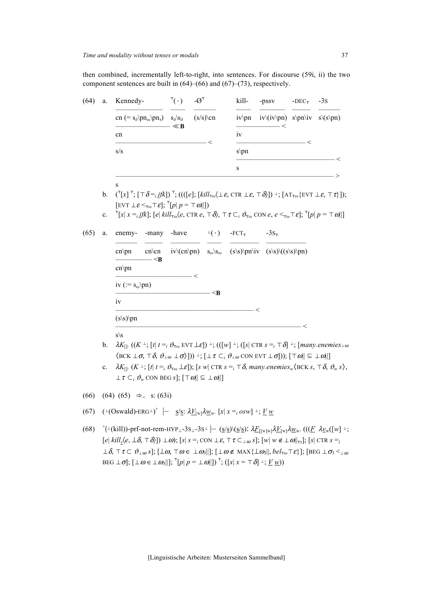then combined, incrementally left-to-right, into sentences. For discourse (59i, ii) the two component sentences are built in  $(64)$ – $(66)$  and  $(67)$ – $(73)$ , respectively.

| (64) | a. | Kennedy-                                                                                                                                                                                                                                                                                                                                         | $(\cdot)^{\mathsf{T}}$ | $-Q^{\top}$ | kill-   | $-$ pssv                      | $-DEC_{\tau}$ $-3s$ |  |  |  |
|------|----|--------------------------------------------------------------------------------------------------------------------------------------------------------------------------------------------------------------------------------------------------------------------------------------------------------------------------------------------------|------------------------|-------------|---------|-------------------------------|---------------------|--|--|--|
|      |    | cn (= $s_\delta$ \pn <sub>ω</sub> \pn <sub>τ</sub> ) $s_\delta$ \s <sub>δ</sub>                                                                                                                                                                                                                                                                  |                        | $(s/s)\$ cn | $iv\$ n | $iv\div(pn)$ s\pn\iv s\(s\pn) |                     |  |  |  |
|      |    | cn                                                                                                                                                                                                                                                                                                                                               | – ≪B                   |             | iv      |                               |                     |  |  |  |
|      |    | s/s                                                                                                                                                                                                                                                                                                                                              |                        |             | $s\$    |                               |                     |  |  |  |
|      |    |                                                                                                                                                                                                                                                                                                                                                  |                        |             | S       |                               |                     |  |  |  |
|      |    | s                                                                                                                                                                                                                                                                                                                                                |                        |             |         |                               |                     |  |  |  |
|      |    | b. $({}^{T}[x]^{T}; [\top \delta =_{i} j\mathit{f}k])^{T}; ((([e]; [kill_{T\omega} \langle \bot \varepsilon, \text{CTR } \bot \varepsilon, \top \delta)]) +; [\text{AT}_{T\omega} \{ \text{EVT } \bot \varepsilon, \top \tau \}]);$                                                                                                              |                        |             |         |                               |                     |  |  |  |
|      |    | $[\text{EVT} \perp \varepsilon \leq_{\tau\omega} \tau \varepsilon];$ $\tau[p p = \tau \omega]]$<br>c. $\mathbb{E}[x   x = i j/k]$ ; [e  kill <sub>Tω</sub> $\langle e, \text{CTR } e, \top \delta \rangle$ , $\top \tau \subset_i \vartheta_{\tau \omega}$ CON $e, e \leq_{\tau \omega} \top \varepsilon$ ]; $\mathbb{E}[p   p = \top \omega]$ ] |                        |             |         |                               |                     |  |  |  |

```
(65) a. enemy- -many -have \perp(\cdot) -FCT<sub>T</sub> -3S<sub>T</sub>
           –––––– ––––– –––––––– –––– –––––––– –––––––––––
           cn\pn cn\cn iv\(cn\pn) s_n\S_n (s\s)\pn\iv (s\s)\((s\s)\pn)
                       –––––––––– <B
           cn\pn
           ––––––––––––––––––––– <
           iv (:= s_\omega\pn)
                                          –––––––––––––––––––––––––– <B
           iv
           –––––––––––––––––––––––––––––––––––––– <
           (s\)\pn
           ––––––––––––––––––––––––––––––––––––––––––––––––––– <
           s\s
```
- b.  $\lambda K_{[]}$ .  $((K \perp; [t] \ t =_i \partial_{\tau \omega} \text{EVT} \perp \varepsilon]) \perp; (([w] \perp; ([s] \text{ CTR } s =_i \tau \delta] \perp; [many.enemies_{\perp \omega}$  $\langle$ BCK  $\perp \sigma$ ,  $\top \delta$ ,  $\vartheta_{\perp \omega} \perp \sigma \rangle$ ])) <sup>1</sup>;  $[\perp \tau \subset_i \vartheta_{\perp \omega}$ CON EVT  $\perp \sigma$ ]));  $[\top \omega] \subseteq \perp \omega$ ||]
- c.  $\lambda K_{\Box}$   $(K \bot; [t | t = i \vartheta_{\tau\omega} \bot \varepsilon])$ ; [*s* w| CTR  $s = i \top \delta$ , *many.enemies<sub>w</sub>* (BCK *s*,  $\top \delta$ ,  $\vartheta_w s$ ),  $\perp \tau \subset_i \vartheta_w$  CON BEG *s*];  $[\top \omega] \subseteq \perp \omega$
- (66) (64) (65)  $\Rightarrow$  s: (63i)
- $(67)$   $(^\perp$ (Oswald)-ERG<sup>⊥</sup>)<sup>+</sup>  $\left| \frac{s}{s}$ :  $\lambda V_{\text{sw}}\lambda w_{\text{w}}$ .  $[x | x = i \text{ osw}]$   $\perp$ ;  $V_{\text{w}}$
- $(68)$  <sup>+</sup>(<sup>⊥</sup>(kill))-prf-not-rem-HYP<sub>⊥</sub>-3S<sub>⊥</sub>-3S<sup>⊥</sup>  $|-$  (<u>s/s)\(s/s)</u>:  $\lambda E_{[[W]W]} \lambda E_{[W]} \lambda w$ . ((( $E \lambda v$ )( $[w]$ <sup>⊥</sup>;  $[e| \text{kill}_{\nu}(e, \perp \delta, \top \delta)] \perp \omega$ );  $[s| s = i \text{CON} \perp e, \top \tau \subset \perp \omega s]$ ;  $[w| w \notin \perp \omega|_{\tau}$ ;  $[s| \text{ CTR } s = i \text{ OR } \omega]$  $\bot \delta$ ,  $\top \tau \subset \vartheta_{\bot \omega} s$ ];  $[\bot \omega, \top \omega \in \bot \omega_3$ ||];  $[\bot \omega \notin \text{MAX} {\bot \omega_3}$ ||,  $bel_{\tau \omega} \top \varepsilon$ }];  $[\text{BEG } \bot \sigma_3 \leq \bot \omega_3]$ BEG  $\perp \sigma$ ];  $[\perp \omega \in \perp \omega_3||]$ ;  $\lceil p|p = \perp \omega||]$ )  $\lceil$ ;  $([x | x = \top \delta] \perp; Y \underline{w})$ )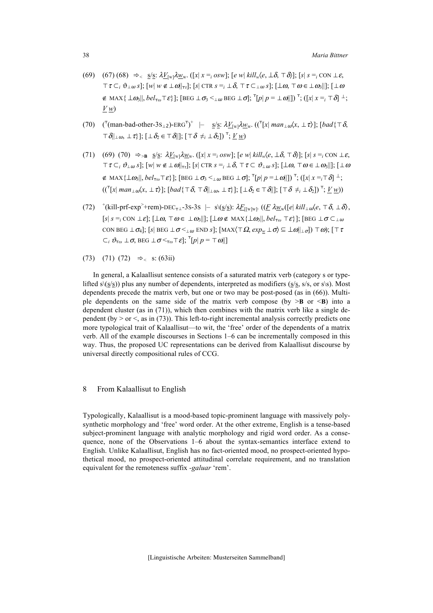- (69) (67) (68)  $\Rightarrow \leq \underline{s} \leq \lambda \cdot \underline{V}_{[w]} \lambda \underline{w}_{w}$ . ([ $x | x = i \cos w$ ]; [ $e w | k i l l_{w} \langle e, \pm \delta, \mp \delta \rangle$ ]; [ $s | s = i \cos \pm \epsilon$ ,  $T \tau \subset_i \vartheta_{\perp \omega} s$ ];  $[w | w \notin \perp \omega |_{\tau_{\tau}}]$ ;  $[s | \text{CTR } s = i \perp \delta, \top \tau \subset_{\perp \omega} s]$ ;  $[\perp \omega, \top \omega \in \perp \omega_3]$ ];  $[\perp \omega$  $\notin$  MAX $\{\bot\omega_3||, bel_{\tau\omega} \top \varepsilon\}$ ]; [BEG  $\bot\sigma_3 <_{\bot\omega}$  BEG  $\bot\sigma$ ];  $\top[p|p=\bot\omega||]$ )  $\top$ ; ([x|  $x =_i \top \delta$ ]  $\bot$ ; *V w*)
- (70)  $({}^{T}$ (man-bad-other-3S<sub>⊥2</sub>)-ERG<sup>T</sup>)<sup>+</sup>  $|-$ </sup>  $\underline{s}$ /s:  $\lambda V_{[w]}\lambda w_{w}$ . ( $({}^{T}[x \mid man_{\perp} \omega \langle x, \perp \tau \rangle)$ ; [*bad*{ $\tau \delta$ ,  $\begin{bmatrix} \top \delta \end{bmatrix} \bot \omega, \bot \tau \rbrace$ ];  $[\bot \delta_2 \in \top \delta$ ||];  $[\top \delta \neq i \bot \delta_2]$ )<sup>T</sup>;  $\underline{V} \underline{w}$ )
- (71) (69) (70)  $\Rightarrow$  **B** <u>s/s</u>:  $\lambda V_{[w]}\lambda w_{w}$ . ([ $x|x = i\ cos w$ ]; [*e* w| *kill<sub>w</sub>*(*e*,  $\pm \delta$ ,  $\pm \delta$ )]; [*s*| *s* =*i* CON  $\pm \epsilon$ , <sup>τ</sup> *<sup>i</sup>* <sup>ϑ</sup>⊥ω *s*]; [*w*| *w* ∉ω||T*<sup>τ</sup>*]; [*s*| CTR *s* =*<sup>i</sup>* δ, <sup>τ</sup> <sup>ϑ</sup>⊥<sup>ω</sup> *s*]; [⊥ω, <sup>ω</sup> ∈ω3||]; [<sup>ω</sup>  $\notin$  MAX { $\perp \omega_3$ ||,  $bel_{\tau\omega} \top \varepsilon$ } ]; [BEG  $\perp \sigma_3 <_{\perp \omega}$  BEG  $\perp \sigma$ ];  $\ulcorner [p|p = \perp \omega$ ||])  $\urcorner$ ; ([x| x =<sub>*i*</sub>  $\top \delta$ ]  $\perp$ ;  $((\ulcorner [x \mid man \llcorner \omega \langle x, \perp \tau \rangle \urcorner; [bad \{ \top \delta, \top \delta \mid \perp \omega, \perp \tau \}]; [\bot \delta_2 \in \top \delta \urcorner \urcorner]; [\top \delta \neq \bot \delta_2]) \urcorner; \underline{V} \underline{w})$
- (72)  $^+$ (kill-prf-exp<sup>></sup>+rem)-DEC<sub>T</sub><sub>1</sub>-3S-3S |– s\(<u>s/s</u>):  $\lambda F_{[[w]w]}$ . ((*F*  $\lambda w_w([e \mid kill \bot \omega \langle e, \top \delta, \bot \delta \rangle)$ ,  $[s \mid s = i \text{CON} \perp \varepsilon]; [\perp \omega, \top \omega \in \perp \omega_3]]; [\perp \omega \notin \text{MAX} {\perp \omega_3}, \text{bel}_{\tau \omega} \top \varepsilon]; [\text{BEG} \perp \sigma \subset \perp \omega]$ CON BEG  $\perp \sigma_4$ ];  $[s]$  BEG  $\perp \sigma \leq \perp \omega$  END  $s$ ];  $[\text{MAX}(\top \Omega, exp_w \perp \sigma) \subseteq \perp \omega \Vert_{\perp \sigma}]$ )  $\top \omega$ );  $[\top \tau$  $\subset_i \vartheta_{\tau\omega} \perp \sigma$ , BEG  $\perp \sigma \leq_{\tau\omega} \tau \varepsilon$ ;  $\tau[p | p = \tau \omega]$
- (73) (71) (72)  $\Rightarrow$  s: (63ii)

In general, a Kalaallisut sentence consists of a saturated matrix verb (category s or typelifted  $s/(s/s)$ ) plus any number of dependents, interpreted as modifiers  $(s/s, s/s, or s\)$ . Most dependents precede the matrix verb, but one or two may be post-posed (as in (66)). Multiple dependents on the same side of the matrix verb compose (by  $\geq$ **B** or  $\leq$ **B**) into a dependent cluster (as in (71)), which then combines with the matrix verb like a single dependent (by  $>$  or  $\leq$ , as in (73)). This left-to-right incremental analysis correctly predicts one more typological trait of Kalaallisut—to wit, the 'free' order of the dependents of a matrix verb. All of the example discourses in Sections 1–6 can be incrementally composed in this way. Thus, the proposed UC representations can be derived from Kalaallisut discourse by universal directly compositional rules of CCG.

## 8 From Kalaallisut to English

Typologically, Kalaallisut is a mood-based topic-prominent language with massively polysynthetic morphology and 'free' word order. At the other extreme, English is a tense-based subject-prominent language with analytic morphology and rigid word order. As a consequence, none of the Observations 1–6 about the syntax-semantics interface extend to English. Unlike Kalaallisut, English has no fact-oriented mood, no prospect-oriented hypothetical mood, no prospect-oriented attitudinal correlate requirement, and no translation equivalent for the remoteness suffix *-galuar* 'rem'.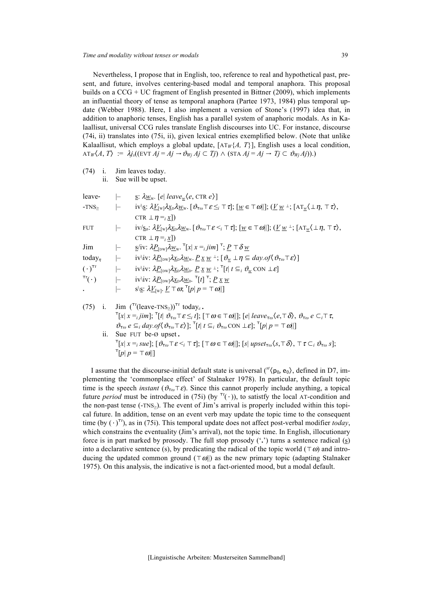Nevertheless, I propose that in English, too, reference to real and hypothetical past, present, and future, involves centering-based modal and temporal anaphora. This proposal builds on a  $CCG + UC$  fragment of English presented in Bittner (2009), which implements an influential theory of tense as temporal anaphora (Partee 1973, 1984) plus temporal update (Webber 1988). Here, I also implement a version of Stone's (1997) idea that, in addition to anaphoric tenses, English has a parallel system of anaphoric modals. As in Kalaallisut, universal CCG rules translate English discourses into UC. For instance, discourse (74i, ii) translates into (75i, ii), given lexical entries exemplified below. (Note that unlike Kalaallisut, which employs a global update,  $[AT_W{A, T}]$ , English uses a local condition,  $\Lambda T_W \langle A, T \rangle := \lambda j_s((EVT \Delta j = Aj \rightarrow \vartheta_{W_j} \Delta j \subset T_j) \wedge (STA \Delta j = Aj \rightarrow T_j \subset \vartheta_{W_j} \Delta j)).$ 

(74) i. Jim leaves today. ii. Sue will be upset.

| leave-                  | ⊢        | <u>s</u> : $\lambda w_w$ . [e] leave <sub>w</sub> $\langle e, \text{CTR } e \rangle$ ]                                                                                                                                                                                                                                                                         |
|-------------------------|----------|----------------------------------------------------------------------------------------------------------------------------------------------------------------------------------------------------------------------------------------------------------------------------------------------------------------------------------------------------------------|
| $-TNS$                  | ⊢        | iv\s: $\lambda V_{[w]} \lambda x_{\rm b} \lambda w_{\rm w}$ . $[\vartheta_{\tau\omega} \top \varepsilon \leq_i \top \tau];$ $[\underline{w} \in \top \omega]$ ; $(\underline{V} \underline{w} \perp; [\underline{A} \top_w \langle \bot \eta, \top \tau \rangle, \underline{w} \rightarrow \bot)$                                                              |
|                         |          | CTR $\perp \eta =_i x$ ]                                                                                                                                                                                                                                                                                                                                       |
| <b>FUT</b>              | ⊢        | iv/ $\underline{s}_{\varnothing}$ : $\lambda \underline{V}_{[w]} \lambda \underline{x}_{\text{D}} \lambda \underline{w}_{w}$ . $[\vartheta_{\tau \varnothing} \top \varepsilon \leq_i \top \tau]$ ; $[\underline{w} \in \top \omega]]$ ; $(\underline{V} \underline{w}^{\perp})$ ; $[\underline{A} \top \underline{w} \langle \bot \eta, \top \tau \rangle)$ , |
|                         |          | CTR $\perp \eta =_i x$ ]                                                                                                                                                                                                                                                                                                                                       |
| Jim                     | ⊢        | <u>s</u> /iv: $\lambda P_{\text{low}} \lambda w_w$ . $\left[ x \mid x = i \text{ } j \text{ } m \right]$ , $P \perp \delta w$                                                                                                                                                                                                                                  |
| today <sub>n</sub>      | $\vdash$ | iv\iv: $\lambda P_{\text{low}} \lambda x_{\text{D}} \lambda w_{\text{w}}$ . $P x w^{\perp}$ ; $[\vartheta_{w} \perp \eta \subseteq day. of \langle \vartheta_{\text{to}} \top \varepsilon \rangle]$                                                                                                                                                            |
| $(\cdot)^{\tau_{\tau}}$ | $\vdash$ | iv\iv: $\lambda P_{\text{Dw}} \lambda x_{\text{D}} \lambda w_{\text{D}}$ . $P x w^{\perp}$ ; $\tau[t   t \subseteq_i \vartheta_w \text{CON } \perp \varepsilon]$                                                                                                                                                                                               |
| $\tau(\cdot)$           | $\vdash$ | iv\iv: $\lambda P_{\text{low}} \lambda x_{\text{D}} \lambda w_{\text{D}}$ . $\left[ t \right]$ , $P x w$                                                                                                                                                                                                                                                       |
| $\mathbf{r}$            | ⊢        | s\s: $\lambda V_{[w]}$ . $V \top \omega$ ; $\big[ p \big  p = \top \omega \big]$                                                                                                                                                                                                                                                                               |
|                         |          | (75) i. Jim ( <sup>Tt</sup> (leave-TNS <sub>&gt;</sub> )) <sup>Tt</sup> today <sub><math>\varepsilon</math></sub> .                                                                                                                                                                                                                                            |
|                         |          | $\int_{0}^{\tau} [x   x = i, jim]; \int_{0}^{\tau} [t   \vartheta_{\tau\omega} \top \varepsilon \leq_i t]; [\top \omega \in \top \omega]]; [e] \text{ } leave_{\tau\omega} \langle e, \top \delta \rangle, \vartheta_{\tau\omega} \text{ } e \subset_{i} \top \tau,$                                                                                           |
|                         |          | $\alpha = 1$ $\alpha = \lambda$ , $\alpha = 0$ $\alpha = 0$ , $\alpha = 0$ $\alpha = 0$                                                                                                                                                                                                                                                                        |

$$
\vartheta_{\tau\omega} e \subseteq_i day. of \langle \vartheta_{\tau\omega} \tau \varepsilon \rangle]; \tau[t] \ t \subseteq_i \vartheta_{\tau\omega} \text{CON} \perp \varepsilon]; \tau[p|p = \tau \omega|]
$$
\nii. Sue FUT be- $\emptyset$  upset.

\n
$$
\tau[x|x =_i sue]; [\vartheta_{\tau\omega} \tau \varepsilon \leq_i \tau \tau]; [\tau \omega \in \tau \omega|]; [s] \ upset_{\tau\omega} \langle s, \tau \delta \rangle, \tau \tau \subset_i \vartheta_{\tau\omega} s];
$$
\n
$$
\tau[p|p = \tau \omega|]
$$

I assume that the discourse-initial default state is universal  $({}^{st}\langle p_0, e_0 \rangle)$ , defined in D7, implementing the 'commonplace effect' of Stalnaker 1978). In particular, the default topic time is the speech *instant* ( $\vartheta_{\tau\omega} \tau \varepsilon$ ). Since this cannot properly include anything, a topical future *period* must be introduced in (75i) (by  $^{Tt}(\cdot)$ ), to satistfy the local AT-condition and the non-past tense (-TNS>). The event of Jim's arrival is properly included within this topical future. In addition, tense on an event verb may update the topic time to the consequent time (by  $(\cdot)^{Tt}$ ), as in (75i). This temporal update does not affect post-verbal modifier *today*, which constrains the eventuality (Jim's arrival), not the topic time. In English, illocutionary force is in part marked by prosody. The full stop prosody ('**.**') turns a sentence radical (s) into a declarative sentence (s), by predicating the radical of the topic world ( $\tau \omega$ ) and introducing the updated common ground  $(\top \omega)$  as the new primary topic (adapting Stalnaker 1975). On this analysis, the indicative is not a fact-oriented mood, but a modal default.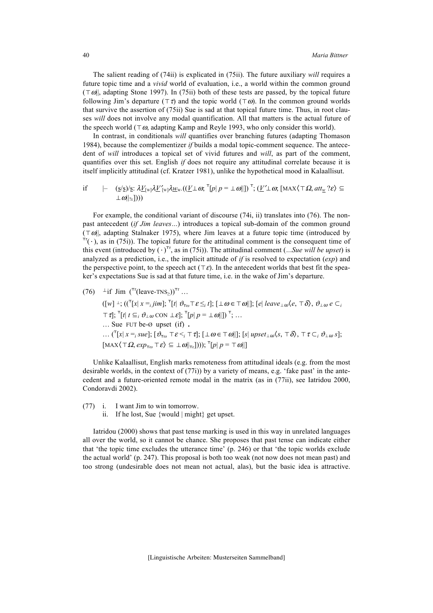The salient reading of (74ii) is explicated in (75ii). The future auxiliary *will* requires a future topic time and a *vivid* world of evaluation, i.e., a world within the common ground  $(\top \omega)$ , adapting Stone 1997). In (75ii) both of these tests are passed, by the topical future following Jim's departure ( $\tau \tau$ ) and the topic world ( $\tau \omega$ ). In the common ground worlds that survive the assertion of (75ii) Sue is sad at that topical future time. Thus, in root clauses *will* does not involve any modal quantification. All that matters is the actual future of the speech world ( $\tau \omega$ , adapting Kamp and Reyle 1993, who only consider this world).

In contrast, in conditionals *will* quantifies over branching futures (adapting Thomason 1984), because the complementizer *if* builds a modal topic-comment sequence. The antecedent of *will* introduces a topical set of vivid futures and *will*, as part of the comment, quantifies over this set. English *if* does not require any attitudinal correlate because it is itself implicitly attitudinal (cf. Kratzer 1981), unlike the hypothetical mood in Kalaallisut.

if 
$$
\qquad \qquad | \qquad (\underline{s}/\underline{s})/\underline{s}; \ \lambda \underline{V}_{[w]} \lambda \underline{V}'_{[w]} \lambda \underline{w}_{w} \cdot ((\underline{V} \perp \omega; \ulcorner [p | p = \perp \omega \Vert]) \urcorner; (\underline{V}' \perp \omega; [\text{MAX} \langle \top \Omega, att_w ? \varepsilon) \subseteq \perp \omega \Vert_{? \varepsilon}]))
$$

For example, the conditional variant of discourse (74i, ii) translates into (76). The nonpast antecedent (*if Jim leaves…*) introduces a topical sub-domain of the common ground  $(\top \alpha)$ , adapting Stalnaker 1975), where Jim leaves at a future topic time (introduced by  $^{\tau}(\cdot)$ , as in (75i)). The topical future for the attitudinal comment is the consequent time of this event (introduced by  $(\cdot)^{T\tau}$ , as in (75i)). The attitudinal comment (*…Sue will be upset*) is analyzed as a prediction, i.e., the implicit attitude of *if* is resolved to expectation (*exp*) and the perspective point, to the speech act ( $\tau \varepsilon$ ). In the antecedent worlds that best fit the speaker's expectations Sue is sad at that future time, i.e. in the wake of Jim's departure.

(76) 
$$
\begin{aligned}\n& \text{if } \text{Jim } (\text{``[leave-TNS]}))^{\text{''}} \dots \\
& \text{([w] } \perp; ((\text{``[x] } x =_i jim]; \text{``[t] } \vartheta_{\text{r}\omega} \top \varepsilon \leq_i t]; [\bot \omega \in \top \omega]]; [e] \text{ } \text{leave}_{\bot \omega} \langle e, \top \delta \rangle, \vartheta_{\bot \omega} e \subset_i \\
& \top \tau]; \text{``[t] } t \subseteq_i \vartheta_{\bot \omega} \text{CON } \bot \varepsilon]; \text{``[p] } p = \bot \omega]] \text{''}, \dots \\
& \dots \text{Sue } \text{FUT } \text{be-0 } \text{upset } (\text{if}) \\
& \dots (\text{``[x] } x =_i sue]; [\vartheta_{\text{r}\omega} \top \varepsilon <_i \top \tau]; [\bot \omega \in \top \omega]]; [s] \text{ } \text{upset} \bot \omega \langle s, \top \delta \rangle, \top \tau \subset_i \vartheta_{\bot \omega} s]; \\
& \text{[MAX} \langle \top \Omega, \exp_{\tau \omega} \top \varepsilon \rangle \subseteq \bot \omega ||_{\tau \varepsilon}])); \text{``[p] } p = \top \omega]]\n\end{aligned}
$$

Unlike Kalaallisut, English marks remoteness from attitudinal ideals (e.g. from the most desirable worlds, in the context of (77i)) by a variety of means, e.g. 'fake past' in the antecedent and a future-oriented remote modal in the matrix (as in (77ii), see Iatridou 2000, Condoravdi 2002).

- (77) i. I want Jim to win tomorrow.
	- ii. If he lost, Sue {would | might} get upset.

Iatridou (2000) shows that past tense marking is used in this way in unrelated languages all over the world, so it cannot be chance. She proposes that past tense can indicate either that 'the topic time excludes the utterance time' (p. 246) or that 'the topic worlds exclude the actual world' (p. 247). This proposal is both too weak (not now does not mean past) and too strong (undesirable does not mean not actual, alas), but the basic idea is attractive.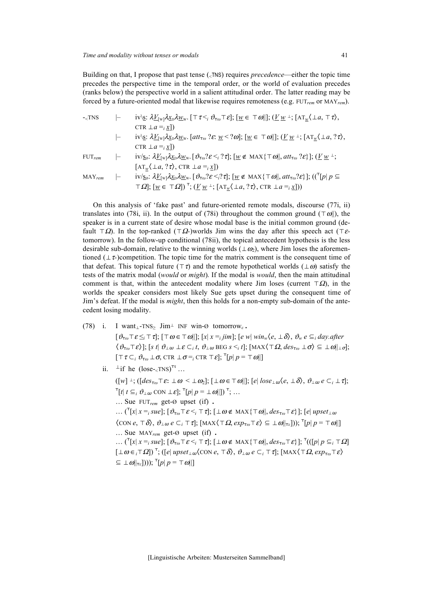Building on that, I propose that past tense (<TNS) requires *precedence*—either the topic time precedes the perspective time in the temporal order, or the world of evaluation precedes (ranks below) the perspective world in a salient attitudinal order. The latter reading may be forced by a future-oriented modal that likewise requires remoteness (e.g. FUT*rem* or MAY*rem*).

| $-<$ TNS | iv\s: $\lambda \underline{V}_{[w]} \lambda \underline{x}_{\text{D}} \lambda \underline{w}_{\text{w}}$ . [ $\tau \leq_i \vartheta_{\tau \omega} \tau \varepsilon$ ]; [ $\underline{w} \in \tau \omega$ ]]; ( $\underline{V} \underline{w} \perp$ ; [ $A T_w \langle \bot a, \tau \tau \rangle$ , |
|----------|-------------------------------------------------------------------------------------------------------------------------------------------------------------------------------------------------------------------------------------------------------------------------------------------------|
|          | CTR $\perp a = x$ )                                                                                                                                                                                                                                                                             |
|          | iv\s: $\lambda V_{\text{[w]}} \lambda x_{\text{D}} \lambda w_{\text{w}}$ . [att <sub>Tω</sub> ?ε: <u>w</u> < ?ω]; [w $\in$ T ω  ]; ( $V \le \perp$ (AT <sub>w</sub> $\perp$ , $\Delta x$ , ? $\tau$ ),                                                                                          |
|          | CTR $\perp a = x$ )                                                                                                                                                                                                                                                                             |

| $\text{FUT}_{rem}$ | $\vdash$ | $\text{iv/s}_{\varnothing}$ : $\lambda \underline{V}_{[w]} \lambda \underline{x}_{\varnothing} \lambda \underline{w}_{w}$ . $[\vartheta_{\tau \varnothing}] \varepsilon \leq i ? \tau$ ; $[\underline{w} \notin \text{MAX} \{\top \omega \mid \varnothing \text{ att}_{\tau \varnothing} ? \varepsilon\}]$ ; $(\underline{V} \underline{w} \bot)$ ; |
|--------------------|----------|-----------------------------------------------------------------------------------------------------------------------------------------------------------------------------------------------------------------------------------------------------------------------------------------------------------------------------------------------------|
|                    |          | $[\text{AT}_{w}(\perp a, ?\tau), \text{CTR } \perp a =_{i} x])$                                                                                                                                                                                                                                                                                     |

 $\text{MAX}_{rem}$  |- iv/ $\underline{s}_{\varnothing}$ :  $\lambda \underline{V}_{[w]} \lambda \underline{x}_{\text{D}} \lambda \underline{w}_{w}$ . [ $\vartheta_{\tau\varnothing}$ ? $\varepsilon \leq_i$ ? $\tau$ ]; [ $\underline{w}$  ∉ MAX $\{\top \omega |, att_{\tau\varnothing}$ ? $\varepsilon\}$ ]; (( $\top [p | p \subseteq$  $\tau$   $\Omega$ ;  $[\underline{w} \in \tau \Omega]$ )<sup> $\tau$ </sup>;  $(\underline{V} \underline{w} \bot)$ ;  $[\Gamma_{\underline{w}} \bot a, ? \tau \rangle$ , CTR  $\bot a =_{i} \underline{x}$ ])

On this analysis of 'fake past' and future-oriented remote modals, discourse (77i, ii) translates into (78i, ii). In the output of (78i) throughout the common ground ( $\tau \omega$ ), the speaker is in a current state of desire whose modal base is the initial common ground (default  $\tau \Omega$ ). In the top-ranked ( $\tau \Omega$ -)worlds Jim wins the day after this speech act ( $\tau \varepsilon$ tomorrow). In the follow-up conditional (78ii), the topical antecedent hypothesis is the less desirable sub-domain, relative to the winning worlds ( $\perp \omega_2$ ), where Jim loses the aforementioned  $(1\tau)$ -competition. The topic time for the matrix comment is the consequent time of that defeat. This topical future ( $\tau \tau$ ) and the remote hypothetical worlds ( $\bot \omega$ ) satisfy the tests of the matrix modal (*would* or *might*)*.* If the modal is *would*, then the main attitudinal comment is that, within the antecedent modality where Jim loses (current  $\tau \Omega$ ), in the worlds the speaker considers most likely Sue gets upset during the consequent time of Jim's defeat. If the modal is *might*, then this holds for a non-empty sub-domain of the antecedent losing modality.

- (78) i. I want⊥-TNS≥ Jim<sup>⊥</sup> INF win-Ø tomorrow*<sup>ε</sup>* **.**  $[\n\vartheta_{\tau\omega} \top \varepsilon \leq i \top \tau]$ ;  $[\n\tau \omega \in \top \omega]$ ;  $[x | x = i \text{ } j \text{ } i \text{ } m]$ ;  $[e w | \text{ } w \text{ } i \text{ } w \wedge e, \bot \delta \rangle$ ,  $\vartheta_w e \subseteq_i \text{ } day \text{ } after$  $\langle \vartheta_{\tau\omega} \tau \varepsilon \rangle$ ]; [*s t*|  $\vartheta_{\perp \omega} \perp \varepsilon \subset_i t$ ,  $\vartheta_{\perp \omega}$  BEG  $s \leq_i t$ ]; [MAX $\langle \tau \Omega, des_{\tau\omega} \perp \sigma \rangle \subseteq \perp \omega \parallel_{\perp \sigma}$ ];  $[\top \tau \subset_i \vartheta_{\tau\omega} \bot \sigma, \text{CTR } \bot \sigma =_i \text{CTR } \top \varepsilon]; \left. \left[ \Gamma[p \vert p = \top \omega \right] \right]$ 
	- ii.  $\pm$ if he  $(\text{lose--TNS})^{\tau_{\tau}}$ ...

([*w*] ⊥; ([*des*T*<sup>ω</sup>*ε: ω < ω2]; [<sup>ω</sup> ∈ω||]; [*e*| *lose*<sup>⊥</sup>ω*e*, δ, ϑ⊥<sup>ω</sup> *e <sup>i</sup>* τ];  $\int_{a}^{\tau} [t | t \subseteq_{i} \vartheta_{\perp \omega} \text{CON } \perp \varepsilon];$   $\int_{a}^{\tau} [p | p = \perp \omega] ]$ )  $\int_{a}^{\tau} ...$ 

… Sue FUT*rem* get-Ø upset (if) **.**

...  $({}^{T}[x | x =_{i} sue]; [\vartheta_{\tau\omega} \top \varepsilon \leq_{i} \top \tau]; [\bot \omega \notin \text{MAX} \{\top \omega |, des_{\tau\omega} \top \varepsilon\}]; [e | upset_{\bot \omega}]$  $\langle \text{CON } e, \top \delta \rangle$ ,  $\vartheta_{\perp} \omega e \subset_i \top \tau$ ]; [MAX $\langle \top \Omega, exp_{\tau \omega} \top \varepsilon \rangle \subseteq \bot \omega ||_{\tau \varepsilon}$ ]));  $\vert [p|] p = \top \omega \Vert$ ] … Sue MAY*rem* get-Ø upset (if) **.** ...  $({}^{T}[x | x =_{i} sue]; [\vartheta_{\tau\omega} \top \varepsilon \leq_{i} \top \tau]; [\bot \omega \notin \text{MAX} \{\top \omega |, des_{\tau\omega} \top \varepsilon\}];$ <sup>T</sup> $(([p | p \subseteq_{i} \top \Omega])$ 

 $[\bot \omega \in \mathcal{F} \cap \Omega]$ )<sup>T</sup>; ([e| upset<sub>⊥ω</sub> $\langle$ CON e,  $\top \delta \rangle$ ,  $\vartheta_{\bot \omega}$  e  $\subset_i \top \tau$ ]; [MAX $\langle \top \Omega, exp_{\tau \omega} \top \varepsilon \rangle$  $\subseteq$   $\perp \omega \vert_{\tau_{\varepsilon}}$ ])));  $\tau[p | p = \tau \omega \vert]$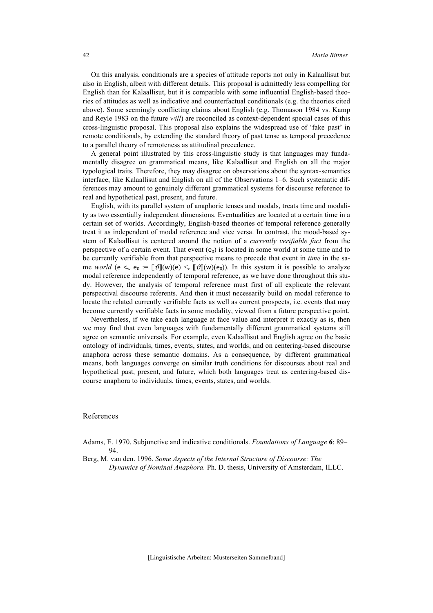On this analysis, conditionals are a species of attitude reports not only in Kalaallisut but also in English, albeit with different details. This proposal is admittedly less compelling for English than for Kalaallisut, but it is compatible with some influential English-based theories of attitudes as well as indicative and counterfactual conditionals (e.g. the theories cited above). Some seemingly conflicting claims about English (e.g. Thomason 1984 vs. Kamp and Reyle 1983 on the future *will*) are reconciled as context-dependent special cases of this cross-linguistic proposal. This proposal also explains the widespread use of 'fake past' in remote conditionals, by extending the standard theory of past tense as temporal precedence to a parallel theory of remoteness as attitudinal precedence.

A general point illustrated by this cross-linguistic study is that languages may fundamentally disagree on grammatical means, like Kalaallisut and English on all the major typological traits. Therefore, they may disagree on observations about the syntax-semantics interface, like Kalaallisut and English on all of the Observations 1–6. Such systematic differences may amount to genuinely different grammatical systems for discourse reference to real and hypothetical past, present, and future.

English, with its parallel system of anaphoric tenses and modals, treats time and modality as two essentially independent dimensions. Eventualities are located at a certain time in a certain set of worlds. Accordingly, English-based theories of temporal reference generally treat it as independent of modal reference and vice versa. In contrast, the mood-based system of Kalaallisut is centered around the notion of a *currently verifiable fact* from the perspective of a certain event. That event  $(e_0)$  is located in some world at some time and to be currently verifiable from that perspective means to precede that event in *time* in the same *world* (e <<sub>w</sub> e<sub>0</sub> :=  $[\![\vartheta]\!] (\mathbf{w})(\mathbf{e}) \leq_{\tau} [\![\vartheta]\!] (\mathbf{w})(\mathbf{e}_0)$ ). In this system it is possible to analyze modal reference independently of temporal reference, as we have done throughout this study. However, the analysis of temporal reference must first of all explicate the relevant perspectival discourse referents. And then it must necessarily build on modal reference to locate the related currently verifiable facts as well as current prospects, i.e. events that may become currently verifiable facts in some modality, viewed from a future perspective point.

Nevertheless, if we take each language at face value and interpret it exactly as is, then we may find that even languages with fundamentally different grammatical systems still agree on semantic universals. For example, even Kalaallisut and English agree on the basic ontology of individuals, times, events, states, and worlds, and on centering-based discourse anaphora across these semantic domains. As a consequence, by different grammatical means, both languages converge on similar truth conditions for discourses about real and hypothetical past, present, and future, which both languages treat as centering-based discourse anaphora to individuals, times, events, states, and worlds.

#### References

- Adams, E. 1970. Subjunctive and indicative conditionals. *Foundations of Language* **6**: 89– 94.
- Berg, M. van den. 1996. *Some Aspects of the Internal Structure of Discourse: The Dynamics of Nominal Anaphora.* Ph. D. thesis, University of Amsterdam, ILLC.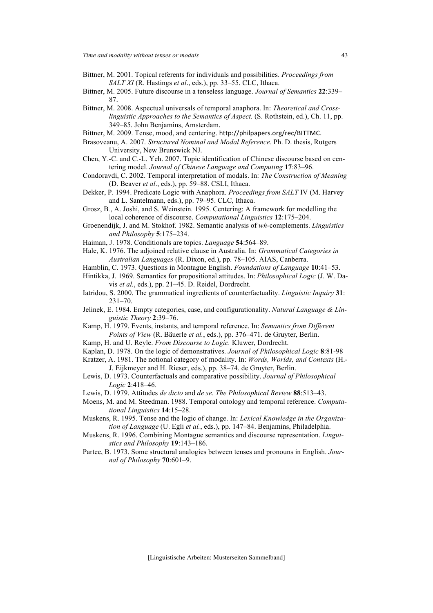- Bittner, M. 2001. Topical referents for individuals and possibilities. *Proceedings from SALT XI* (R. Hastings *et al*., eds.), pp. 33–55. CLC, Ithaca.
- Bittner, M. 2005. Future discourse in a tenseless language. *Journal of Semantics* **22**:339– 87.
- Bittner, M. 2008. Aspectual universals of temporal anaphora. In: *Theoretical and Crosslinguistic Approaches to the Semantics of Aspect.* (S. Rothstein, ed.), Ch. 11, pp. 349–85. John Benjamins, Amsterdam.
- Bittner, M. 2009. Tense, mood, and centering. http://philpapers.org/rec/BITTMC.
- Brasoveanu, A. 2007. *Structured Nominal and Modal Reference.* Ph. D. thesis, Rutgers University, New Brunswick NJ.
- Chen, Y.-C. and C.-L. Yeh. 2007. Topic identification of Chinese discourse based on centering model. *Journal of Chinese Language and Computing* **17**:83–96.
- Condoravdi, C. 2002. Temporal interpretation of modals. In: *The Construction of Meaning*  (D. Beaver *et al*., eds.), pp. 59–88. CSLI, Ithaca.
- Dekker, P. 1994. Predicate Logic with Anaphora. *Proceedings from SALT* IV (M. Harvey and L. Santelmann, eds.), pp. 79–95. CLC, Ithaca.
- Grosz, B*.*, A. Joshi, and S. Weinstein*.* 1995. Centering: A framework for modelling the local coherence of discourse. *Computational Linguistics* **12**:175–204.
- Groenendijk, J. and M. Stokhof. 1982. Semantic analysis of *wh-*complements. *Linguistics and Philosophy* **5**:175–234.
- Haiman, J. 1978. Conditionals are topics. *Language* **54**:564–89.
- Hale, K. 1976. The adjoined relative clause in Australia. In: *Grammatical Categories in Australian Languages* (R. Dixon, ed.), pp. 78–105. AIAS, Canberra.
- Hamblin, C. 1973. Questions in Montague English. *Foundations of Language* **10**:41–53.
- Hintikka, J. 1969. Semantics for propositional attitudes. In: *Philosophical Logic* (J. W. Davis *et al.*, eds.), pp. 21–45. D. Reidel, Dordrecht.
- Iatridou, S. 2000. The grammatical ingredients of counterfactuality. *Linguistic Inquiry* **31**: 231–70.
- Jelinek, E. 1984. Empty categories, case, and configurationality. *Natural Language & Linguistic Theory* **2**:39–76.
- Kamp, H. 1979. Events, instants, and temporal reference. In: *Semantics from Different Points of View* (R. Bäuerle *et al.*, eds.), pp. 376–471. de Gruyter, Berlin.
- Kamp, H. and U. Reyle. *From Discourse to Logic.* Kluwer, Dordrecht.
- Kaplan, D. 1978. On the logic of demonstratives. *Journal of Philosophical Logic* **8**:81-98
- Kratzer, A. 1981. The notional category of modality. In: *Words, Worlds, and Contexts* (H.- J. Eijkmeyer and H. Rieser, eds.), pp. 38–74. de Gruyter, Berlin.
- Lewis, D. 1973. Counterfactuals and comparative possibility. *Journal of Philosophical Logic* **2**:418–46.
- Lewis, D. 1979. Attitudes *de dicto* and *de se*. *The Philosophical Review* **88**:513–43.
- Moens, M. and M. Steedman. 1988. Temporal ontology and temporal reference. *Computational Linguistics* **14**:15–28.
- Muskens, R. 1995. Tense and the logic of change. In: *Lexical Knowledge in the Organization of Language* (U. Egli *et al.*, eds.), pp. 147–84. Benjamins, Philadelphia.
- Muskens, R. 1996. Combining Montague semantics and discourse representation. *Linguistics and Philosophy* **19**:143–186.
- Partee, B. 1973. Some structural analogies between tenses and pronouns in English. *Journal of Philosophy* **70**:601–9.